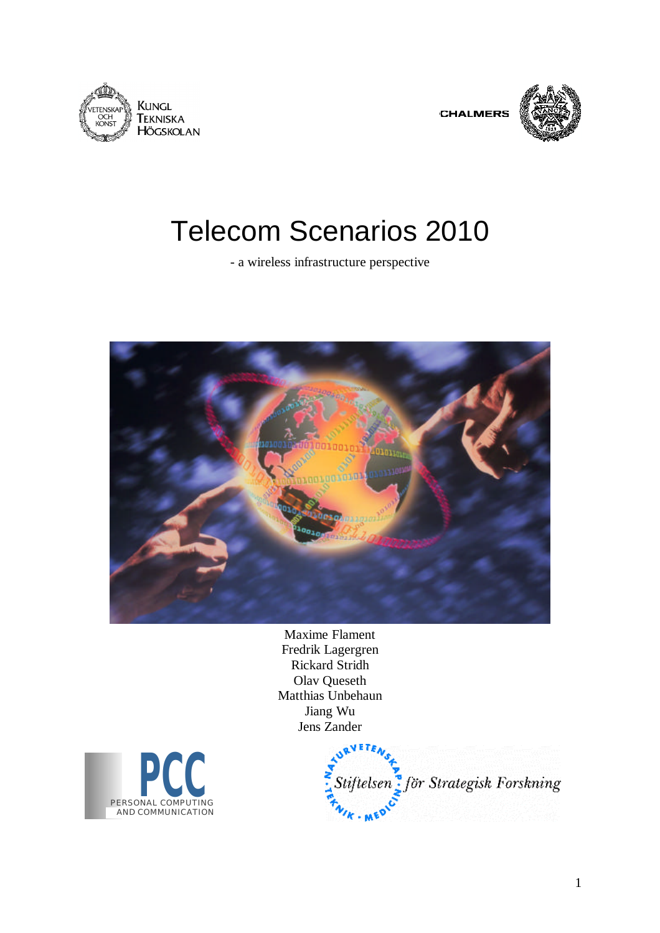





# Telecom Scenarios 2010

- a wireless infrastructure perspective



Maxime Flament Fredrik Lagergren Rickard Stridh Olav Queseth Matthias Unbehaun Jiang Wu Jens Zander



Stiftelsen för Strategisk Forskning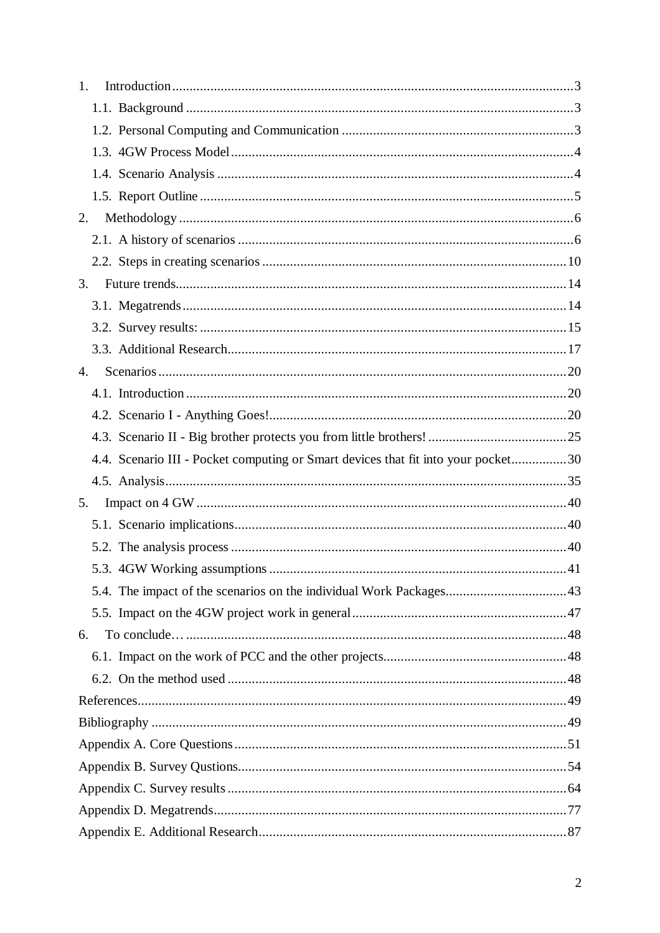| 1.                                                                                |  |
|-----------------------------------------------------------------------------------|--|
|                                                                                   |  |
|                                                                                   |  |
|                                                                                   |  |
|                                                                                   |  |
|                                                                                   |  |
| 2.                                                                                |  |
|                                                                                   |  |
|                                                                                   |  |
| 3.                                                                                |  |
|                                                                                   |  |
|                                                                                   |  |
|                                                                                   |  |
| 4.                                                                                |  |
|                                                                                   |  |
|                                                                                   |  |
|                                                                                   |  |
| 4.4. Scenario III - Pocket computing or Smart devices that fit into your pocket30 |  |
|                                                                                   |  |
| 5.                                                                                |  |
|                                                                                   |  |
|                                                                                   |  |
|                                                                                   |  |
|                                                                                   |  |
|                                                                                   |  |
| 6.                                                                                |  |
|                                                                                   |  |
|                                                                                   |  |
|                                                                                   |  |
|                                                                                   |  |
|                                                                                   |  |
|                                                                                   |  |
|                                                                                   |  |
|                                                                                   |  |
|                                                                                   |  |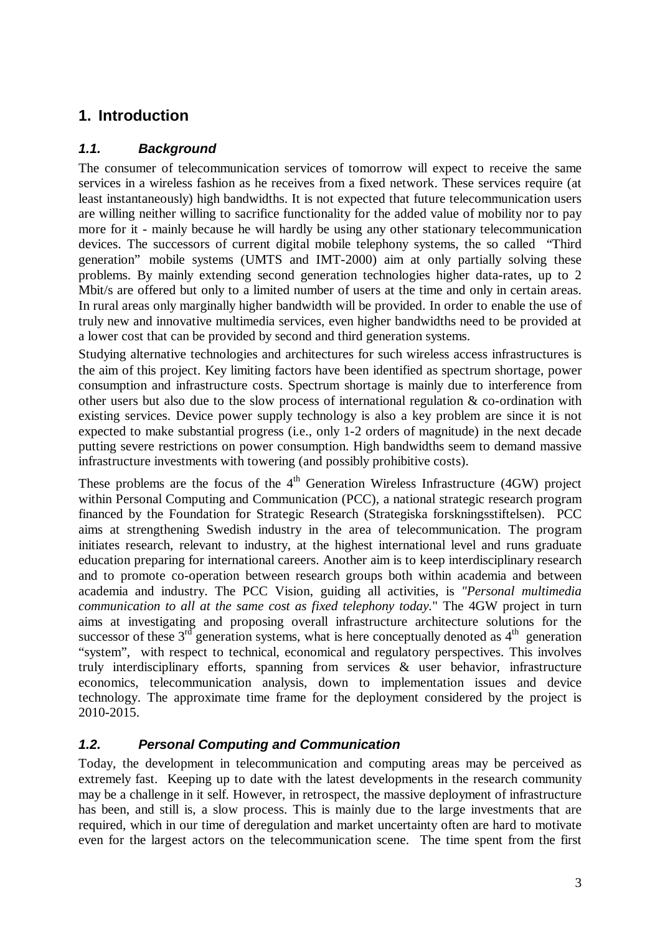# **1. Introduction**

# *1.1. Background*

The consumer of telecommunication services of tomorrow will expect to receive the same services in a wireless fashion as he receives from a fixed network. These services require (at least instantaneously) high bandwidths. It is not expected that future telecommunication users are willing neither willing to sacrifice functionality for the added value of mobility nor to pay more for it - mainly because he will hardly be using any other stationary telecommunication devices. The successors of current digital mobile telephony systems, the so called "Third generation" mobile systems (UMTS and IMT-2000) aim at only partially solving these problems. By mainly extending second generation technologies higher data-rates, up to 2 Mbit/s are offered but only to a limited number of users at the time and only in certain areas. In rural areas only marginally higher bandwidth will be provided. In order to enable the use of truly new and innovative multimedia services, even higher bandwidths need to be provided at a lower cost that can be provided by second and third generation systems.

Studying alternative technologies and architectures for such wireless access infrastructures is the aim of this project. Key limiting factors have been identified as spectrum shortage, power consumption and infrastructure costs. Spectrum shortage is mainly due to interference from other users but also due to the slow process of international regulation & co-ordination with existing services. Device power supply technology is also a key problem are since it is not expected to make substantial progress (i.e., only 1-2 orders of magnitude) in the next decade putting severe restrictions on power consumption. High bandwidths seem to demand massive infrastructure investments with towering (and possibly prohibitive costs).

These problems are the focus of the  $4<sup>th</sup>$  Generation Wireless Infrastructure (4GW) project within Personal Computing and Communication (PCC), a national strategic research program financed by the Foundation for Strategic Research (Strategiska forskningsstiftelsen). PCC aims at strengthening Swedish industry in the area of telecommunication. The program initiates research, relevant to industry, at the highest international level and runs graduate education preparing for international careers. Another aim is to keep interdisciplinary research and to promote co-operation between research groups both within academia and between academia and industry. The PCC Vision, guiding all activities, is *"Personal multimedia communication to all at the same cost as fixed telephony today.*" The 4GW project in turn aims at investigating and proposing overall infrastructure architecture solutions for the successor of these  $3<sup>rd</sup>$  generation systems, what is here conceptually denoted as  $4<sup>th</sup>$  generation "system", with respect to technical, economical and regulatory perspectives. This involves truly interdisciplinary efforts, spanning from services & user behavior, infrastructure economics, telecommunication analysis, down to implementation issues and device technology. The approximate time frame for the deployment considered by the project is 2010-2015.

# *1.2. Personal Computing and Communication*

Today, the development in telecommunication and computing areas may be perceived as extremely fast. Keeping up to date with the latest developments in the research community may be a challenge in it self. However, in retrospect, the massive deployment of infrastructure has been, and still is, a slow process. This is mainly due to the large investments that are required, which in our time of deregulation and market uncertainty often are hard to motivate even for the largest actors on the telecommunication scene. The time spent from the first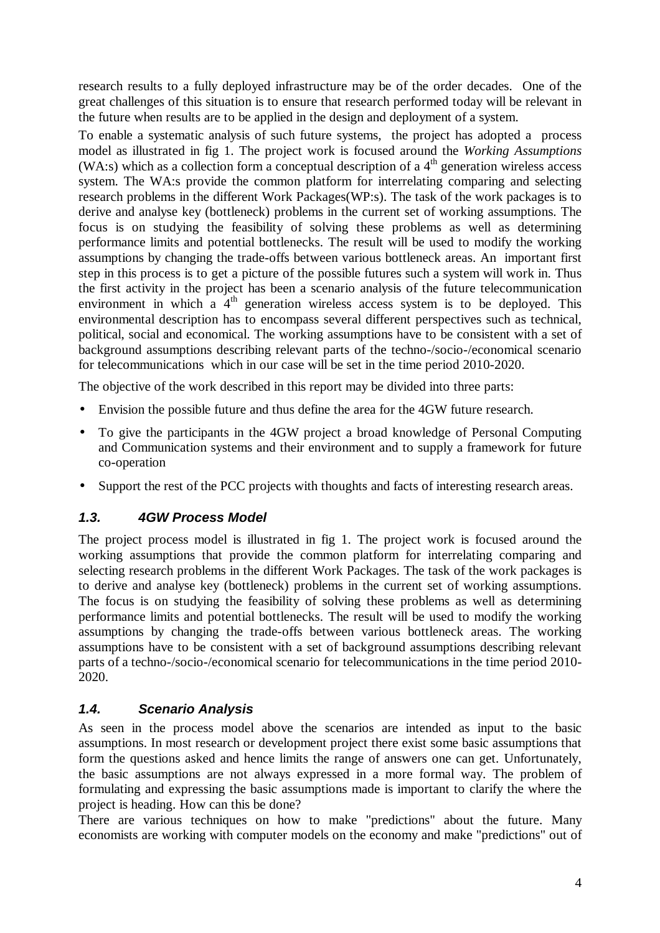research results to a fully deployed infrastructure may be of the order decades. One of the great challenges of this situation is to ensure that research performed today will be relevant in the future when results are to be applied in the design and deployment of a system.

To enable a systematic analysis of such future systems, the project has adopted a process model as illustrated in fig 1. The project work is focused around the *Working Assumptions* (WA:s) which as a collection form a conceptual description of a  $4<sup>th</sup>$  generation wireless access system. The WA:s provide the common platform for interrelating comparing and selecting research problems in the different Work Packages(WP:s). The task of the work packages is to derive and analyse key (bottleneck) problems in the current set of working assumptions. The focus is on studying the feasibility of solving these problems as well as determining performance limits and potential bottlenecks. The result will be used to modify the working assumptions by changing the trade-offs between various bottleneck areas. An important first step in this process is to get a picture of the possible futures such a system will work in. Thus the first activity in the project has been a scenario analysis of the future telecommunication environment in which a  $4<sup>th</sup>$  generation wireless access system is to be deployed. This environmental description has to encompass several different perspectives such as technical, political, social and economical. The working assumptions have to be consistent with a set of background assumptions describing relevant parts of the techno-/socio-/economical scenario for telecommunications which in our case will be set in the time period 2010-2020.

The objective of the work described in this report may be divided into three parts:

- Envision the possible future and thus define the area for the 4GW future research.
- To give the participants in the 4GW project a broad knowledge of Personal Computing and Communication systems and their environment and to supply a framework for future co-operation
- Support the rest of the PCC projects with thoughts and facts of interesting research areas.

# *1.3. 4GW Process Model*

The project process model is illustrated in fig 1. The project work is focused around the working assumptions that provide the common platform for interrelating comparing and selecting research problems in the different Work Packages. The task of the work packages is to derive and analyse key (bottleneck) problems in the current set of working assumptions. The focus is on studying the feasibility of solving these problems as well as determining performance limits and potential bottlenecks. The result will be used to modify the working assumptions by changing the trade-offs between various bottleneck areas. The working assumptions have to be consistent with a set of background assumptions describing relevant parts of a techno-/socio-/economical scenario for telecommunications in the time period 2010- 2020.

# *1.4. Scenario Analysis*

As seen in the process model above the scenarios are intended as input to the basic assumptions. In most research or development project there exist some basic assumptions that form the questions asked and hence limits the range of answers one can get. Unfortunately, the basic assumptions are not always expressed in a more formal way. The problem of formulating and expressing the basic assumptions made is important to clarify the where the project is heading. How can this be done?

There are various techniques on how to make "predictions" about the future. Many economists are working with computer models on the economy and make "predictions" out of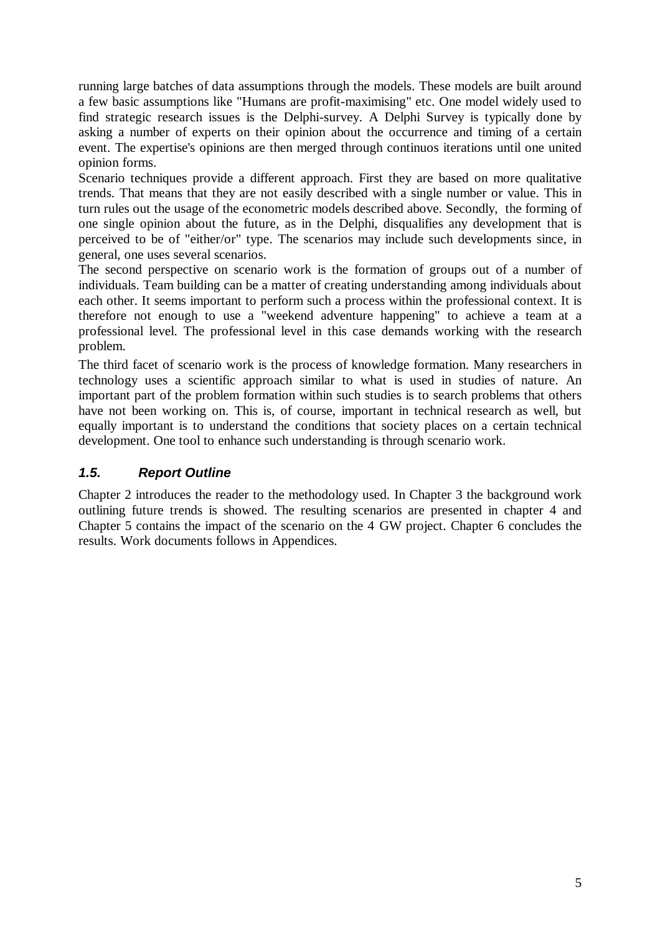running large batches of data assumptions through the models. These models are built around a few basic assumptions like "Humans are profit-maximising" etc. One model widely used to find strategic research issues is the Delphi-survey. A Delphi Survey is typically done by asking a number of experts on their opinion about the occurrence and timing of a certain event. The expertise's opinions are then merged through continuos iterations until one united opinion forms.

Scenario techniques provide a different approach. First they are based on more qualitative trends. That means that they are not easily described with a single number or value. This in turn rules out the usage of the econometric models described above. Secondly, the forming of one single opinion about the future, as in the Delphi, disqualifies any development that is perceived to be of "either/or" type. The scenarios may include such developments since, in general, one uses several scenarios.

The second perspective on scenario work is the formation of groups out of a number of individuals. Team building can be a matter of creating understanding among individuals about each other. It seems important to perform such a process within the professional context. It is therefore not enough to use a "weekend adventure happening" to achieve a team at a professional level. The professional level in this case demands working with the research problem.

The third facet of scenario work is the process of knowledge formation. Many researchers in technology uses a scientific approach similar to what is used in studies of nature. An important part of the problem formation within such studies is to search problems that others have not been working on. This is, of course, important in technical research as well, but equally important is to understand the conditions that society places on a certain technical development. One tool to enhance such understanding is through scenario work.

# *1.5. Report Outline*

Chapter 2 introduces the reader to the methodology used. In Chapter 3 the background work outlining future trends is showed. The resulting scenarios are presented in chapter 4 and Chapter 5 contains the impact of the scenario on the 4 GW project. Chapter 6 concludes the results. Work documents follows in Appendices.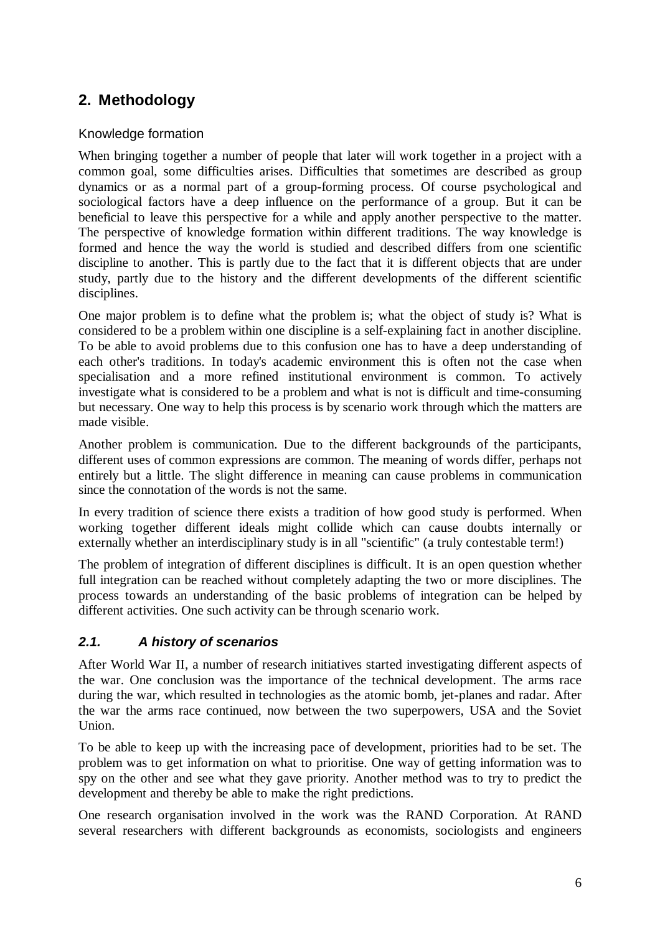# **2. Methodology**

## Knowledge formation

When bringing together a number of people that later will work together in a project with a common goal, some difficulties arises. Difficulties that sometimes are described as group dynamics or as a normal part of a group-forming process. Of course psychological and sociological factors have a deep influence on the performance of a group. But it can be beneficial to leave this perspective for a while and apply another perspective to the matter. The perspective of knowledge formation within different traditions. The way knowledge is formed and hence the way the world is studied and described differs from one scientific discipline to another. This is partly due to the fact that it is different objects that are under study, partly due to the history and the different developments of the different scientific disciplines.

One major problem is to define what the problem is; what the object of study is? What is considered to be a problem within one discipline is a self-explaining fact in another discipline. To be able to avoid problems due to this confusion one has to have a deep understanding of each other's traditions. In today's academic environment this is often not the case when specialisation and a more refined institutional environment is common. To actively investigate what is considered to be a problem and what is not is difficult and time-consuming but necessary. One way to help this process is by scenario work through which the matters are made visible.

Another problem is communication. Due to the different backgrounds of the participants, different uses of common expressions are common. The meaning of words differ, perhaps not entirely but a little. The slight difference in meaning can cause problems in communication since the connotation of the words is not the same.

In every tradition of science there exists a tradition of how good study is performed. When working together different ideals might collide which can cause doubts internally or externally whether an interdisciplinary study is in all "scientific" (a truly contestable term!)

The problem of integration of different disciplines is difficult. It is an open question whether full integration can be reached without completely adapting the two or more disciplines. The process towards an understanding of the basic problems of integration can be helped by different activities. One such activity can be through scenario work.

# *2.1. A history of scenarios*

After World War II, a number of research initiatives started investigating different aspects of the war. One conclusion was the importance of the technical development. The arms race during the war, which resulted in technologies as the atomic bomb, jet-planes and radar. After the war the arms race continued, now between the two superpowers, USA and the Soviet Union.

To be able to keep up with the increasing pace of development, priorities had to be set. The problem was to get information on what to prioritise. One way of getting information was to spy on the other and see what they gave priority. Another method was to try to predict the development and thereby be able to make the right predictions.

One research organisation involved in the work was the RAND Corporation. At RAND several researchers with different backgrounds as economists, sociologists and engineers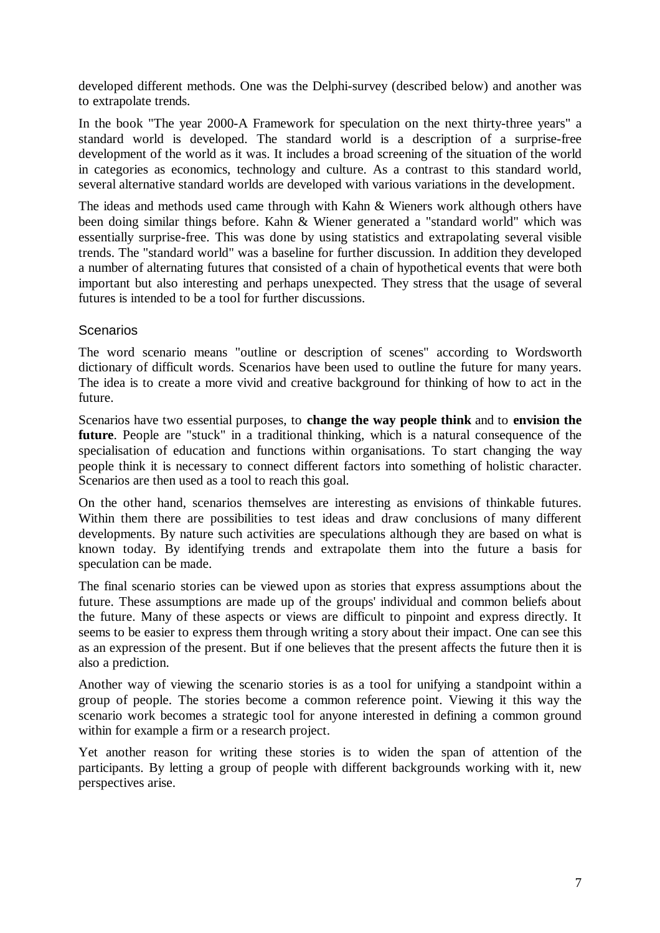developed different methods. One was the Delphi-survey (described below) and another was to extrapolate trends.

In the book "The year 2000-A Framework for speculation on the next thirty-three years" a standard world is developed. The standard world is a description of a surprise-free development of the world as it was. It includes a broad screening of the situation of the world in categories as economics, technology and culture. As a contrast to this standard world, several alternative standard worlds are developed with various variations in the development.

The ideas and methods used came through with Kahn & Wieners work although others have been doing similar things before. Kahn & Wiener generated a "standard world" which was essentially surprise-free. This was done by using statistics and extrapolating several visible trends. The "standard world" was a baseline for further discussion. In addition they developed a number of alternating futures that consisted of a chain of hypothetical events that were both important but also interesting and perhaps unexpected. They stress that the usage of several futures is intended to be a tool for further discussions.

#### **Scenarios**

The word scenario means "outline or description of scenes" according to Wordsworth dictionary of difficult words. Scenarios have been used to outline the future for many years. The idea is to create a more vivid and creative background for thinking of how to act in the future.

Scenarios have two essential purposes, to **change the way people think** and to **envision the future**. People are "stuck" in a traditional thinking, which is a natural consequence of the specialisation of education and functions within organisations. To start changing the way people think it is necessary to connect different factors into something of holistic character. Scenarios are then used as a tool to reach this goal.

On the other hand, scenarios themselves are interesting as envisions of thinkable futures. Within them there are possibilities to test ideas and draw conclusions of many different developments. By nature such activities are speculations although they are based on what is known today. By identifying trends and extrapolate them into the future a basis for speculation can be made.

The final scenario stories can be viewed upon as stories that express assumptions about the future. These assumptions are made up of the groups' individual and common beliefs about the future. Many of these aspects or views are difficult to pinpoint and express directly. It seems to be easier to express them through writing a story about their impact. One can see this as an expression of the present. But if one believes that the present affects the future then it is also a prediction.

Another way of viewing the scenario stories is as a tool for unifying a standpoint within a group of people. The stories become a common reference point. Viewing it this way the scenario work becomes a strategic tool for anyone interested in defining a common ground within for example a firm or a research project.

Yet another reason for writing these stories is to widen the span of attention of the participants. By letting a group of people with different backgrounds working with it, new perspectives arise.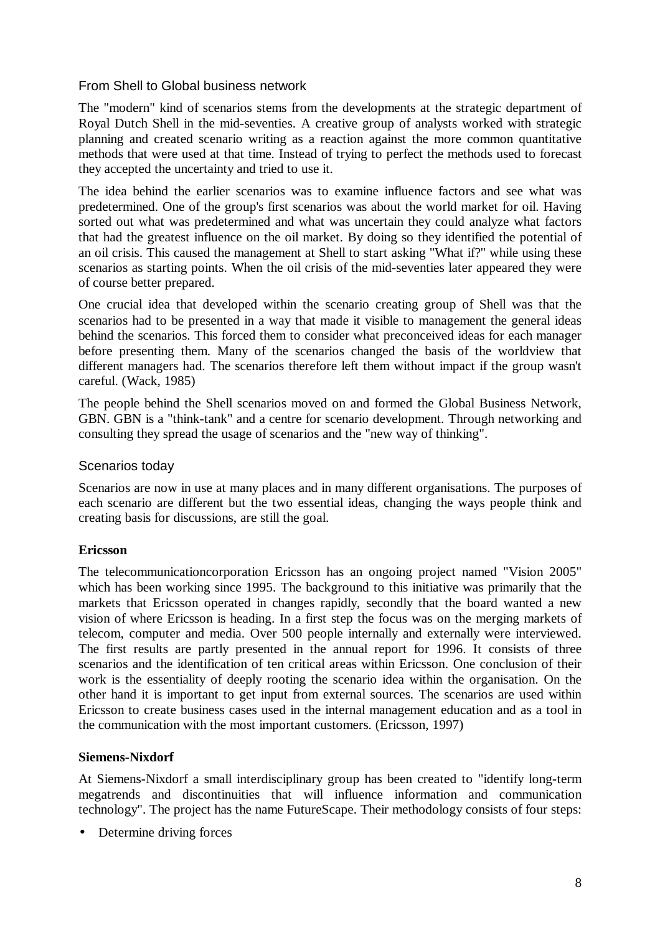#### From Shell to Global business network

The "modern" kind of scenarios stems from the developments at the strategic department of Royal Dutch Shell in the mid-seventies. A creative group of analysts worked with strategic planning and created scenario writing as a reaction against the more common quantitative methods that were used at that time. Instead of trying to perfect the methods used to forecast they accepted the uncertainty and tried to use it.

The idea behind the earlier scenarios was to examine influence factors and see what was predetermined. One of the group's first scenarios was about the world market for oil. Having sorted out what was predetermined and what was uncertain they could analyze what factors that had the greatest influence on the oil market. By doing so they identified the potential of an oil crisis. This caused the management at Shell to start asking "What if?" while using these scenarios as starting points. When the oil crisis of the mid-seventies later appeared they were of course better prepared.

One crucial idea that developed within the scenario creating group of Shell was that the scenarios had to be presented in a way that made it visible to management the general ideas behind the scenarios. This forced them to consider what preconceived ideas for each manager before presenting them. Many of the scenarios changed the basis of the worldview that different managers had. The scenarios therefore left them without impact if the group wasn't careful. (Wack, 1985)

The people behind the Shell scenarios moved on and formed the Global Business Network, GBN. GBN is a "think-tank" and a centre for scenario development. Through networking and consulting they spread the usage of scenarios and the "new way of thinking".

#### Scenarios today

Scenarios are now in use at many places and in many different organisations. The purposes of each scenario are different but the two essential ideas, changing the ways people think and creating basis for discussions, are still the goal.

#### **Ericsson**

The telecommunicationcorporation Ericsson has an ongoing project named "Vision 2005" which has been working since 1995. The background to this initiative was primarily that the markets that Ericsson operated in changes rapidly, secondly that the board wanted a new vision of where Ericsson is heading. In a first step the focus was on the merging markets of telecom, computer and media. Over 500 people internally and externally were interviewed. The first results are partly presented in the annual report for 1996. It consists of three scenarios and the identification of ten critical areas within Ericsson. One conclusion of their work is the essentiality of deeply rooting the scenario idea within the organisation. On the other hand it is important to get input from external sources. The scenarios are used within Ericsson to create business cases used in the internal management education and as a tool in the communication with the most important customers. (Ericsson, 1997)

#### **Siemens-Nixdorf**

At Siemens-Nixdorf a small interdisciplinary group has been created to "identify long-term megatrends and discontinuities that will influence information and communication technology". The project has the name FutureScape. Their methodology consists of four steps:

• Determine driving forces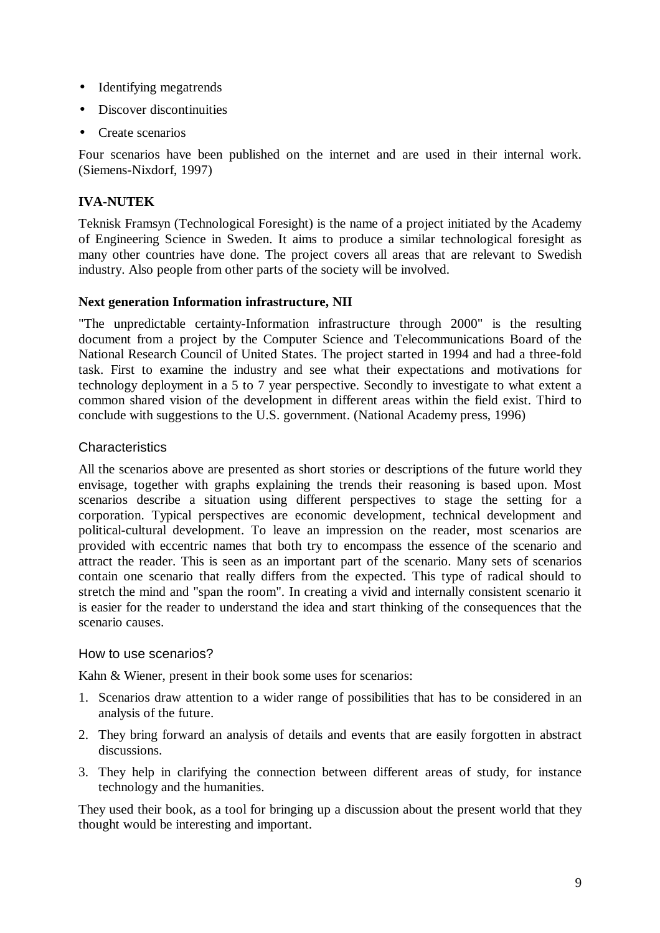- Identifying megatrends
- Discover discontinuities
- Create scenarios

Four scenarios have been published on the internet and are used in their internal work. (Siemens-Nixdorf, 1997)

#### **IVA-NUTEK**

Teknisk Framsyn (Technological Foresight) is the name of a project initiated by the Academy of Engineering Science in Sweden. It aims to produce a similar technological foresight as many other countries have done. The project covers all areas that are relevant to Swedish industry. Also people from other parts of the society will be involved.

#### **Next generation Information infrastructure, NII**

"The unpredictable certainty-Information infrastructure through 2000" is the resulting document from a project by the Computer Science and Telecommunications Board of the National Research Council of United States. The project started in 1994 and had a three-fold task. First to examine the industry and see what their expectations and motivations for technology deployment in a 5 to 7 year perspective. Secondly to investigate to what extent a common shared vision of the development in different areas within the field exist. Third to conclude with suggestions to the U.S. government. (National Academy press, 1996)

#### **Characteristics**

All the scenarios above are presented as short stories or descriptions of the future world they envisage, together with graphs explaining the trends their reasoning is based upon. Most scenarios describe a situation using different perspectives to stage the setting for a corporation. Typical perspectives are economic development, technical development and political-cultural development. To leave an impression on the reader, most scenarios are provided with eccentric names that both try to encompass the essence of the scenario and attract the reader. This is seen as an important part of the scenario. Many sets of scenarios contain one scenario that really differs from the expected. This type of radical should to stretch the mind and "span the room". In creating a vivid and internally consistent scenario it is easier for the reader to understand the idea and start thinking of the consequences that the scenario causes.

#### How to use scenarios?

Kahn & Wiener, present in their book some uses for scenarios:

- 1. Scenarios draw attention to a wider range of possibilities that has to be considered in an analysis of the future.
- 2. They bring forward an analysis of details and events that are easily forgotten in abstract discussions.
- 3. They help in clarifying the connection between different areas of study, for instance technology and the humanities.

They used their book, as a tool for bringing up a discussion about the present world that they thought would be interesting and important.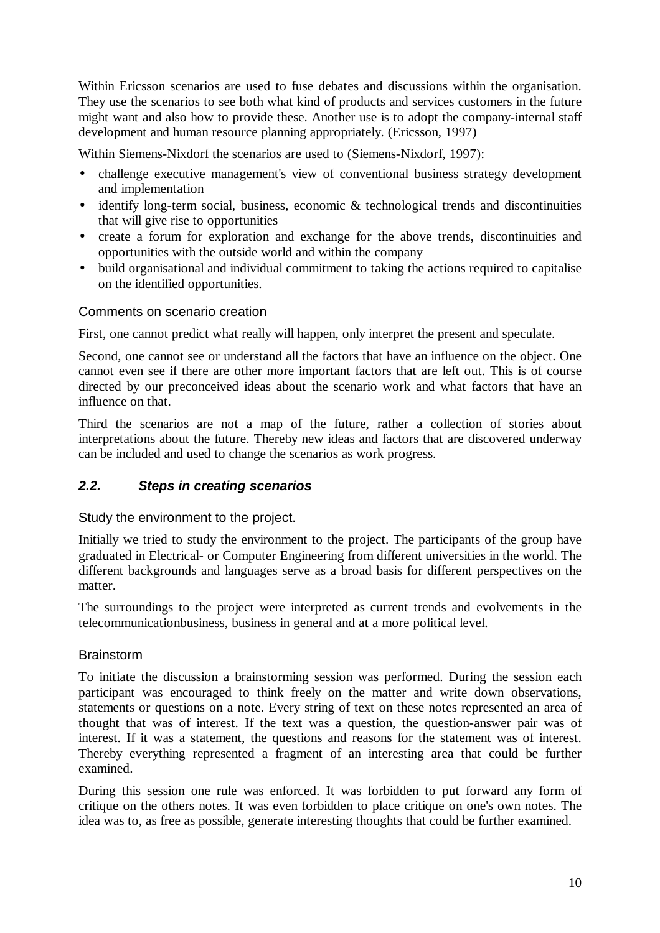Within Ericsson scenarios are used to fuse debates and discussions within the organisation. They use the scenarios to see both what kind of products and services customers in the future might want and also how to provide these. Another use is to adopt the company-internal staff development and human resource planning appropriately. (Ericsson, 1997)

Within Siemens-Nixdorf the scenarios are used to (Siemens-Nixdorf, 1997):

- challenge executive management's view of conventional business strategy development and implementation
- identify long-term social, business, economic & technological trends and discontinuities that will give rise to opportunities
- create a forum for exploration and exchange for the above trends, discontinuities and opportunities with the outside world and within the company
- build organisational and individual commitment to taking the actions required to capitalise on the identified opportunities.

#### Comments on scenario creation

First, one cannot predict what really will happen, only interpret the present and speculate.

Second, one cannot see or understand all the factors that have an influence on the object. One cannot even see if there are other more important factors that are left out. This is of course directed by our preconceived ideas about the scenario work and what factors that have an influence on that.

Third the scenarios are not a map of the future, rather a collection of stories about interpretations about the future. Thereby new ideas and factors that are discovered underway can be included and used to change the scenarios as work progress.

#### *2.2. Steps in creating scenarios*

Study the environment to the project.

Initially we tried to study the environment to the project. The participants of the group have graduated in Electrical- or Computer Engineering from different universities in the world. The different backgrounds and languages serve as a broad basis for different perspectives on the matter.

The surroundings to the project were interpreted as current trends and evolvements in the telecommunicationbusiness, business in general and at a more political level.

#### **Brainstorm**

To initiate the discussion a brainstorming session was performed. During the session each participant was encouraged to think freely on the matter and write down observations, statements or questions on a note. Every string of text on these notes represented an area of thought that was of interest. If the text was a question, the question-answer pair was of interest. If it was a statement, the questions and reasons for the statement was of interest. Thereby everything represented a fragment of an interesting area that could be further examined.

During this session one rule was enforced. It was forbidden to put forward any form of critique on the others notes. It was even forbidden to place critique on one's own notes. The idea was to, as free as possible, generate interesting thoughts that could be further examined.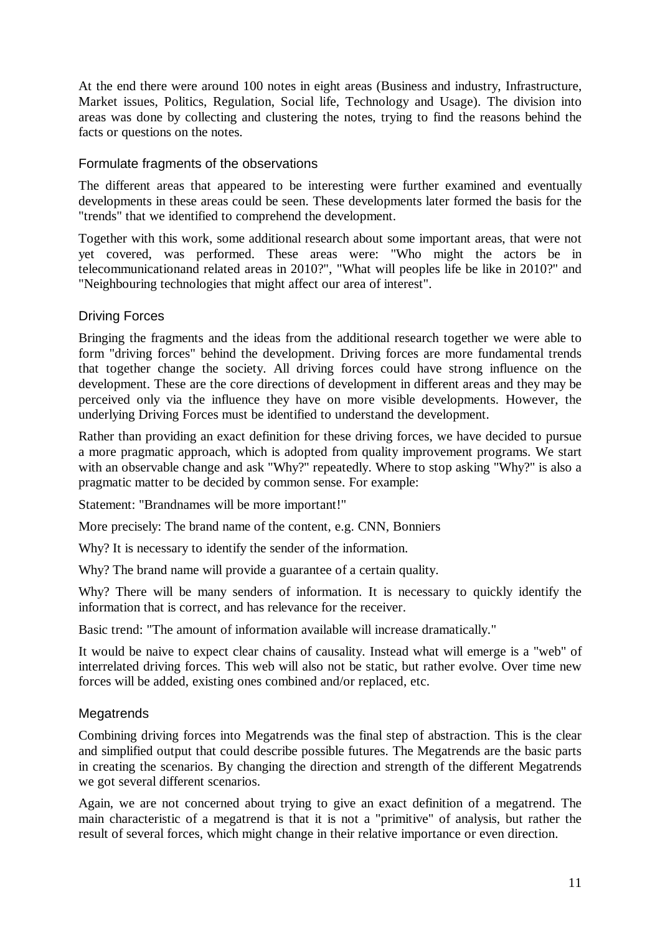At the end there were around 100 notes in eight areas (Business and industry, Infrastructure, Market issues, Politics, Regulation, Social life, Technology and Usage). The division into areas was done by collecting and clustering the notes, trying to find the reasons behind the facts or questions on the notes.

#### Formulate fragments of the observations

The different areas that appeared to be interesting were further examined and eventually developments in these areas could be seen. These developments later formed the basis for the "trends" that we identified to comprehend the development.

Together with this work, some additional research about some important areas, that were not yet covered, was performed. These areas were: "Who might the actors be in telecommunicationand related areas in 2010?", "What will peoples life be like in 2010?" and "Neighbouring technologies that might affect our area of interest".

## Driving Forces

Bringing the fragments and the ideas from the additional research together we were able to form "driving forces" behind the development. Driving forces are more fundamental trends that together change the society. All driving forces could have strong influence on the development. These are the core directions of development in different areas and they may be perceived only via the influence they have on more visible developments. However, the underlying Driving Forces must be identified to understand the development.

Rather than providing an exact definition for these driving forces, we have decided to pursue a more pragmatic approach, which is adopted from quality improvement programs. We start with an observable change and ask "Why?" repeatedly. Where to stop asking "Why?" is also a pragmatic matter to be decided by common sense. For example:

Statement: "Brandnames will be more important!"

More precisely: The brand name of the content, e.g. CNN, Bonniers

Why? It is necessary to identify the sender of the information.

Why? The brand name will provide a guarantee of a certain quality.

Why? There will be many senders of information. It is necessary to quickly identify the information that is correct, and has relevance for the receiver.

Basic trend: "The amount of information available will increase dramatically."

It would be naive to expect clear chains of causality. Instead what will emerge is a "web" of interrelated driving forces. This web will also not be static, but rather evolve. Over time new forces will be added, existing ones combined and/or replaced, etc.

#### **Megatrends**

Combining driving forces into Megatrends was the final step of abstraction. This is the clear and simplified output that could describe possible futures. The Megatrends are the basic parts in creating the scenarios. By changing the direction and strength of the different Megatrends we got several different scenarios.

Again, we are not concerned about trying to give an exact definition of a megatrend. The main characteristic of a megatrend is that it is not a "primitive" of analysis, but rather the result of several forces, which might change in their relative importance or even direction.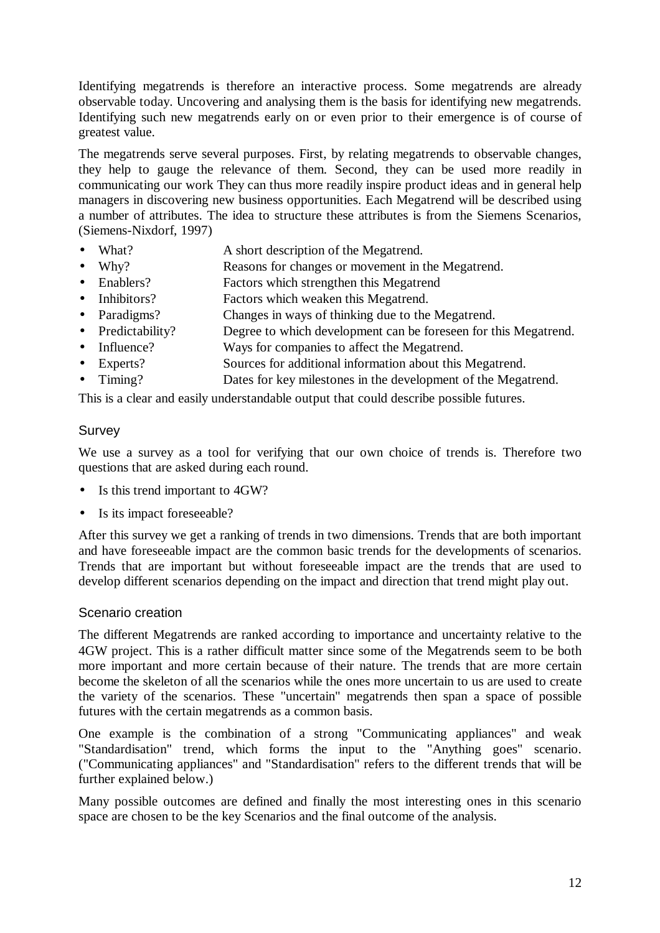Identifying megatrends is therefore an interactive process. Some megatrends are already observable today. Uncovering and analysing them is the basis for identifying new megatrends. Identifying such new megatrends early on or even prior to their emergence is of course of greatest value.

The megatrends serve several purposes. First, by relating megatrends to observable changes, they help to gauge the relevance of them. Second, they can be used more readily in communicating our work They can thus more readily inspire product ideas and in general help managers in discovering new business opportunities. Each Megatrend will be described using a number of attributes. The idea to structure these attributes is from the Siemens Scenarios, (Siemens-Nixdorf, 1997)

- What? A short description of the Megatrend.
- Why? Reasons for changes or movement in the Megatrend.
- Enablers? Factors which strengthen this Megatrend
- Inhibitors? Factors which weaken this Megatrend.
- Paradigms? Changes in ways of thinking due to the Megatrend.
- Predictability? Degree to which development can be foreseen for this Megatrend.
- Influence? Ways for companies to affect the Megatrend.
- Experts? Sources for additional information about this Megatrend.
- Timing? Dates for key milestones in the development of the Megatrend.

This is a clear and easily understandable output that could describe possible futures.

#### Survey

We use a survey as a tool for verifying that our own choice of trends is. Therefore two questions that are asked during each round.

- Is this trend important to 4GW?
- Is its impact foreseeable?

After this survey we get a ranking of trends in two dimensions. Trends that are both important and have foreseeable impact are the common basic trends for the developments of scenarios. Trends that are important but without foreseeable impact are the trends that are used to develop different scenarios depending on the impact and direction that trend might play out.

#### Scenario creation

The different Megatrends are ranked according to importance and uncertainty relative to the 4GW project. This is a rather difficult matter since some of the Megatrends seem to be both more important and more certain because of their nature. The trends that are more certain become the skeleton of all the scenarios while the ones more uncertain to us are used to create the variety of the scenarios. These "uncertain" megatrends then span a space of possible futures with the certain megatrends as a common basis.

One example is the combination of a strong "Communicating appliances" and weak "Standardisation" trend, which forms the input to the "Anything goes" scenario. ("Communicating appliances" and "Standardisation" refers to the different trends that will be further explained below.)

Many possible outcomes are defined and finally the most interesting ones in this scenario space are chosen to be the key Scenarios and the final outcome of the analysis.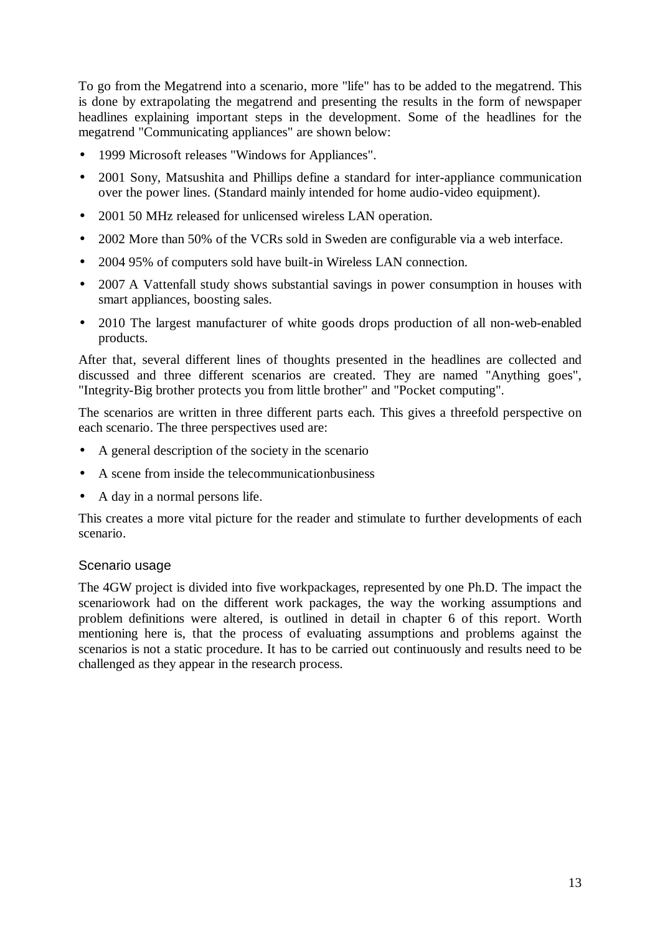To go from the Megatrend into a scenario, more "life" has to be added to the megatrend. This is done by extrapolating the megatrend and presenting the results in the form of newspaper headlines explaining important steps in the development. Some of the headlines for the megatrend "Communicating appliances" are shown below:

- 1999 Microsoft releases "Windows for Appliances".
- 2001 Sony, Matsushita and Phillips define a standard for inter-appliance communication over the power lines. (Standard mainly intended for home audio-video equipment).
- 2001 50 MHz released for unlicensed wireless LAN operation.
- 2002 More than 50% of the VCRs sold in Sweden are configurable via a web interface.
- 2004 95% of computers sold have built-in Wireless LAN connection.
- 2007 A Vattenfall study shows substantial savings in power consumption in houses with smart appliances, boosting sales.
- 2010 The largest manufacturer of white goods drops production of all non-web-enabled products.

After that, several different lines of thoughts presented in the headlines are collected and discussed and three different scenarios are created. They are named "Anything goes", "Integrity-Big brother protects you from little brother" and "Pocket computing".

The scenarios are written in three different parts each. This gives a threefold perspective on each scenario. The three perspectives used are:

- A general description of the society in the scenario
- A scene from inside the telecommunicationbusiness
- A day in a normal persons life.

This creates a more vital picture for the reader and stimulate to further developments of each scenario.

#### Scenario usage

The 4GW project is divided into five workpackages, represented by one Ph.D. The impact the scenariowork had on the different work packages, the way the working assumptions and problem definitions were altered, is outlined in detail in chapter 6 of this report. Worth mentioning here is, that the process of evaluating assumptions and problems against the scenarios is not a static procedure. It has to be carried out continuously and results need to be challenged as they appear in the research process.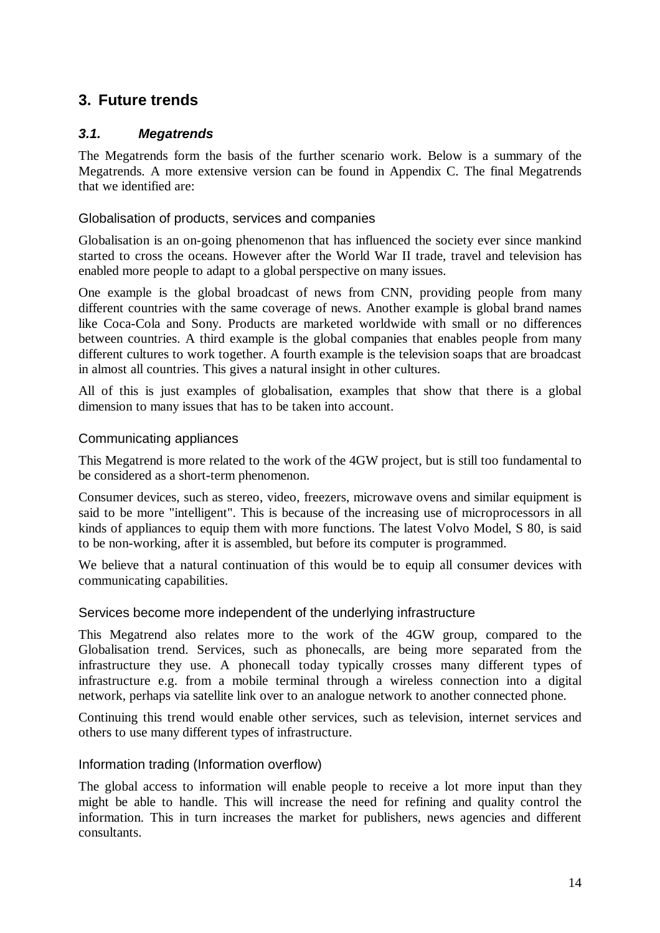# **3. Future trends**

## *3.1. Megatrends*

The Megatrends form the basis of the further scenario work. Below is a summary of the Megatrends. A more extensive version can be found in Appendix C. The final Megatrends that we identified are:

#### Globalisation of products, services and companies

Globalisation is an on-going phenomenon that has influenced the society ever since mankind started to cross the oceans. However after the World War II trade, travel and television has enabled more people to adapt to a global perspective on many issues.

One example is the global broadcast of news from CNN, providing people from many different countries with the same coverage of news. Another example is global brand names like Coca-Cola and Sony. Products are marketed worldwide with small or no differences between countries. A third example is the global companies that enables people from many different cultures to work together. A fourth example is the television soaps that are broadcast in almost all countries. This gives a natural insight in other cultures.

All of this is just examples of globalisation, examples that show that there is a global dimension to many issues that has to be taken into account.

#### Communicating appliances

This Megatrend is more related to the work of the 4GW project, but is still too fundamental to be considered as a short-term phenomenon.

Consumer devices, such as stereo, video, freezers, microwave ovens and similar equipment is said to be more "intelligent". This is because of the increasing use of microprocessors in all kinds of appliances to equip them with more functions. The latest Volvo Model, S 80, is said to be non-working, after it is assembled, but before its computer is programmed.

We believe that a natural continuation of this would be to equip all consumer devices with communicating capabilities.

#### Services become more independent of the underlying infrastructure

This Megatrend also relates more to the work of the 4GW group, compared to the Globalisation trend. Services, such as phonecalls, are being more separated from the infrastructure they use. A phonecall today typically crosses many different types of infrastructure e.g. from a mobile terminal through a wireless connection into a digital network, perhaps via satellite link over to an analogue network to another connected phone.

Continuing this trend would enable other services, such as television, internet services and others to use many different types of infrastructure.

#### Information trading (Information overflow)

The global access to information will enable people to receive a lot more input than they might be able to handle. This will increase the need for refining and quality control the information. This in turn increases the market for publishers, news agencies and different consultants.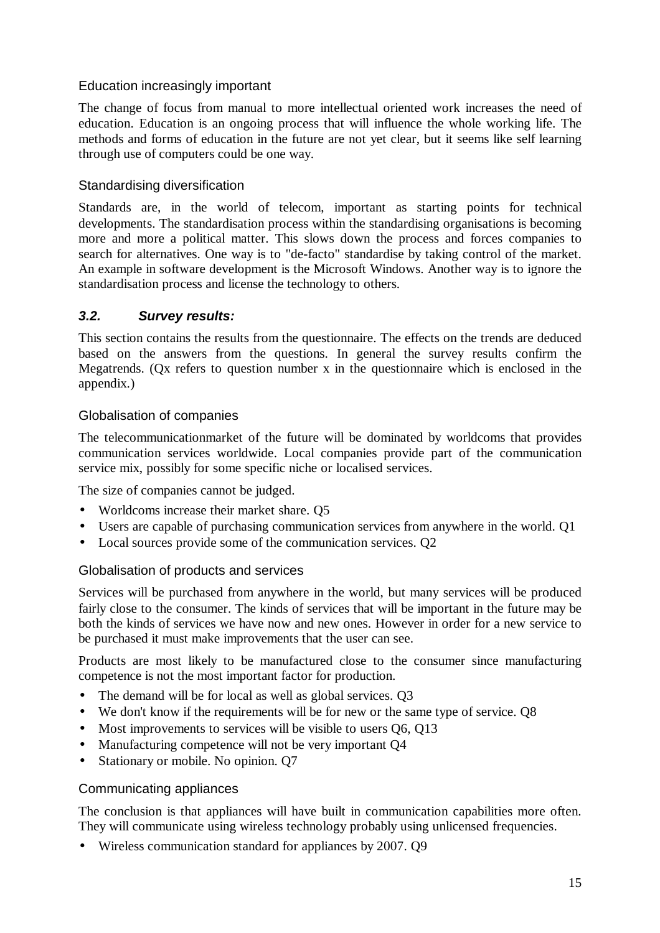## Education increasingly important

The change of focus from manual to more intellectual oriented work increases the need of education. Education is an ongoing process that will influence the whole working life. The methods and forms of education in the future are not yet clear, but it seems like self learning through use of computers could be one way.

#### Standardising diversification

Standards are, in the world of telecom, important as starting points for technical developments. The standardisation process within the standardising organisations is becoming more and more a political matter. This slows down the process and forces companies to search for alternatives. One way is to "de-facto" standardise by taking control of the market. An example in software development is the Microsoft Windows. Another way is to ignore the standardisation process and license the technology to others.

## *3.2. Survey results:*

This section contains the results from the questionnaire. The effects on the trends are deduced based on the answers from the questions. In general the survey results confirm the Megatrends. (Qx refers to question number x in the questionnaire which is enclosed in the appendix.)

#### Globalisation of companies

The telecommunicationmarket of the future will be dominated by worldcoms that provides communication services worldwide. Local companies provide part of the communication service mix, possibly for some specific niche or localised services.

The size of companies cannot be judged.

- Worldcoms increase their market share. Q5
- Users are capable of purchasing communication services from anywhere in the world. Q1
- Local sources provide some of the communication services. O2

#### Globalisation of products and services

Services will be purchased from anywhere in the world, but many services will be produced fairly close to the consumer. The kinds of services that will be important in the future may be both the kinds of services we have now and new ones. However in order for a new service to be purchased it must make improvements that the user can see.

Products are most likely to be manufactured close to the consumer since manufacturing competence is not the most important factor for production.

- The demand will be for local as well as global services. Q3
- We don't know if the requirements will be for new or the same type of service. Q8
- Most improvements to services will be visible to users 06, 013
- Manufacturing competence will not be very important Q4
- Stationary or mobile. No opinion. Q7

#### Communicating appliances

The conclusion is that appliances will have built in communication capabilities more often. They will communicate using wireless technology probably using unlicensed frequencies.

• Wireless communication standard for appliances by 2007. O9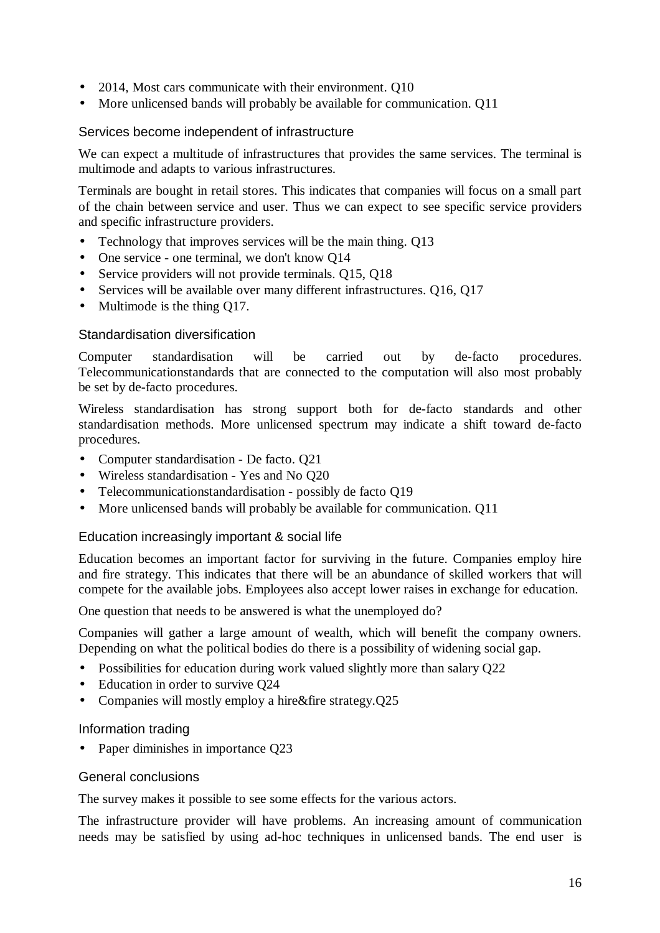- 2014, Most cars communicate with their environment. Q10
- More unlicensed bands will probably be available for communication. Q11

#### Services become independent of infrastructure

We can expect a multitude of infrastructures that provides the same services. The terminal is multimode and adapts to various infrastructures.

Terminals are bought in retail stores. This indicates that companies will focus on a small part of the chain between service and user. Thus we can expect to see specific service providers and specific infrastructure providers.

- Technology that improves services will be the main thing. Q13
- One service one terminal, we don't know Q14
- Service providers will not provide terminals. Q15, Q18
- Services will be available over many different infrastructures. Q16, Q17
- Multimode is the thing Q17.

#### Standardisation diversification

Computer standardisation will be carried out by de-facto procedures. Telecommunicationstandards that are connected to the computation will also most probably be set by de-facto procedures.

Wireless standardisation has strong support both for de-facto standards and other standardisation methods. More unlicensed spectrum may indicate a shift toward de-facto procedures.

- Computer standardisation De facto. Q21
- Wireless standardisation Yes and No Q20
- Telecommunicationstandardisation possibly de facto O19
- More unlicensed bands will probably be available for communication. Q11

#### Education increasingly important & social life

Education becomes an important factor for surviving in the future. Companies employ hire and fire strategy. This indicates that there will be an abundance of skilled workers that will compete for the available jobs. Employees also accept lower raises in exchange for education.

One question that needs to be answered is what the unemployed do?

Companies will gather a large amount of wealth, which will benefit the company owners. Depending on what the political bodies do there is a possibility of widening social gap.

- Possibilities for education during work valued slightly more than salary Q22
- Education in order to survive Q24
- Companies will mostly employ a hire&fire strategy.Q25

#### Information trading

• Paper diminishes in importance Q23

#### General conclusions

The survey makes it possible to see some effects for the various actors.

The infrastructure provider will have problems. An increasing amount of communication needs may be satisfied by using ad-hoc techniques in unlicensed bands. The end user is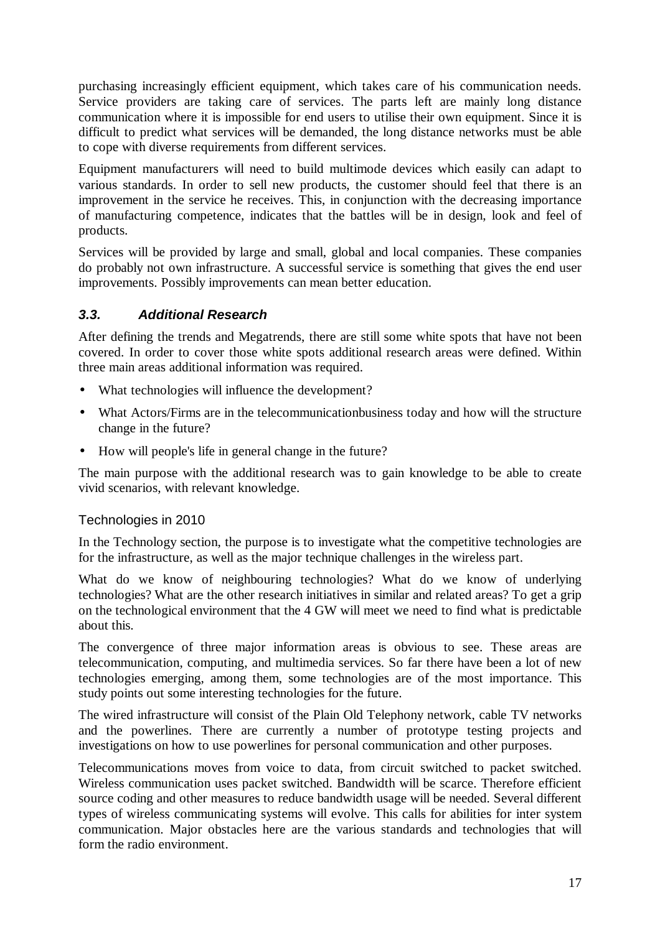purchasing increasingly efficient equipment, which takes care of his communication needs. Service providers are taking care of services. The parts left are mainly long distance communication where it is impossible for end users to utilise their own equipment. Since it is difficult to predict what services will be demanded, the long distance networks must be able to cope with diverse requirements from different services.

Equipment manufacturers will need to build multimode devices which easily can adapt to various standards. In order to sell new products, the customer should feel that there is an improvement in the service he receives. This, in conjunction with the decreasing importance of manufacturing competence, indicates that the battles will be in design, look and feel of products.

Services will be provided by large and small, global and local companies. These companies do probably not own infrastructure. A successful service is something that gives the end user improvements. Possibly improvements can mean better education.

# *3.3. Additional Research*

After defining the trends and Megatrends, there are still some white spots that have not been covered. In order to cover those white spots additional research areas were defined. Within three main areas additional information was required.

- What technologies will influence the development?
- What Actors/Firms are in the telecommunicationbusiness today and how will the structure change in the future?
- How will people's life in general change in the future?

The main purpose with the additional research was to gain knowledge to be able to create vivid scenarios, with relevant knowledge.

#### Technologies in 2010

In the Technology section, the purpose is to investigate what the competitive technologies are for the infrastructure, as well as the major technique challenges in the wireless part.

What do we know of neighbouring technologies? What do we know of underlying technologies? What are the other research initiatives in similar and related areas? To get a grip on the technological environment that the 4 GW will meet we need to find what is predictable about this.

The convergence of three major information areas is obvious to see. These areas are telecommunication, computing, and multimedia services. So far there have been a lot of new technologies emerging, among them, some technologies are of the most importance. This study points out some interesting technologies for the future.

The wired infrastructure will consist of the Plain Old Telephony network, cable TV networks and the powerlines. There are currently a number of prototype testing projects and investigations on how to use powerlines for personal communication and other purposes.

Telecommunications moves from voice to data, from circuit switched to packet switched. Wireless communication uses packet switched. Bandwidth will be scarce. Therefore efficient source coding and other measures to reduce bandwidth usage will be needed. Several different types of wireless communicating systems will evolve. This calls for abilities for inter system communication. Major obstacles here are the various standards and technologies that will form the radio environment.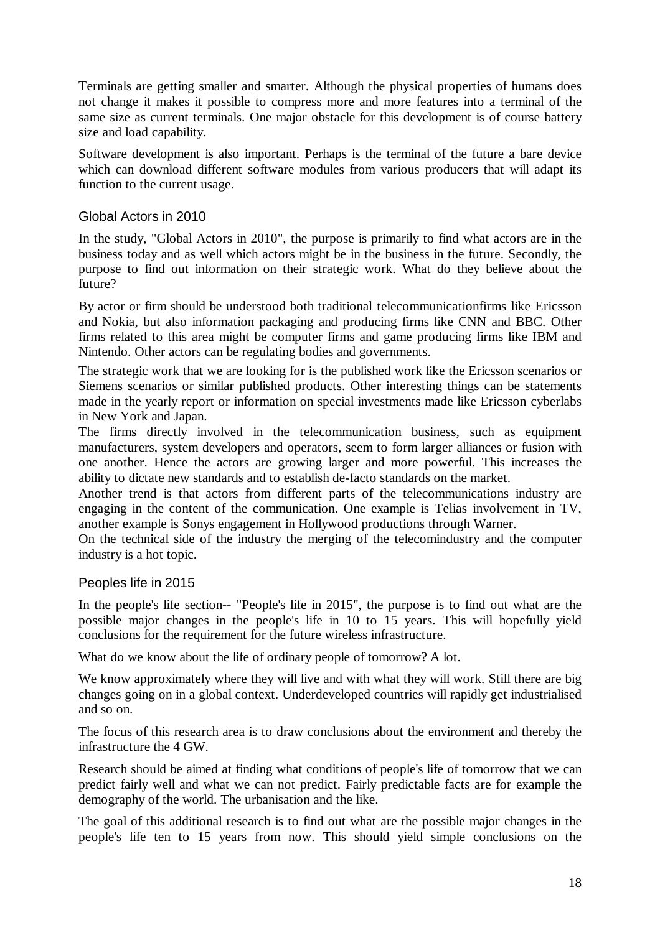Terminals are getting smaller and smarter. Although the physical properties of humans does not change it makes it possible to compress more and more features into a terminal of the same size as current terminals. One major obstacle for this development is of course battery size and load capability.

Software development is also important. Perhaps is the terminal of the future a bare device which can download different software modules from various producers that will adapt its function to the current usage.

#### Global Actors in 2010

In the study, "Global Actors in 2010", the purpose is primarily to find what actors are in the business today and as well which actors might be in the business in the future. Secondly, the purpose to find out information on their strategic work. What do they believe about the future?

By actor or firm should be understood both traditional telecommunicationfirms like Ericsson and Nokia, but also information packaging and producing firms like CNN and BBC. Other firms related to this area might be computer firms and game producing firms like IBM and Nintendo. Other actors can be regulating bodies and governments.

The strategic work that we are looking for is the published work like the Ericsson scenarios or Siemens scenarios or similar published products. Other interesting things can be statements made in the yearly report or information on special investments made like Ericsson cyberlabs in New York and Japan.

The firms directly involved in the telecommunication business, such as equipment manufacturers, system developers and operators, seem to form larger alliances or fusion with one another. Hence the actors are growing larger and more powerful. This increases the ability to dictate new standards and to establish de-facto standards on the market.

Another trend is that actors from different parts of the telecommunications industry are engaging in the content of the communication. One example is Telias involvement in TV, another example is Sonys engagement in Hollywood productions through Warner.

On the technical side of the industry the merging of the telecomindustry and the computer industry is a hot topic.

#### Peoples life in 2015

In the people's life section-- "People's life in 2015", the purpose is to find out what are the possible major changes in the people's life in 10 to 15 years. This will hopefully yield conclusions for the requirement for the future wireless infrastructure.

What do we know about the life of ordinary people of tomorrow? A lot.

We know approximately where they will live and with what they will work. Still there are big changes going on in a global context. Underdeveloped countries will rapidly get industrialised and so on.

The focus of this research area is to draw conclusions about the environment and thereby the infrastructure the 4 GW.

Research should be aimed at finding what conditions of people's life of tomorrow that we can predict fairly well and what we can not predict. Fairly predictable facts are for example the demography of the world. The urbanisation and the like.

The goal of this additional research is to find out what are the possible major changes in the people's life ten to 15 years from now. This should yield simple conclusions on the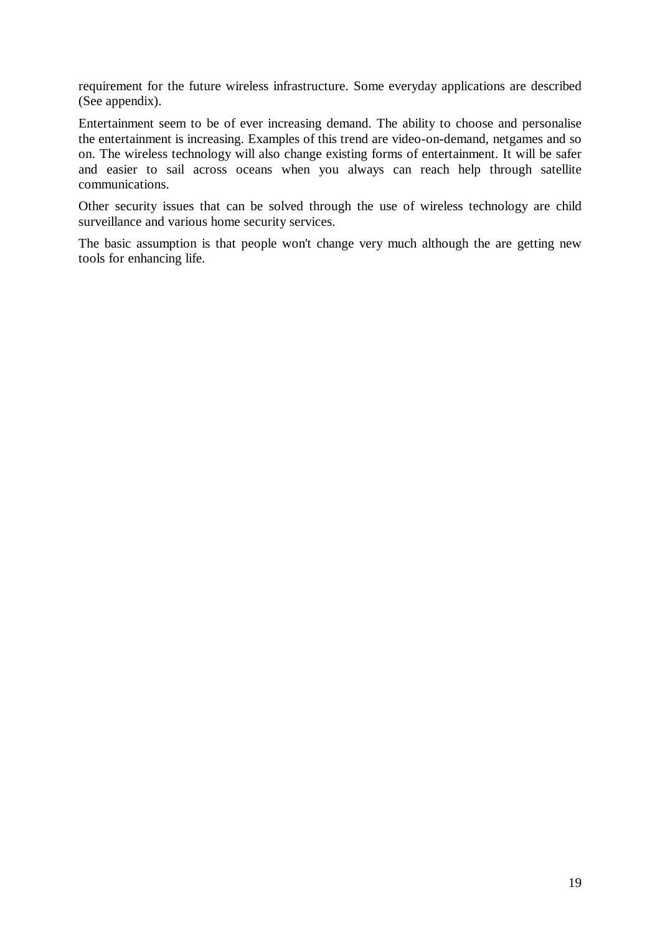requirement for the future wireless infrastructure. Some everyday applications are described (See appendix).

Entertainment seem to be of ever increasing demand. The ability to choose and personalise the entertainment is increasing. Examples of this trend are video-on-demand, netgames and so on. The wireless technology will also change existing forms of entertainment. It will be safer and easier to sail across oceans when you always can reach help through satellite communications.

Other security issues that can be solved through the use of wireless technology are child surveillance and various home security services.

The basic assumption is that people won't change very much although the are getting new tools for enhancing life.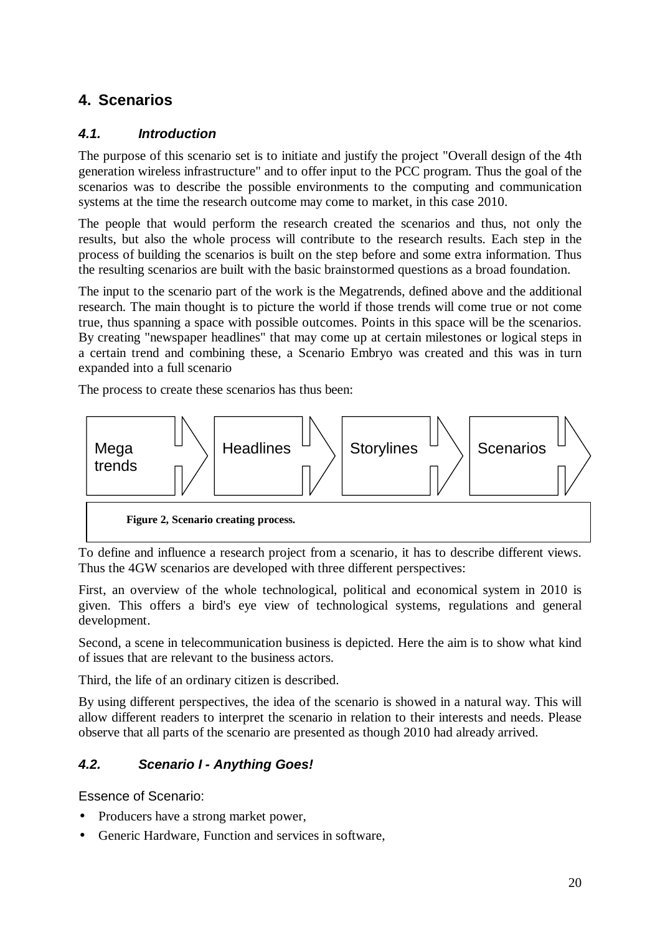# **4. Scenarios**

# *4.1. Introduction*

The purpose of this scenario set is to initiate and justify the project "Overall design of the 4th generation wireless infrastructure" and to offer input to the PCC program. Thus the goal of the scenarios was to describe the possible environments to the computing and communication systems at the time the research outcome may come to market, in this case 2010.

The people that would perform the research created the scenarios and thus, not only the results, but also the whole process will contribute to the research results. Each step in the process of building the scenarios is built on the step before and some extra information. Thus the resulting scenarios are built with the basic brainstormed questions as a broad foundation.

The input to the scenario part of the work is the Megatrends, defined above and the additional research. The main thought is to picture the world if those trends will come true or not come true, thus spanning a space with possible outcomes. Points in this space will be the scenarios. By creating "newspaper headlines" that may come up at certain milestones or logical steps in a certain trend and combining these, a Scenario Embryo was created and this was in turn expanded into a full scenario

The process to create these scenarios has thus been:



To define and influence a research project from a scenario, it has to describe different views. Thus the 4GW scenarios are developed with three different perspectives:

First, an overview of the whole technological, political and economical system in 2010 is given. This offers a bird's eye view of technological systems, regulations and general development.

Second, a scene in telecommunication business is depicted. Here the aim is to show what kind of issues that are relevant to the business actors.

Third, the life of an ordinary citizen is described.

By using different perspectives, the idea of the scenario is showed in a natural way. This will allow different readers to interpret the scenario in relation to their interests and needs. Please observe that all parts of the scenario are presented as though 2010 had already arrived.

# *4.2. Scenario I - Anything Goes!*

Essence of Scenario:

- Producers have a strong market power,
- Generic Hardware, Function and services in software,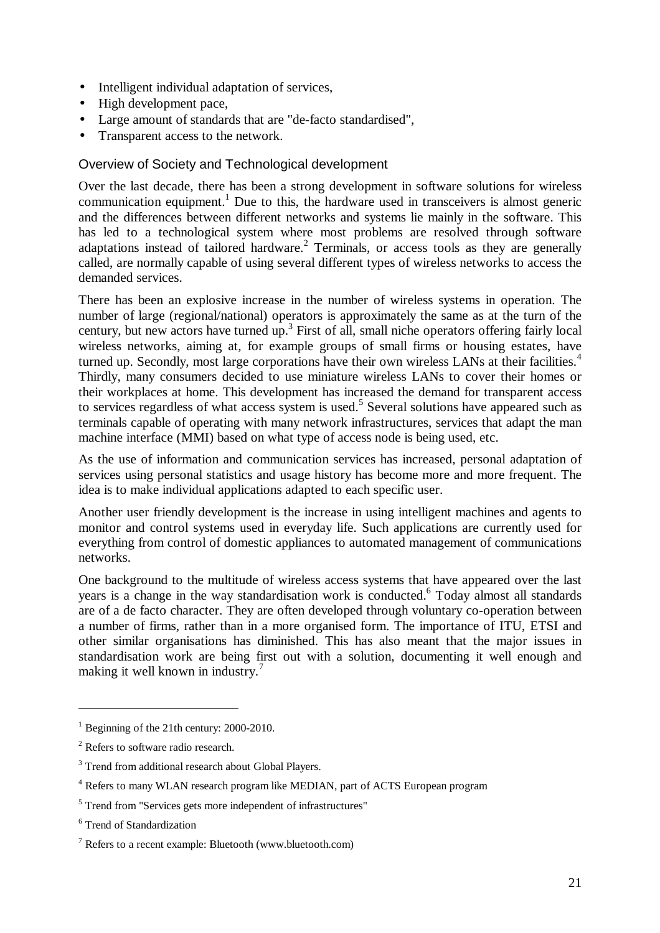- Intelligent individual adaptation of services,
- High development pace,
- Large amount of standards that are "de-facto standardised",
- Transparent access to the network.

#### Overview of Society and Technological development

Over the last decade, there has been a strong development in software solutions for wireless communication equipment.<sup>1</sup> Due to this, the hardware used in transceivers is almost generic and the differences between different networks and systems lie mainly in the software. This has led to a technological system where most problems are resolved through software adaptations instead of tailored hardware.<sup>2</sup> Terminals, or access tools as they are generally called, are normally capable of using several different types of wireless networks to access the demanded services.

There has been an explosive increase in the number of wireless systems in operation. The number of large (regional/national) operators is approximately the same as at the turn of the century, but new actors have turned up.<sup>3</sup> First of all, small niche operators offering fairly local wireless networks, aiming at, for example groups of small firms or housing estates, have turned up. Secondly, most large corporations have their own wireless LANs at their facilities.<sup>4</sup> Thirdly, many consumers decided to use miniature wireless LANs to cover their homes or their workplaces at home. This development has increased the demand for transparent access to services regardless of what access system is used.<sup>5</sup> Several solutions have appeared such as terminals capable of operating with many network infrastructures, services that adapt the man machine interface (MMI) based on what type of access node is being used, etc.

As the use of information and communication services has increased, personal adaptation of services using personal statistics and usage history has become more and more frequent. The idea is to make individual applications adapted to each specific user.

Another user friendly development is the increase in using intelligent machines and agents to monitor and control systems used in everyday life. Such applications are currently used for everything from control of domestic appliances to automated management of communications networks.

One background to the multitude of wireless access systems that have appeared over the last years is a change in the way standardisation work is conducted. Today almost all standards are of a de facto character. They are often developed through voluntary co-operation between a number of firms, rather than in a more organised form. The importance of ITU, ETSI and other similar organisations has diminished. This has also meant that the major issues in standardisation work are being first out with a solution, documenting it well enough and making it well known in industry.<sup>7</sup>

 $\overline{a}$ 

<sup>&</sup>lt;sup>1</sup> Beginning of the 21th century:  $2000-2010$ .

<sup>&</sup>lt;sup>2</sup> Refers to software radio research.

<sup>&</sup>lt;sup>3</sup> Trend from additional research about Global Players.

<sup>&</sup>lt;sup>4</sup> Refers to many WLAN research program like MEDIAN, part of ACTS European program

<sup>&</sup>lt;sup>5</sup> Trend from "Services gets more independent of infrastructures"

<sup>6</sup> Trend of Standardization

<sup>7</sup> Refers to a recent example: Bluetooth (www.bluetooth.com)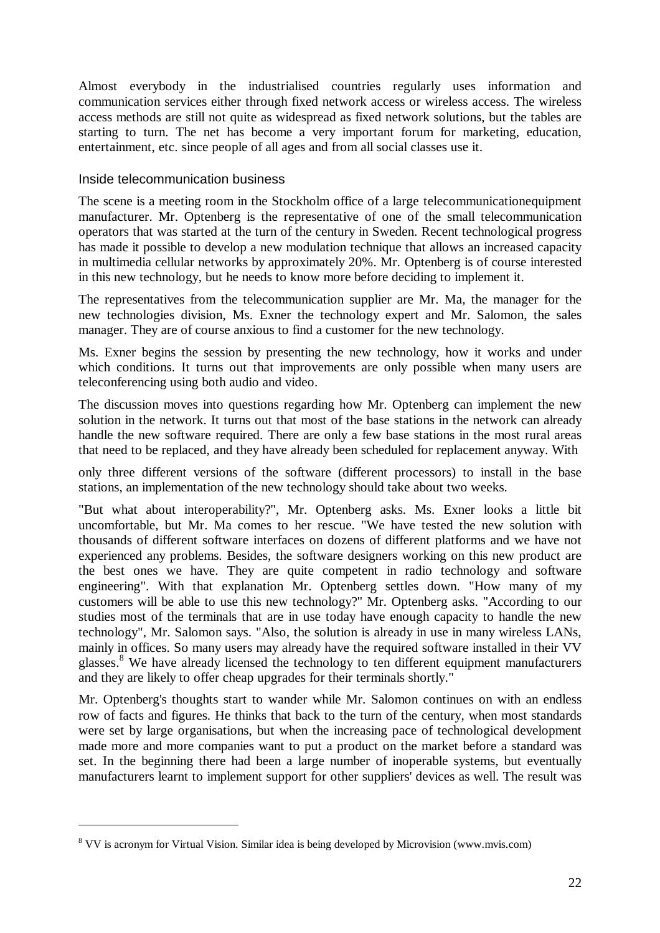Almost everybody in the industrialised countries regularly uses information and communication services either through fixed network access or wireless access. The wireless access methods are still not quite as widespread as fixed network solutions, but the tables are starting to turn. The net has become a very important forum for marketing, education, entertainment, etc. since people of all ages and from all social classes use it.

#### Inside telecommunication business

The scene is a meeting room in the Stockholm office of a large telecommunicationequipment manufacturer. Mr. Optenberg is the representative of one of the small telecommunication operators that was started at the turn of the century in Sweden. Recent technological progress has made it possible to develop a new modulation technique that allows an increased capacity in multimedia cellular networks by approximately 20%. Mr. Optenberg is of course interested in this new technology, but he needs to know more before deciding to implement it.

The representatives from the telecommunication supplier are Mr. Ma, the manager for the new technologies division, Ms. Exner the technology expert and Mr. Salomon, the sales manager. They are of course anxious to find a customer for the new technology.

Ms. Exner begins the session by presenting the new technology, how it works and under which conditions. It turns out that improvements are only possible when many users are teleconferencing using both audio and video.

The discussion moves into questions regarding how Mr. Optenberg can implement the new solution in the network. It turns out that most of the base stations in the network can already handle the new software required. There are only a few base stations in the most rural areas that need to be replaced, and they have already been scheduled for replacement anyway. With

only three different versions of the software (different processors) to install in the base stations, an implementation of the new technology should take about two weeks.

"But what about interoperability?", Mr. Optenberg asks. Ms. Exner looks a little bit uncomfortable, but Mr. Ma comes to her rescue. "We have tested the new solution with thousands of different software interfaces on dozens of different platforms and we have not experienced any problems. Besides, the software designers working on this new product are the best ones we have. They are quite competent in radio technology and software engineering". With that explanation Mr. Optenberg settles down. "How many of my customers will be able to use this new technology?" Mr. Optenberg asks. "According to our studies most of the terminals that are in use today have enough capacity to handle the new technology", Mr. Salomon says. "Also, the solution is already in use in many wireless LANs, mainly in offices. So many users may already have the required software installed in their VV glasses.<sup>8</sup> We have already licensed the technology to ten different equipment manufacturers and they are likely to offer cheap upgrades for their terminals shortly."

Mr. Optenberg's thoughts start to wander while Mr. Salomon continues on with an endless row of facts and figures. He thinks that back to the turn of the century, when most standards were set by large organisations, but when the increasing pace of technological development made more and more companies want to put a product on the market before a standard was set. In the beginning there had been a large number of inoperable systems, but eventually manufacturers learnt to implement support for other suppliers' devices as well. The result was

 $\overline{a}$ 

<sup>&</sup>lt;sup>8</sup> VV is acronym for Virtual Vision. Similar idea is being developed by Microvision (www.mvis.com)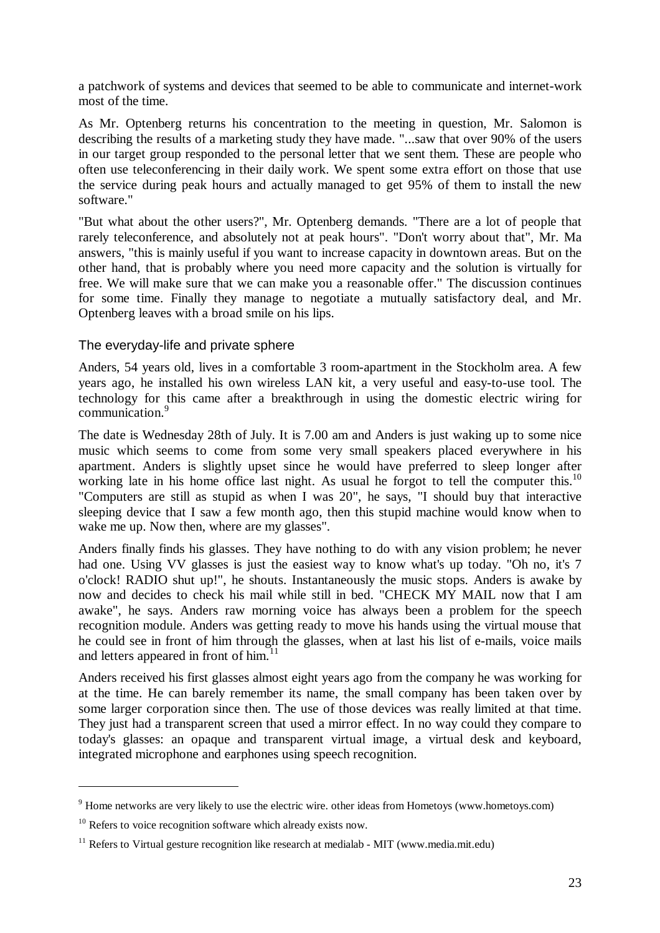a patchwork of systems and devices that seemed to be able to communicate and internet-work most of the time.

As Mr. Optenberg returns his concentration to the meeting in question, Mr. Salomon is describing the results of a marketing study they have made. "...saw that over 90% of the users in our target group responded to the personal letter that we sent them. These are people who often use teleconferencing in their daily work. We spent some extra effort on those that use the service during peak hours and actually managed to get 95% of them to install the new software."

"But what about the other users?", Mr. Optenberg demands. "There are a lot of people that rarely teleconference, and absolutely not at peak hours". "Don't worry about that", Mr. Ma answers, "this is mainly useful if you want to increase capacity in downtown areas. But on the other hand, that is probably where you need more capacity and the solution is virtually for free. We will make sure that we can make you a reasonable offer." The discussion continues for some time. Finally they manage to negotiate a mutually satisfactory deal, and Mr. Optenberg leaves with a broad smile on his lips.

#### The everyday-life and private sphere

Anders, 54 years old, lives in a comfortable 3 room-apartment in the Stockholm area. A few years ago, he installed his own wireless LAN kit, a very useful and easy-to-use tool. The technology for this came after a breakthrough in using the domestic electric wiring for communication.<sup>9</sup>

The date is Wednesday 28th of July. It is 7.00 am and Anders is just waking up to some nice music which seems to come from some very small speakers placed everywhere in his apartment. Anders is slightly upset since he would have preferred to sleep longer after working late in his home office last night. As usual he forgot to tell the computer this.<sup>10</sup> "Computers are still as stupid as when I was 20", he says, "I should buy that interactive sleeping device that I saw a few month ago, then this stupid machine would know when to wake me up. Now then, where are my glasses".

Anders finally finds his glasses. They have nothing to do with any vision problem; he never had one. Using VV glasses is just the easiest way to know what's up today. "Oh no, it's 7 o'clock! RADIO shut up!", he shouts. Instantaneously the music stops. Anders is awake by now and decides to check his mail while still in bed. "CHECK MY MAIL now that I am awake", he says. Anders raw morning voice has always been a problem for the speech recognition module. Anders was getting ready to move his hands using the virtual mouse that he could see in front of him through the glasses, when at last his list of e-mails, voice mails and letters appeared in front of him.<sup>1</sup>

Anders received his first glasses almost eight years ago from the company he was working for at the time. He can barely remember its name, the small company has been taken over by some larger corporation since then. The use of those devices was really limited at that time. They just had a transparent screen that used a mirror effect. In no way could they compare to today's glasses: an opaque and transparent virtual image, a virtual desk and keyboard, integrated microphone and earphones using speech recognition.

<sup>9</sup> Home networks are very likely to use the electric wire. other ideas from Hometoys (www.hometoys.com)

 $10$  Refers to voice recognition software which already exists now.

 $11$  Refers to Virtual gesture recognition like research at medialab - MIT (www.media.mit.edu)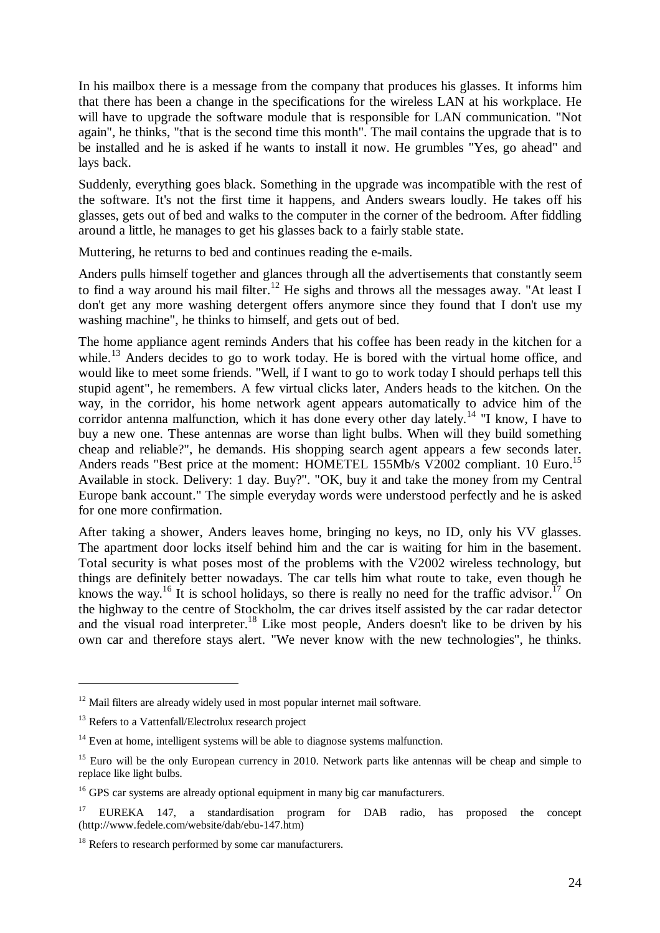In his mailbox there is a message from the company that produces his glasses. It informs him that there has been a change in the specifications for the wireless LAN at his workplace. He will have to upgrade the software module that is responsible for LAN communication. "Not again", he thinks, "that is the second time this month". The mail contains the upgrade that is to be installed and he is asked if he wants to install it now. He grumbles "Yes, go ahead" and lays back.

Suddenly, everything goes black. Something in the upgrade was incompatible with the rest of the software. It's not the first time it happens, and Anders swears loudly. He takes off his glasses, gets out of bed and walks to the computer in the corner of the bedroom. After fiddling around a little, he manages to get his glasses back to a fairly stable state.

Muttering, he returns to bed and continues reading the e-mails.

Anders pulls himself together and glances through all the advertisements that constantly seem to find a way around his mail filter.<sup>12</sup> He sighs and throws all the messages away. "At least I don't get any more washing detergent offers anymore since they found that I don't use my washing machine", he thinks to himself, and gets out of bed.

The home appliance agent reminds Anders that his coffee has been ready in the kitchen for a while.<sup>13</sup> Anders decides to go to work today. He is bored with the virtual home office, and would like to meet some friends. "Well, if I want to go to work today I should perhaps tell this stupid agent", he remembers. A few virtual clicks later, Anders heads to the kitchen. On the way, in the corridor, his home network agent appears automatically to advice him of the corridor antenna malfunction, which it has done every other day lately.<sup>14</sup> "I know, I have to buy a new one. These antennas are worse than light bulbs. When will they build something cheap and reliable?", he demands. His shopping search agent appears a few seconds later. Anders reads "Best price at the moment: HOMETEL 155Mb/s V2002 compliant. 10 Euro.<sup>15</sup> Available in stock. Delivery: 1 day. Buy?". "OK, buy it and take the money from my Central Europe bank account." The simple everyday words were understood perfectly and he is asked for one more confirmation.

After taking a shower, Anders leaves home, bringing no keys, no ID, only his VV glasses. The apartment door locks itself behind him and the car is waiting for him in the basement. Total security is what poses most of the problems with the V2002 wireless technology, but things are definitely better nowadays. The car tells him what route to take, even though he knows the way.<sup>16</sup> It is school holidays, so there is really no need for the traffic advisor.<sup>17</sup> On the highway to the centre of Stockholm, the car drives itself assisted by the car radar detector and the visual road interpreter.<sup>18</sup> Like most people, Anders doesn't like to be driven by his own car and therefore stays alert. "We never know with the new technologies", he thinks.

<sup>&</sup>lt;sup>12</sup> Mail filters are already widely used in most popular internet mail software.

<sup>&</sup>lt;sup>13</sup> Refers to a Vattenfall/Electrolux research project

 $14$  Even at home, intelligent systems will be able to diagnose systems malfunction.

<sup>&</sup>lt;sup>15</sup> Euro will be the only European currency in 2010. Network parts like antennas will be cheap and simple to replace like light bulbs.

 $16$  GPS car systems are already optional equipment in many big car manufacturers.

<sup>&</sup>lt;sup>17</sup> EUREKA 147, a standardisation program for DAB radio, has proposed the concept (http://www.fedele.com/website/dab/ebu-147.htm)

<sup>&</sup>lt;sup>18</sup> Refers to research performed by some car manufacturers.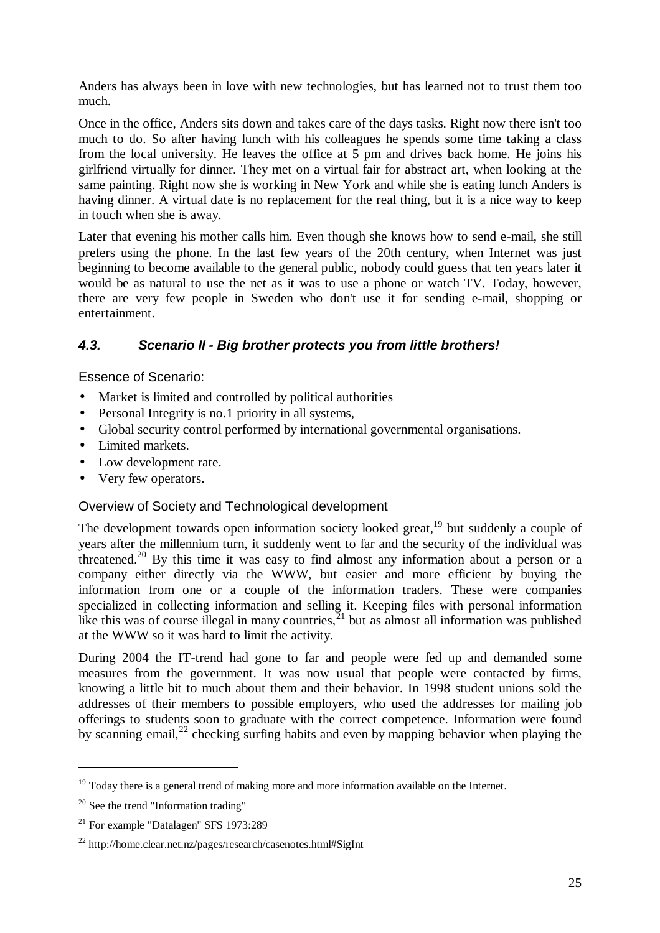Anders has always been in love with new technologies, but has learned not to trust them too much.

Once in the office, Anders sits down and takes care of the days tasks. Right now there isn't too much to do. So after having lunch with his colleagues he spends some time taking a class from the local university. He leaves the office at 5 pm and drives back home. He joins his girlfriend virtually for dinner. They met on a virtual fair for abstract art, when looking at the same painting. Right now she is working in New York and while she is eating lunch Anders is having dinner. A virtual date is no replacement for the real thing, but it is a nice way to keep in touch when she is away.

Later that evening his mother calls him. Even though she knows how to send e-mail, she still prefers using the phone. In the last few years of the 20th century, when Internet was just beginning to become available to the general public, nobody could guess that ten years later it would be as natural to use the net as it was to use a phone or watch TV. Today, however, there are very few people in Sweden who don't use it for sending e-mail, shopping or entertainment.

# *4.3. Scenario II - Big brother protects you from little brothers!*

Essence of Scenario:

- Market is limited and controlled by political authorities
- Personal Integrity is no.1 priority in all systems,
- Global security control performed by international governmental organisations.
- Limited markets.
- Low development rate.
- Very few operators.

#### Overview of Society and Technological development

The development towards open information society looked great,<sup>19</sup> but suddenly a couple of years after the millennium turn, it suddenly went to far and the security of the individual was threatened.<sup>20</sup> By this time it was easy to find almost any information about a person or a company either directly via the WWW, but easier and more efficient by buying the information from one or a couple of the information traders. These were companies specialized in collecting information and selling it. Keeping files with personal information like this was of course illegal in many countries,  $\frac{1}{2}$  but as almost all information was published at the WWW so it was hard to limit the activity.

During 2004 the IT-trend had gone to far and people were fed up and demanded some measures from the government. It was now usual that people were contacted by firms, knowing a little bit to much about them and their behavior. In 1998 student unions sold the addresses of their members to possible employers, who used the addresses for mailing job offerings to students soon to graduate with the correct competence. Information were found by scanning email,  $^{22}$  checking surfing habits and even by mapping behavior when playing the

 $19$  Today there is a general trend of making more and more information available on the Internet.

 $20$  See the trend "Information trading"

<sup>21</sup> For example "Datalagen" SFS 1973:289

<sup>22</sup> http://home.clear.net.nz/pages/research/casenotes.html#SigInt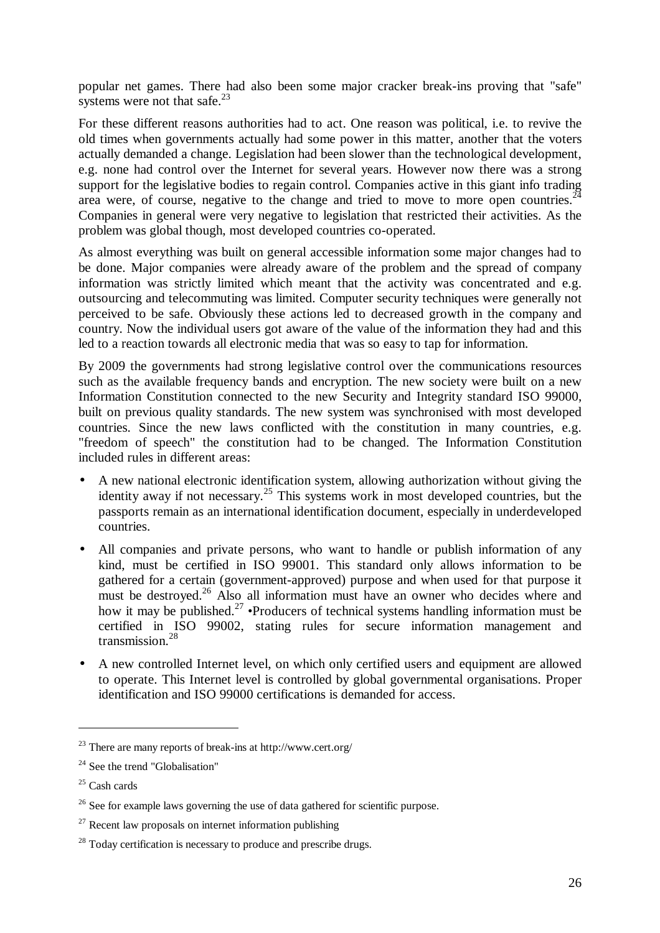popular net games. There had also been some major cracker break-ins proving that "safe" systems were not that safe. $23$ 

For these different reasons authorities had to act. One reason was political, i.e. to revive the old times when governments actually had some power in this matter, another that the voters actually demanded a change. Legislation had been slower than the technological development, e.g. none had control over the Internet for several years. However now there was a strong support for the legislative bodies to regain control. Companies active in this giant info trading area were, of course, negative to the change and tried to move to more open countries. $^{24}$ Companies in general were very negative to legislation that restricted their activities. As the problem was global though, most developed countries co-operated.

As almost everything was built on general accessible information some major changes had to be done. Major companies were already aware of the problem and the spread of company information was strictly limited which meant that the activity was concentrated and e.g. outsourcing and telecommuting was limited. Computer security techniques were generally not perceived to be safe. Obviously these actions led to decreased growth in the company and country. Now the individual users got aware of the value of the information they had and this led to a reaction towards all electronic media that was so easy to tap for information.

By 2009 the governments had strong legislative control over the communications resources such as the available frequency bands and encryption. The new society were built on a new Information Constitution connected to the new Security and Integrity standard ISO 99000, built on previous quality standards. The new system was synchronised with most developed countries. Since the new laws conflicted with the constitution in many countries, e.g. "freedom of speech" the constitution had to be changed. The Information Constitution included rules in different areas:

- A new national electronic identification system, allowing authorization without giving the identity away if not necessary.<sup>25</sup> This systems work in most developed countries, but the passports remain as an international identification document, especially in underdeveloped countries.
- All companies and private persons, who want to handle or publish information of any kind, must be certified in ISO 99001. This standard only allows information to be gathered for a certain (government-approved) purpose and when used for that purpose it must be destroyed.<sup>26</sup> Also all information must have an owner who decides where and how it may be published.<sup>27</sup> •Producers of technical systems handling information must be certified in ISO 99002, stating rules for secure information management and transmission.<sup>28</sup>
- A new controlled Internet level, on which only certified users and equipment are allowed to operate. This Internet level is controlled by global governmental organisations. Proper identification and ISO 99000 certifications is demanded for access.

<sup>23</sup> There are many reports of break-ins at http://www.cert.org/

 $24$  See the trend "Globalisation"

 $25$  Cash cards

<sup>&</sup>lt;sup>26</sup> See for example laws governing the use of data gathered for scientific purpose.

 $27$  Recent law proposals on internet information publishing

<sup>&</sup>lt;sup>28</sup> Today certification is necessary to produce and prescribe drugs.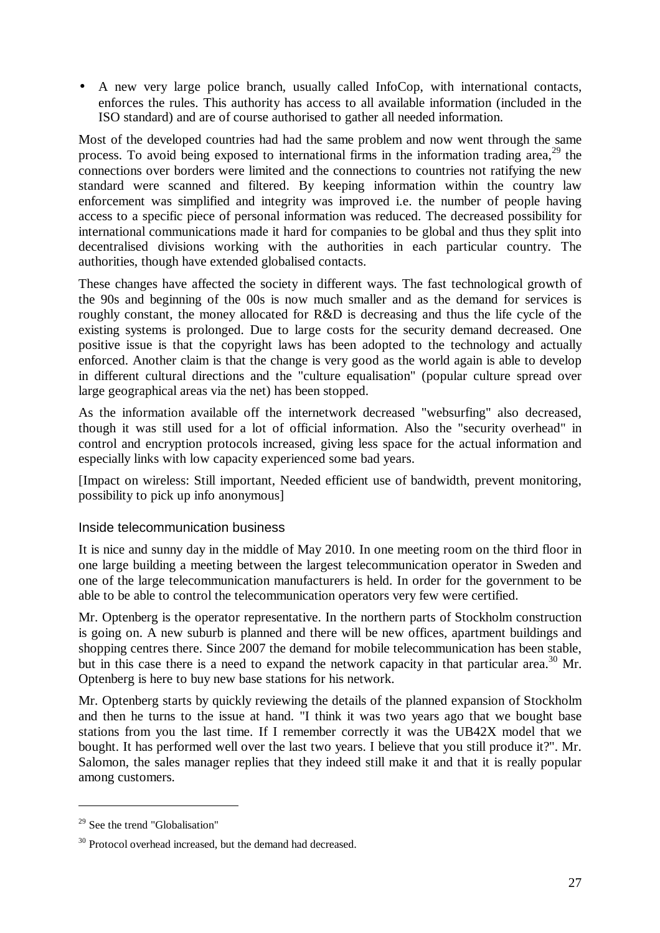• A new very large police branch, usually called InfoCop, with international contacts, enforces the rules. This authority has access to all available information (included in the ISO standard) and are of course authorised to gather all needed information.

Most of the developed countries had had the same problem and now went through the same process. To avoid being exposed to international firms in the information trading area,  $^{29}$  the connections over borders were limited and the connections to countries not ratifying the new standard were scanned and filtered. By keeping information within the country law enforcement was simplified and integrity was improved i.e. the number of people having access to a specific piece of personal information was reduced. The decreased possibility for international communications made it hard for companies to be global and thus they split into decentralised divisions working with the authorities in each particular country. The authorities, though have extended globalised contacts.

These changes have affected the society in different ways. The fast technological growth of the 90s and beginning of the 00s is now much smaller and as the demand for services is roughly constant, the money allocated for R&D is decreasing and thus the life cycle of the existing systems is prolonged. Due to large costs for the security demand decreased. One positive issue is that the copyright laws has been adopted to the technology and actually enforced. Another claim is that the change is very good as the world again is able to develop in different cultural directions and the "culture equalisation" (popular culture spread over large geographical areas via the net) has been stopped.

As the information available off the internetwork decreased "websurfing" also decreased, though it was still used for a lot of official information. Also the "security overhead" in control and encryption protocols increased, giving less space for the actual information and especially links with low capacity experienced some bad years.

[Impact on wireless: Still important, Needed efficient use of bandwidth, prevent monitoring, possibility to pick up info anonymous]

#### Inside telecommunication business

It is nice and sunny day in the middle of May 2010. In one meeting room on the third floor in one large building a meeting between the largest telecommunication operator in Sweden and one of the large telecommunication manufacturers is held. In order for the government to be able to be able to control the telecommunication operators very few were certified.

Mr. Optenberg is the operator representative. In the northern parts of Stockholm construction is going on. A new suburb is planned and there will be new offices, apartment buildings and shopping centres there. Since 2007 the demand for mobile telecommunication has been stable, but in this case there is a need to expand the network capacity in that particular area.<sup>30</sup> Mr. Optenberg is here to buy new base stations for his network.

Mr. Optenberg starts by quickly reviewing the details of the planned expansion of Stockholm and then he turns to the issue at hand. "I think it was two years ago that we bought base stations from you the last time. If I remember correctly it was the UB42X model that we bought. It has performed well over the last two years. I believe that you still produce it?". Mr. Salomon, the sales manager replies that they indeed still make it and that it is really popular among customers.

 $\overline{a}$ 

<sup>&</sup>lt;sup>29</sup> See the trend "Globalisation"

<sup>&</sup>lt;sup>30</sup> Protocol overhead increased, but the demand had decreased.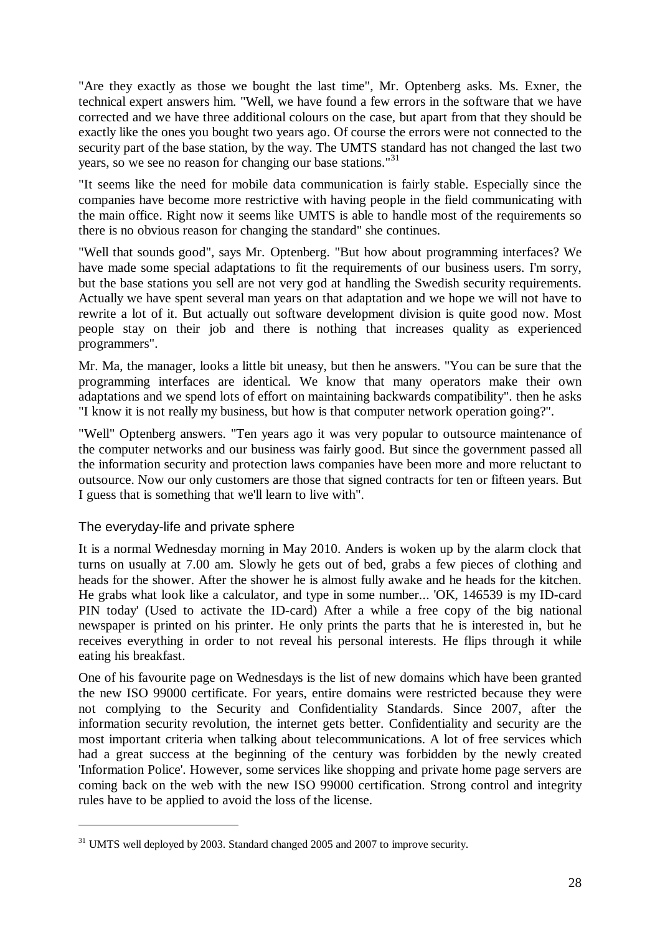"Are they exactly as those we bought the last time", Mr. Optenberg asks. Ms. Exner, the technical expert answers him. "Well, we have found a few errors in the software that we have corrected and we have three additional colours on the case, but apart from that they should be exactly like the ones you bought two years ago. Of course the errors were not connected to the security part of the base station, by the way. The UMTS standard has not changed the last two years, so we see no reason for changing our base stations."<sup>31</sup>

"It seems like the need for mobile data communication is fairly stable. Especially since the companies have become more restrictive with having people in the field communicating with the main office. Right now it seems like UMTS is able to handle most of the requirements so there is no obvious reason for changing the standard" she continues.

"Well that sounds good", says Mr. Optenberg. "But how about programming interfaces? We have made some special adaptations to fit the requirements of our business users. I'm sorry, but the base stations you sell are not very god at handling the Swedish security requirements. Actually we have spent several man years on that adaptation and we hope we will not have to rewrite a lot of it. But actually out software development division is quite good now. Most people stay on their job and there is nothing that increases quality as experienced programmers".

Mr. Ma, the manager, looks a little bit uneasy, but then he answers. "You can be sure that the programming interfaces are identical. We know that many operators make their own adaptations and we spend lots of effort on maintaining backwards compatibility". then he asks "I know it is not really my business, but how is that computer network operation going?".

"Well" Optenberg answers. "Ten years ago it was very popular to outsource maintenance of the computer networks and our business was fairly good. But since the government passed all the information security and protection laws companies have been more and more reluctant to outsource. Now our only customers are those that signed contracts for ten or fifteen years. But I guess that is something that we'll learn to live with".

#### The everyday-life and private sphere

 $\overline{a}$ 

It is a normal Wednesday morning in May 2010. Anders is woken up by the alarm clock that turns on usually at 7.00 am. Slowly he gets out of bed, grabs a few pieces of clothing and heads for the shower. After the shower he is almost fully awake and he heads for the kitchen. He grabs what look like a calculator, and type in some number... 'OK, 146539 is my ID-card PIN today' (Used to activate the ID-card) After a while a free copy of the big national newspaper is printed on his printer. He only prints the parts that he is interested in, but he receives everything in order to not reveal his personal interests. He flips through it while eating his breakfast.

One of his favourite page on Wednesdays is the list of new domains which have been granted the new ISO 99000 certificate. For years, entire domains were restricted because they were not complying to the Security and Confidentiality Standards. Since 2007, after the information security revolution, the internet gets better. Confidentiality and security are the most important criteria when talking about telecommunications. A lot of free services which had a great success at the beginning of the century was forbidden by the newly created 'Information Police'. However, some services like shopping and private home page servers are coming back on the web with the new ISO 99000 certification. Strong control and integrity rules have to be applied to avoid the loss of the license.

 $31$  UMTS well deployed by 2003. Standard changed 2005 and 2007 to improve security.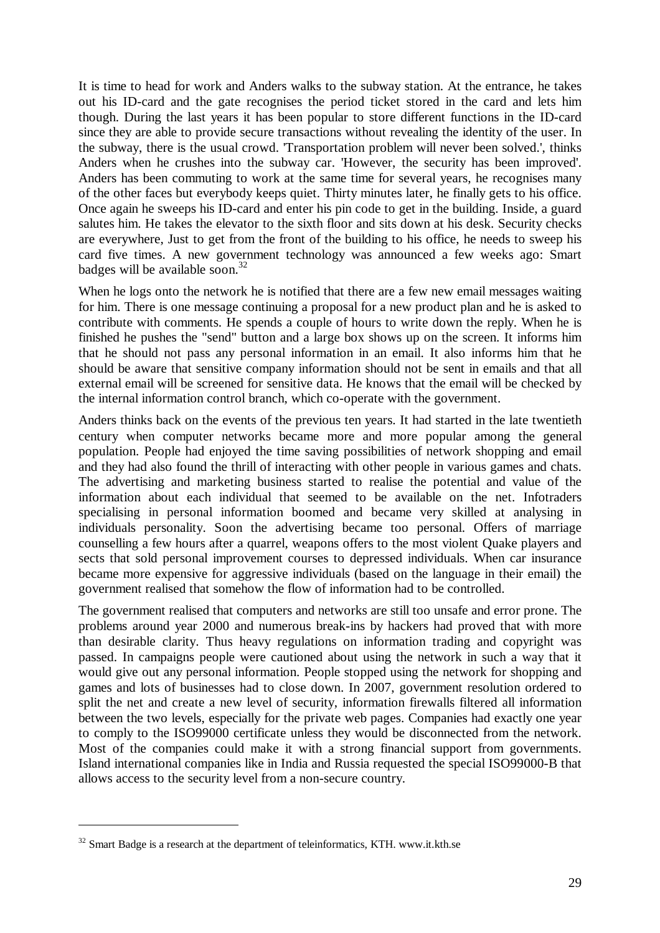It is time to head for work and Anders walks to the subway station. At the entrance, he takes out his ID-card and the gate recognises the period ticket stored in the card and lets him though. During the last years it has been popular to store different functions in the ID-card since they are able to provide secure transactions without revealing the identity of the user. In the subway, there is the usual crowd. 'Transportation problem will never been solved.', thinks Anders when he crushes into the subway car. 'However, the security has been improved'. Anders has been commuting to work at the same time for several years, he recognises many of the other faces but everybody keeps quiet. Thirty minutes later, he finally gets to his office. Once again he sweeps his ID-card and enter his pin code to get in the building. Inside, a guard salutes him. He takes the elevator to the sixth floor and sits down at his desk. Security checks are everywhere, Just to get from the front of the building to his office, he needs to sweep his card five times. A new government technology was announced a few weeks ago: Smart badges will be available soon.<sup>32</sup>

When he logs onto the network he is notified that there are a few new email messages waiting for him. There is one message continuing a proposal for a new product plan and he is asked to contribute with comments. He spends a couple of hours to write down the reply. When he is finished he pushes the "send" button and a large box shows up on the screen. It informs him that he should not pass any personal information in an email. It also informs him that he should be aware that sensitive company information should not be sent in emails and that all external email will be screened for sensitive data. He knows that the email will be checked by the internal information control branch, which co-operate with the government.

Anders thinks back on the events of the previous ten years. It had started in the late twentieth century when computer networks became more and more popular among the general population. People had enjoyed the time saving possibilities of network shopping and email and they had also found the thrill of interacting with other people in various games and chats. The advertising and marketing business started to realise the potential and value of the information about each individual that seemed to be available on the net. Infotraders specialising in personal information boomed and became very skilled at analysing in individuals personality. Soon the advertising became too personal. Offers of marriage counselling a few hours after a quarrel, weapons offers to the most violent Quake players and sects that sold personal improvement courses to depressed individuals. When car insurance became more expensive for aggressive individuals (based on the language in their email) the government realised that somehow the flow of information had to be controlled.

The government realised that computers and networks are still too unsafe and error prone. The problems around year 2000 and numerous break-ins by hackers had proved that with more than desirable clarity. Thus heavy regulations on information trading and copyright was passed. In campaigns people were cautioned about using the network in such a way that it would give out any personal information. People stopped using the network for shopping and games and lots of businesses had to close down. In 2007, government resolution ordered to split the net and create a new level of security, information firewalls filtered all information between the two levels, especially for the private web pages. Companies had exactly one year to comply to the ISO99000 certificate unless they would be disconnected from the network. Most of the companies could make it with a strong financial support from governments. Island international companies like in India and Russia requested the special ISO99000-B that allows access to the security level from a non-secure country.

 $\overline{a}$ 

 $32$  Smart Badge is a research at the department of teleinformatics, KTH. www.it.kth.se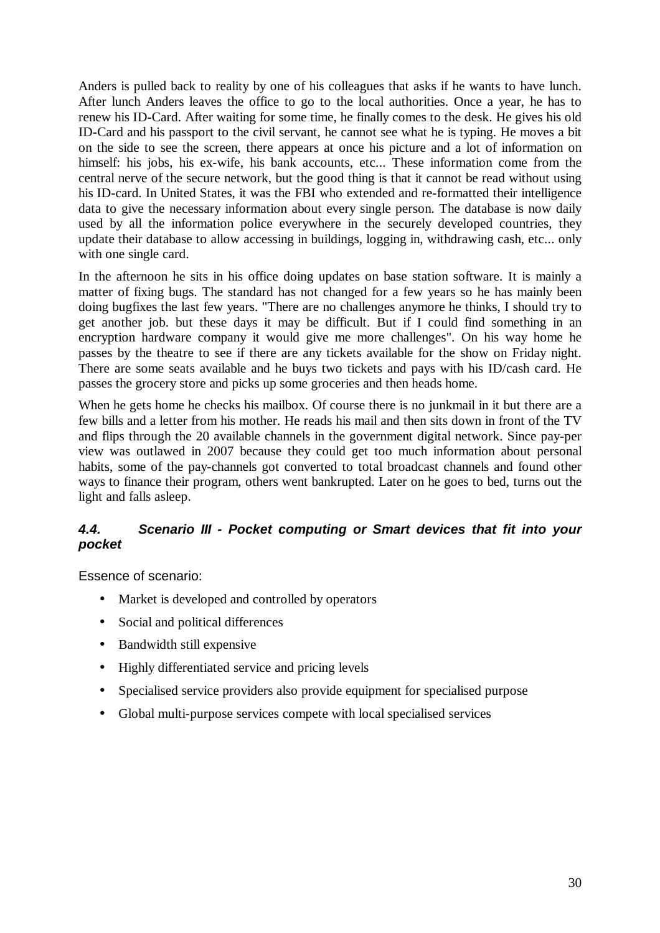Anders is pulled back to reality by one of his colleagues that asks if he wants to have lunch. After lunch Anders leaves the office to go to the local authorities. Once a year, he has to renew his ID-Card. After waiting for some time, he finally comes to the desk. He gives his old ID-Card and his passport to the civil servant, he cannot see what he is typing. He moves a bit on the side to see the screen, there appears at once his picture and a lot of information on himself: his jobs, his ex-wife, his bank accounts, etc... These information come from the central nerve of the secure network, but the good thing is that it cannot be read without using his ID-card. In United States, it was the FBI who extended and re-formatted their intelligence data to give the necessary information about every single person. The database is now daily used by all the information police everywhere in the securely developed countries, they update their database to allow accessing in buildings, logging in, withdrawing cash, etc... only with one single card.

In the afternoon he sits in his office doing updates on base station software. It is mainly a matter of fixing bugs. The standard has not changed for a few years so he has mainly been doing bugfixes the last few years. "There are no challenges anymore he thinks, I should try to get another job. but these days it may be difficult. But if I could find something in an encryption hardware company it would give me more challenges". On his way home he passes by the theatre to see if there are any tickets available for the show on Friday night. There are some seats available and he buys two tickets and pays with his ID/cash card. He passes the grocery store and picks up some groceries and then heads home.

When he gets home he checks his mailbox. Of course there is no junkmail in it but there are a few bills and a letter from his mother. He reads his mail and then sits down in front of the TV and flips through the 20 available channels in the government digital network. Since pay-per view was outlawed in 2007 because they could get too much information about personal habits, some of the pay-channels got converted to total broadcast channels and found other ways to finance their program, others went bankrupted. Later on he goes to bed, turns out the light and falls asleep.

## *4.4. Scenario III - Pocket computing or Smart devices that fit into your pocket*

Essence of scenario:

- Market is developed and controlled by operators
- Social and political differences
- Bandwidth still expensive
- Highly differentiated service and pricing levels
- Specialised service providers also provide equipment for specialised purpose
- Global multi-purpose services compete with local specialised services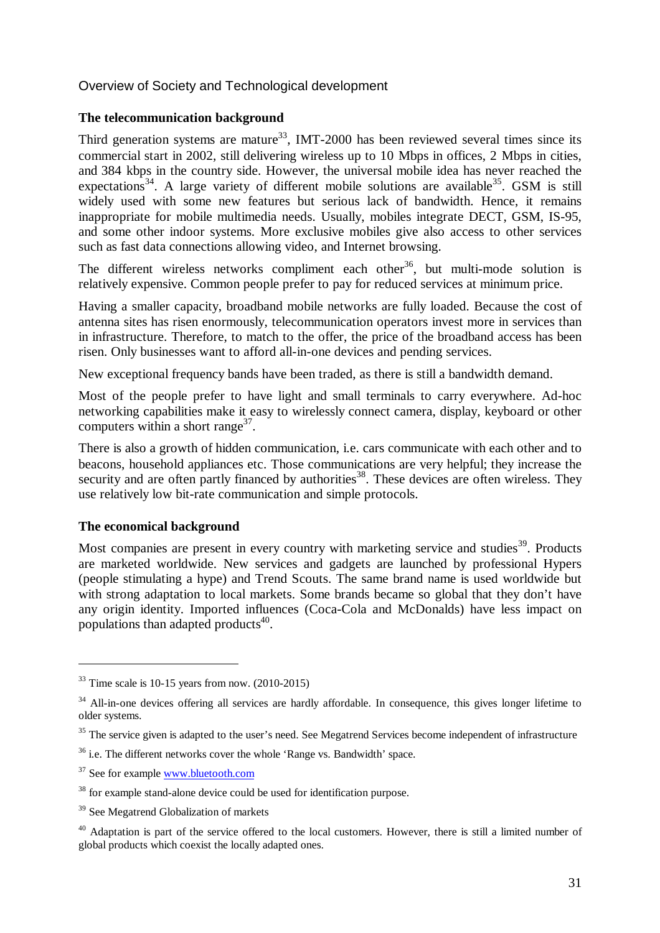#### Overview of Society and Technological development

#### **The telecommunication background**

Third generation systems are mature<sup>33</sup>, IMT-2000 has been reviewed several times since its commercial start in 2002, still delivering wireless up to 10 Mbps in offices, 2 Mbps in cities, and 384 kbps in the country side. However, the universal mobile idea has never reached the expectations<sup>34</sup>. A large variety of different mobile solutions are available<sup>35</sup>. GSM is still widely used with some new features but serious lack of bandwidth. Hence, it remains inappropriate for mobile multimedia needs. Usually, mobiles integrate DECT, GSM, IS-95, and some other indoor systems. More exclusive mobiles give also access to other services such as fast data connections allowing video, and Internet browsing.

The different wireless networks compliment each other<sup>36</sup>, but multi-mode solution is relatively expensive. Common people prefer to pay for reduced services at minimum price.

Having a smaller capacity, broadband mobile networks are fully loaded. Because the cost of antenna sites has risen enormously, telecommunication operators invest more in services than in infrastructure. Therefore, to match to the offer, the price of the broadband access has been risen. Only businesses want to afford all-in-one devices and pending services.

New exceptional frequency bands have been traded, as there is still a bandwidth demand.

Most of the people prefer to have light and small terminals to carry everywhere. Ad-hoc networking capabilities make it easy to wirelessly connect camera, display, keyboard or other computers within a short range $^{37}$ .

There is also a growth of hidden communication, i.e. cars communicate with each other and to beacons, household appliances etc. Those communications are very helpful; they increase the security and are often partly financed by authorities<sup>38</sup>. These devices are often wireless. They use relatively low bit-rate communication and simple protocols.

#### **The economical background**

 $\overline{a}$ 

Most companies are present in every country with marketing service and studies<sup>39</sup>. Products are marketed worldwide. New services and gadgets are launched by professional Hypers (people stimulating a hype) and Trend Scouts. The same brand name is used worldwide but with strong adaptation to local markets. Some brands became so global that they don't have any origin identity. Imported influences (Coca-Cola and McDonalds) have less impact on populations than adapted products $40$ .

 $33$  Time scale is 10-15 years from now. (2010-2015)

<sup>&</sup>lt;sup>34</sup> All-in-one devices offering all services are hardly affordable. In consequence, this gives longer lifetime to older systems.

<sup>&</sup>lt;sup>35</sup> The service given is adapted to the user's need. See Megatrend Services become independent of infrastructure

 $36$  i.e. The different networks cover the whole 'Range vs. Bandwidth' space.

<sup>&</sup>lt;sup>37</sup> See for example www.bluetooth.com

<sup>&</sup>lt;sup>38</sup> for example stand-alone device could be used for identification purpose.

<sup>&</sup>lt;sup>39</sup> See Megatrend Globalization of markets

<sup>&</sup>lt;sup>40</sup> Adaptation is part of the service offered to the local customers. However, there is still a limited number of global products which coexist the locally adapted ones.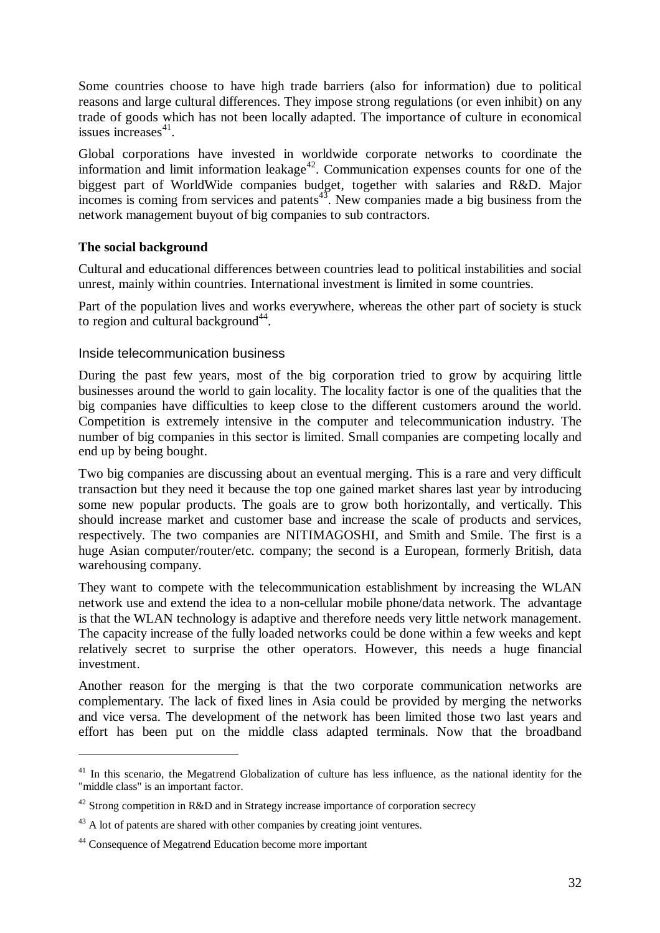Some countries choose to have high trade barriers (also for information) due to political reasons and large cultural differences. They impose strong regulations (or even inhibit) on any trade of goods which has not been locally adapted. The importance of culture in economical issues increases $41$ .

Global corporations have invested in worldwide corporate networks to coordinate the information and limit information leakage<sup> $42$ </sup>. Communication expenses counts for one of the biggest part of WorldWide companies budget, together with salaries and R&D. Major incomes is coming from services and patents<sup>43</sup>. New companies made a big business from the network management buyout of big companies to sub contractors.

#### **The social background**

Cultural and educational differences between countries lead to political instabilities and social unrest, mainly within countries. International investment is limited in some countries.

Part of the population lives and works everywhere, whereas the other part of society is stuck to region and cultural background $44$ .

#### Inside telecommunication business

During the past few years, most of the big corporation tried to grow by acquiring little businesses around the world to gain locality. The locality factor is one of the qualities that the big companies have difficulties to keep close to the different customers around the world. Competition is extremely intensive in the computer and telecommunication industry. The number of big companies in this sector is limited. Small companies are competing locally and end up by being bought.

Two big companies are discussing about an eventual merging. This is a rare and very difficult transaction but they need it because the top one gained market shares last year by introducing some new popular products. The goals are to grow both horizontally, and vertically. This should increase market and customer base and increase the scale of products and services, respectively. The two companies are NITIMAGOSHI, and Smith and Smile. The first is a huge Asian computer/router/etc. company; the second is a European, formerly British, data warehousing company.

They want to compete with the telecommunication establishment by increasing the WLAN network use and extend the idea to a non-cellular mobile phone/data network. The advantage is that the WLAN technology is adaptive and therefore needs very little network management. The capacity increase of the fully loaded networks could be done within a few weeks and kept relatively secret to surprise the other operators. However, this needs a huge financial investment.

Another reason for the merging is that the two corporate communication networks are complementary. The lack of fixed lines in Asia could be provided by merging the networks and vice versa. The development of the network has been limited those two last years and effort has been put on the middle class adapted terminals. Now that the broadband

 $41$  In this scenario, the Megatrend Globalization of culture has less influence, as the national identity for the "middle class" is an important factor.

<sup>&</sup>lt;sup>42</sup> Strong competition in R&D and in Strategy increase importance of corporation secrecy

 $43$  A lot of patents are shared with other companies by creating joint ventures.

<sup>44</sup> Consequence of Megatrend Education become more important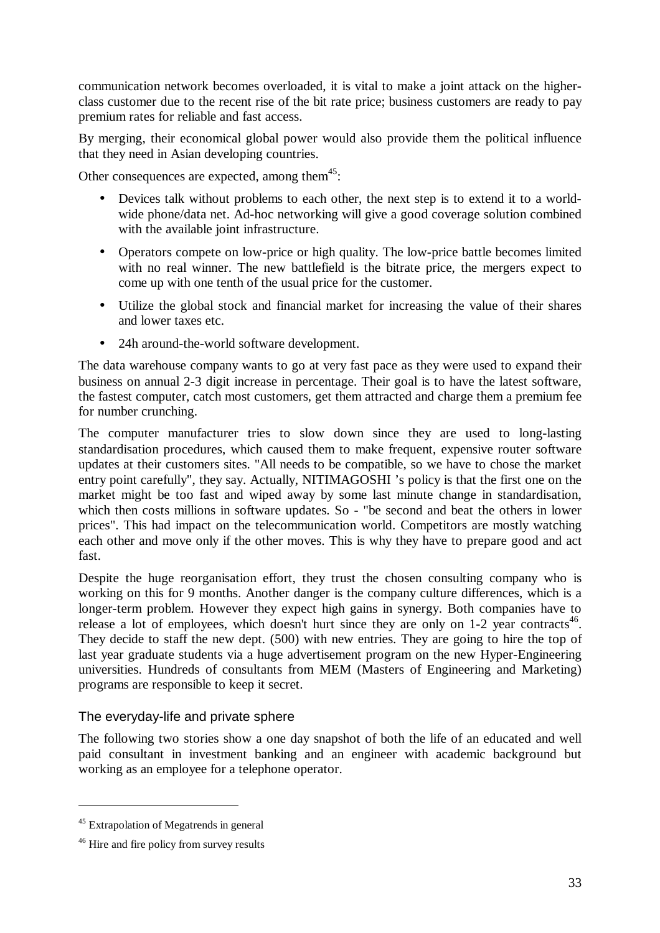communication network becomes overloaded, it is vital to make a joint attack on the higherclass customer due to the recent rise of the bit rate price; business customers are ready to pay premium rates for reliable and fast access.

By merging, their economical global power would also provide them the political influence that they need in Asian developing countries.

Other consequences are expected, among them $45$ :

- Devices talk without problems to each other, the next step is to extend it to a worldwide phone/data net. Ad-hoc networking will give a good coverage solution combined with the available joint infrastructure.
- Operators compete on low-price or high quality. The low-price battle becomes limited with no real winner. The new battlefield is the bitrate price, the mergers expect to come up with one tenth of the usual price for the customer.
- Utilize the global stock and financial market for increasing the value of their shares and lower taxes etc.
- 24h around-the-world software development.

The data warehouse company wants to go at very fast pace as they were used to expand their business on annual 2-3 digit increase in percentage. Their goal is to have the latest software, the fastest computer, catch most customers, get them attracted and charge them a premium fee for number crunching.

The computer manufacturer tries to slow down since they are used to long-lasting standardisation procedures, which caused them to make frequent, expensive router software updates at their customers sites. "All needs to be compatible, so we have to chose the market entry point carefully", they say. Actually, NITIMAGOSHI 's policy is that the first one on the market might be too fast and wiped away by some last minute change in standardisation, which then costs millions in software updates. So - "be second and beat the others in lower prices". This had impact on the telecommunication world. Competitors are mostly watching each other and move only if the other moves. This is why they have to prepare good and act fast.

Despite the huge reorganisation effort, they trust the chosen consulting company who is working on this for 9 months. Another danger is the company culture differences, which is a longer-term problem. However they expect high gains in synergy. Both companies have to release a lot of employees, which doesn't hurt since they are only on 1-2 year contracts<sup>46</sup>. They decide to staff the new dept. (500) with new entries. They are going to hire the top of last year graduate students via a huge advertisement program on the new Hyper-Engineering universities. Hundreds of consultants from MEM (Masters of Engineering and Marketing) programs are responsible to keep it secret.

#### The everyday-life and private sphere

The following two stories show a one day snapshot of both the life of an educated and well paid consultant in investment banking and an engineer with academic background but working as an employee for a telephone operator.

 $\overline{a}$ 

<sup>45</sup> Extrapolation of Megatrends in general

<sup>&</sup>lt;sup>46</sup> Hire and fire policy from survey results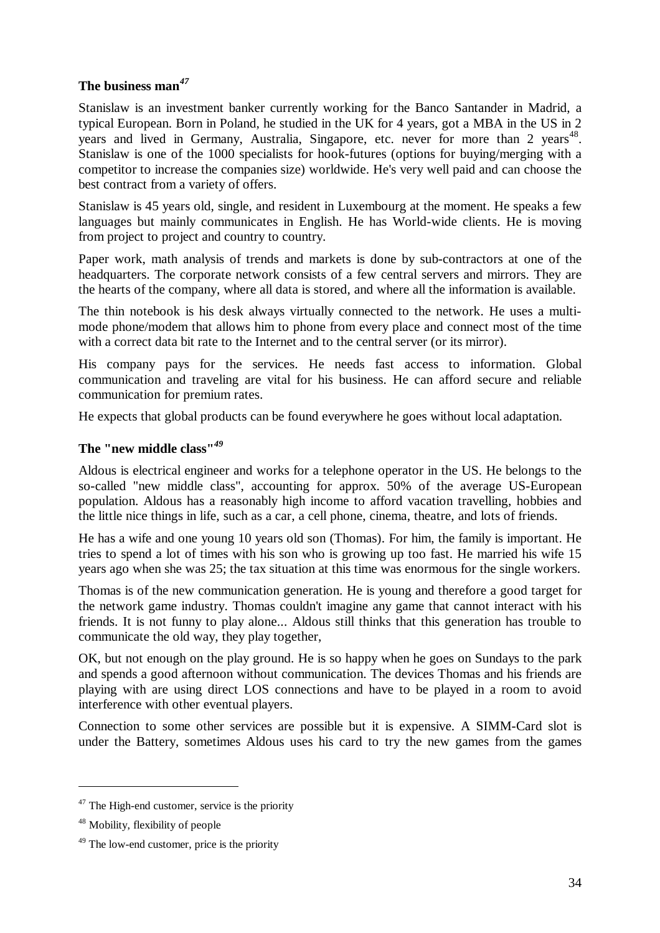## **The business man***<sup>47</sup>*

Stanislaw is an investment banker currently working for the Banco Santander in Madrid, a typical European. Born in Poland, he studied in the UK for 4 years, got a MBA in the US in 2 years and lived in Germany, Australia, Singapore, etc. never for more than 2 years<sup>48</sup>. Stanislaw is one of the 1000 specialists for hook-futures (options for buying/merging with a competitor to increase the companies size) worldwide. He's very well paid and can choose the best contract from a variety of offers.

Stanislaw is 45 years old, single, and resident in Luxembourg at the moment. He speaks a few languages but mainly communicates in English. He has World-wide clients. He is moving from project to project and country to country.

Paper work, math analysis of trends and markets is done by sub-contractors at one of the headquarters. The corporate network consists of a few central servers and mirrors. They are the hearts of the company, where all data is stored, and where all the information is available.

The thin notebook is his desk always virtually connected to the network. He uses a multimode phone/modem that allows him to phone from every place and connect most of the time with a correct data bit rate to the Internet and to the central server (or its mirror).

His company pays for the services. He needs fast access to information. Global communication and traveling are vital for his business. He can afford secure and reliable communication for premium rates.

He expects that global products can be found everywhere he goes without local adaptation.

## **The "new middle class"***<sup>49</sup>*

Aldous is electrical engineer and works for a telephone operator in the US. He belongs to the so-called "new middle class", accounting for approx. 50% of the average US-European population. Aldous has a reasonably high income to afford vacation travelling, hobbies and the little nice things in life, such as a car, a cell phone, cinema, theatre, and lots of friends.

He has a wife and one young 10 years old son (Thomas). For him, the family is important. He tries to spend a lot of times with his son who is growing up too fast. He married his wife 15 years ago when she was 25; the tax situation at this time was enormous for the single workers.

Thomas is of the new communication generation. He is young and therefore a good target for the network game industry. Thomas couldn't imagine any game that cannot interact with his friends. It is not funny to play alone... Aldous still thinks that this generation has trouble to communicate the old way, they play together,

OK, but not enough on the play ground. He is so happy when he goes on Sundays to the park and spends a good afternoon without communication. The devices Thomas and his friends are playing with are using direct LOS connections and have to be played in a room to avoid interference with other eventual players.

Connection to some other services are possible but it is expensive. A SIMM-Card slot is under the Battery, sometimes Aldous uses his card to try the new games from the games

 $47$  The High-end customer, service is the priority

<sup>48</sup> Mobility, flexibility of people

<sup>49</sup> The low-end customer, price is the priority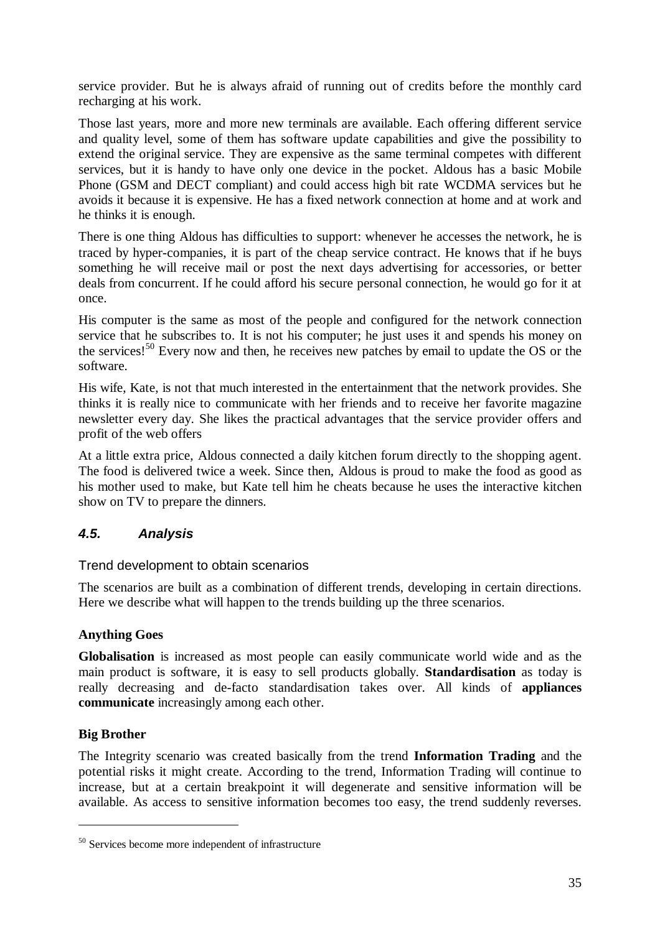service provider. But he is always afraid of running out of credits before the monthly card recharging at his work.

Those last years, more and more new terminals are available. Each offering different service and quality level, some of them has software update capabilities and give the possibility to extend the original service. They are expensive as the same terminal competes with different services, but it is handy to have only one device in the pocket. Aldous has a basic Mobile Phone (GSM and DECT compliant) and could access high bit rate WCDMA services but he avoids it because it is expensive. He has a fixed network connection at home and at work and he thinks it is enough.

There is one thing Aldous has difficulties to support: whenever he accesses the network, he is traced by hyper-companies, it is part of the cheap service contract. He knows that if he buys something he will receive mail or post the next days advertising for accessories, or better deals from concurrent. If he could afford his secure personal connection, he would go for it at once.

His computer is the same as most of the people and configured for the network connection service that he subscribes to. It is not his computer; he just uses it and spends his money on the services!<sup>50</sup> Every now and then, he receives new patches by email to update the OS or the software.

His wife, Kate, is not that much interested in the entertainment that the network provides. She thinks it is really nice to communicate with her friends and to receive her favorite magazine newsletter every day. She likes the practical advantages that the service provider offers and profit of the web offers

At a little extra price, Aldous connected a daily kitchen forum directly to the shopping agent. The food is delivered twice a week. Since then, Aldous is proud to make the food as good as his mother used to make, but Kate tell him he cheats because he uses the interactive kitchen show on TV to prepare the dinners.

# *4.5. Analysis*

Trend development to obtain scenarios

The scenarios are built as a combination of different trends, developing in certain directions. Here we describe what will happen to the trends building up the three scenarios.

#### **Anything Goes**

**Globalisation** is increased as most people can easily communicate world wide and as the main product is software, it is easy to sell products globally. **Standardisation** as today is really decreasing and de-facto standardisation takes over. All kinds of **appliances communicate** increasingly among each other.

#### **Big Brother**

 $\overline{a}$ 

The Integrity scenario was created basically from the trend **Information Trading** and the potential risks it might create. According to the trend, Information Trading will continue to increase, but at a certain breakpoint it will degenerate and sensitive information will be available. As access to sensitive information becomes too easy, the trend suddenly reverses.

<sup>50</sup> Services become more independent of infrastructure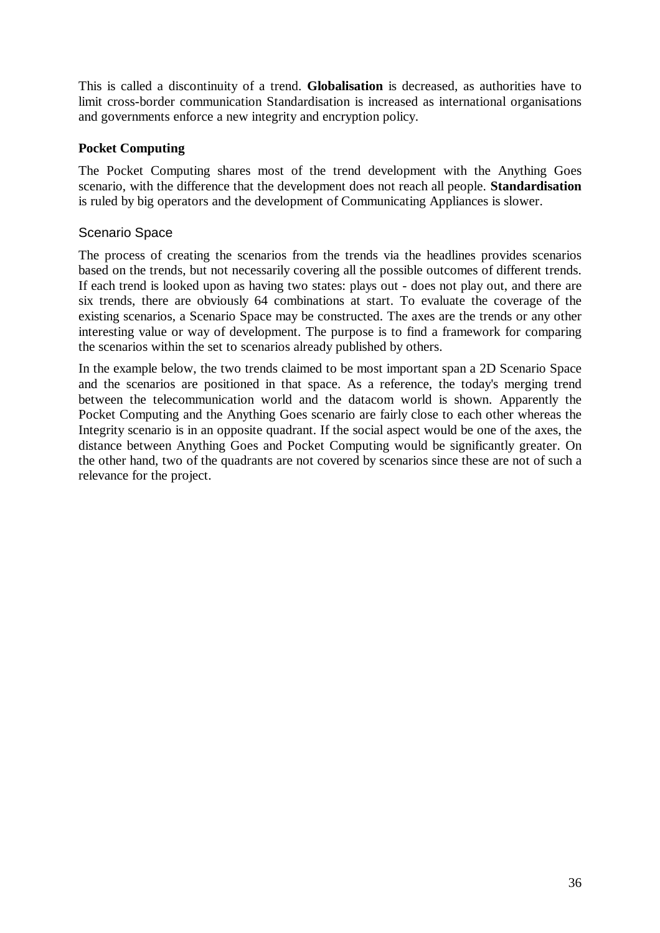This is called a discontinuity of a trend. **Globalisation** is decreased, as authorities have to limit cross-border communication Standardisation is increased as international organisations and governments enforce a new integrity and encryption policy.

## **Pocket Computing**

The Pocket Computing shares most of the trend development with the Anything Goes scenario, with the difference that the development does not reach all people. **Standardisation** is ruled by big operators and the development of Communicating Appliances is slower.

## Scenario Space

The process of creating the scenarios from the trends via the headlines provides scenarios based on the trends, but not necessarily covering all the possible outcomes of different trends. If each trend is looked upon as having two states: plays out - does not play out, and there are six trends, there are obviously 64 combinations at start. To evaluate the coverage of the existing scenarios, a Scenario Space may be constructed. The axes are the trends or any other interesting value or way of development. The purpose is to find a framework for comparing the scenarios within the set to scenarios already published by others.

In the example below, the two trends claimed to be most important span a 2D Scenario Space and the scenarios are positioned in that space. As a reference, the today's merging trend between the telecommunication world and the datacom world is shown. Apparently the Pocket Computing and the Anything Goes scenario are fairly close to each other whereas the Integrity scenario is in an opposite quadrant. If the social aspect would be one of the axes, the distance between Anything Goes and Pocket Computing would be significantly greater. On the other hand, two of the quadrants are not covered by scenarios since these are not of such a relevance for the project.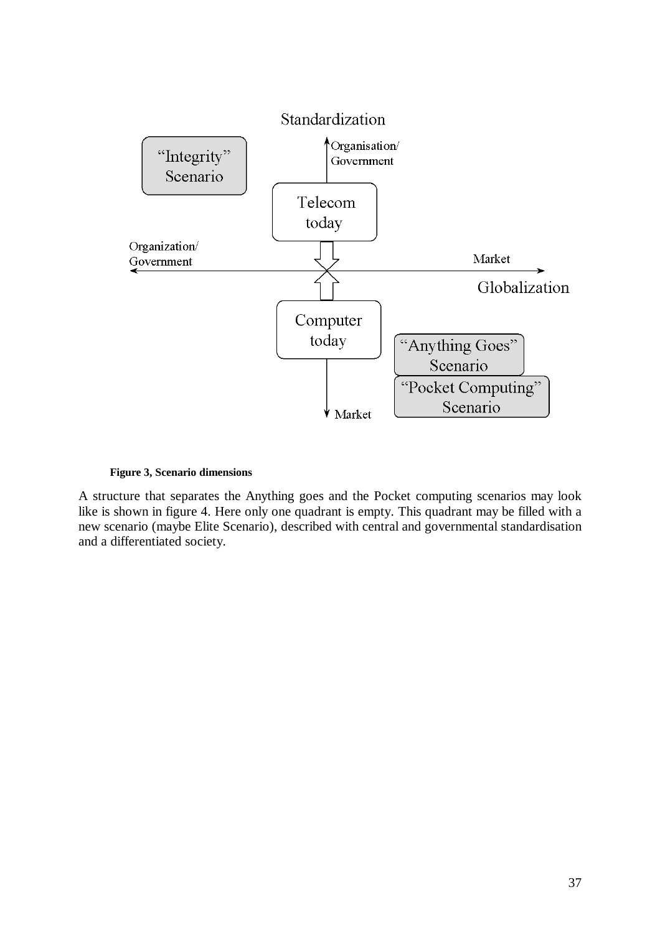

#### **Figure 3, Scenario dimensions**

A structure that separates the Anything goes and the Pocket computing scenarios may look like is shown in figure 4. Here only one quadrant is empty. This quadrant may be filled with a new scenario (maybe Elite Scenario), described with central and governmental standardisation and a differentiated society.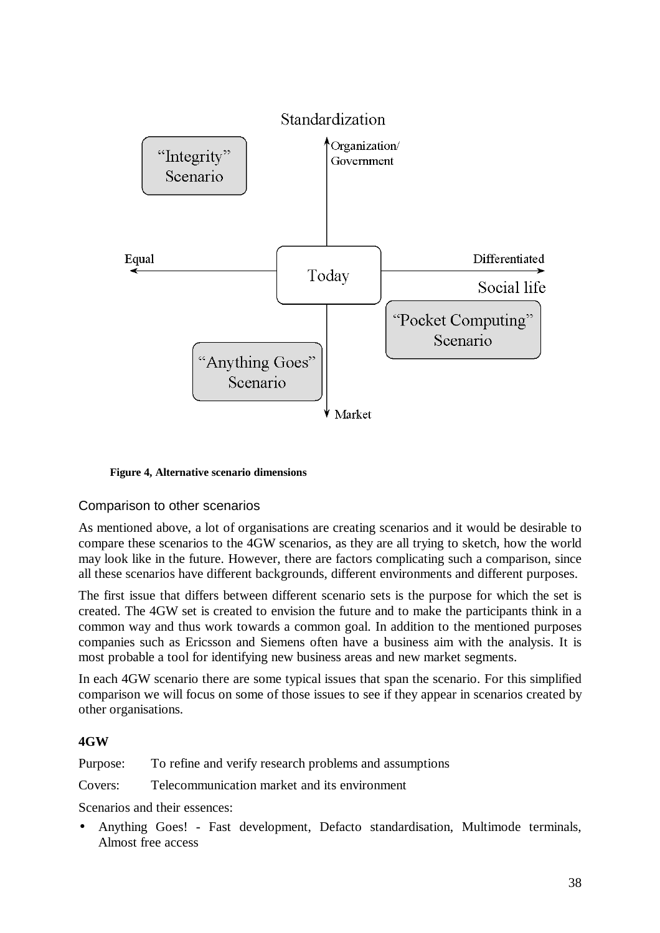

**Figure 4, Alternative scenario dimensions**

#### Comparison to other scenarios

As mentioned above, a lot of organisations are creating scenarios and it would be desirable to compare these scenarios to the 4GW scenarios, as they are all trying to sketch, how the world may look like in the future. However, there are factors complicating such a comparison, since all these scenarios have different backgrounds, different environments and different purposes.

The first issue that differs between different scenario sets is the purpose for which the set is created. The 4GW set is created to envision the future and to make the participants think in a common way and thus work towards a common goal. In addition to the mentioned purposes companies such as Ericsson and Siemens often have a business aim with the analysis. It is most probable a tool for identifying new business areas and new market segments.

In each 4GW scenario there are some typical issues that span the scenario. For this simplified comparison we will focus on some of those issues to see if they appear in scenarios created by other organisations.

#### **4GW**

Purpose: To refine and verify research problems and assumptions

Covers: Telecommunication market and its environment

Scenarios and their essences:

• Anything Goes! - Fast development, Defacto standardisation, Multimode terminals, Almost free access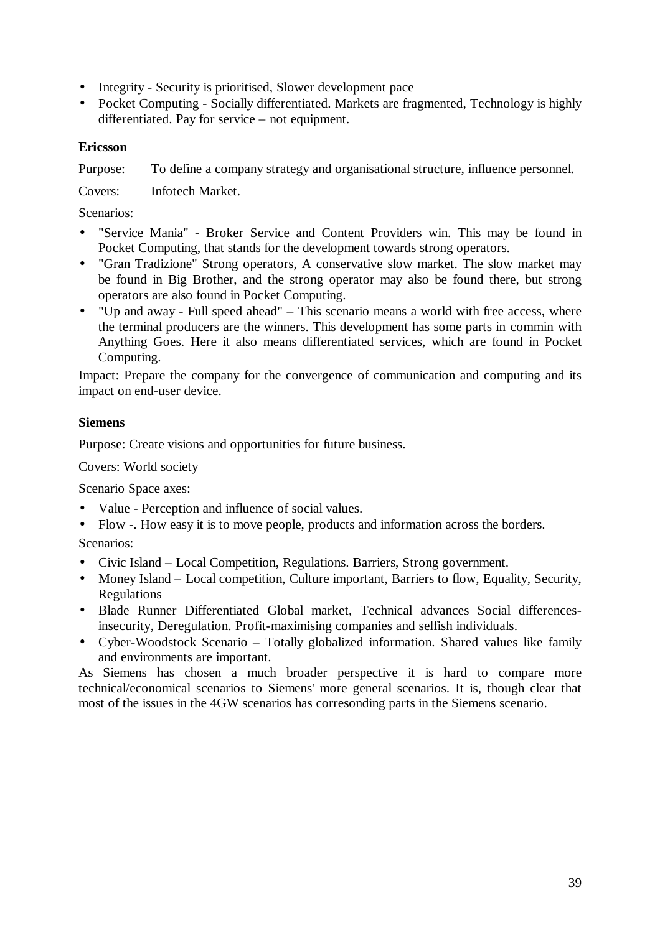- Integrity Security is prioritised, Slower development pace
- Pocket Computing Socially differentiated. Markets are fragmented, Technology is highly differentiated. Pay for service – not equipment.

### **Ericsson**

Purpose: To define a company strategy and organisational structure, influence personnel.

Covers: Infotech Market.

Scenarios:

- "Service Mania" Broker Service and Content Providers win. This may be found in Pocket Computing, that stands for the development towards strong operators.
- "Gran Tradizione" Strong operators, A conservative slow market. The slow market may be found in Big Brother, and the strong operator may also be found there, but strong operators are also found in Pocket Computing.
- "Up and away Full speed ahead" This scenario means a world with free access, where the terminal producers are the winners. This development has some parts in commin with Anything Goes. Here it also means differentiated services, which are found in Pocket Computing.

Impact: Prepare the company for the convergence of communication and computing and its impact on end-user device.

## **Siemens**

Purpose: Create visions and opportunities for future business.

Covers: World society

Scenario Space axes:

- Value Perception and influence of social values.
- Flow -. How easy it is to move people, products and information across the borders.

Scenarios:

- Civic Island Local Competition, Regulations. Barriers, Strong government.
- Money Island Local competition, Culture important, Barriers to flow, Equality, Security, Regulations
- Blade Runner Differentiated Global market, Technical advances Social differencesinsecurity, Deregulation. Profit-maximising companies and selfish individuals.
- Cyber-Woodstock Scenario Totally globalized information. Shared values like family and environments are important.

As Siemens has chosen a much broader perspective it is hard to compare more technical/economical scenarios to Siemens' more general scenarios. It is, though clear that most of the issues in the 4GW scenarios has corresonding parts in the Siemens scenario.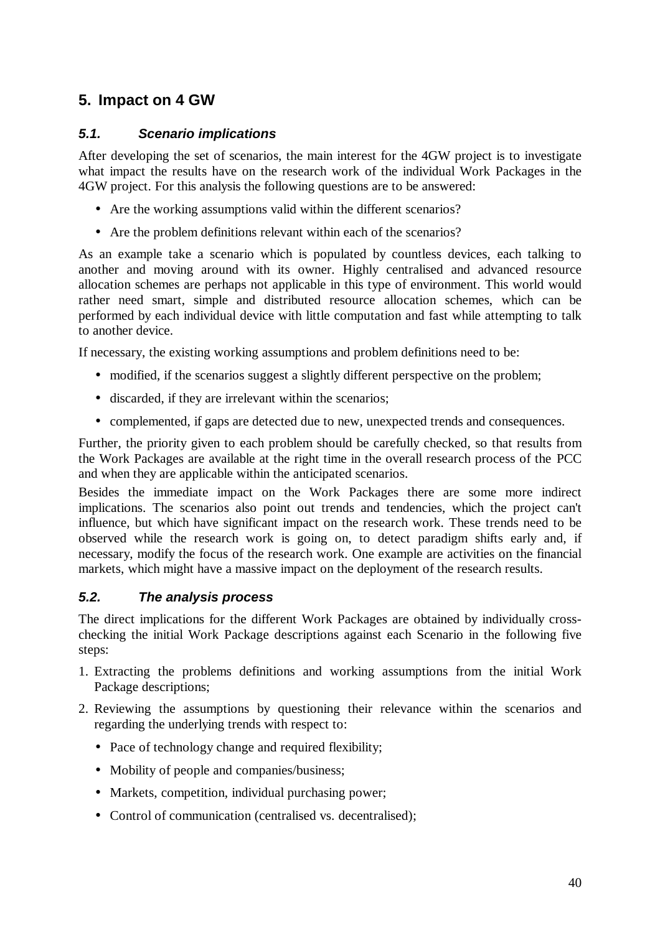## **5. Impact on 4 GW**

## *5.1. Scenario implications*

After developing the set of scenarios, the main interest for the 4GW project is to investigate what impact the results have on the research work of the individual Work Packages in the 4GW project. For this analysis the following questions are to be answered:

- Are the working assumptions valid within the different scenarios?
- Are the problem definitions relevant within each of the scenarios?

As an example take a scenario which is populated by countless devices, each talking to another and moving around with its owner. Highly centralised and advanced resource allocation schemes are perhaps not applicable in this type of environment. This world would rather need smart, simple and distributed resource allocation schemes, which can be performed by each individual device with little computation and fast while attempting to talk to another device.

If necessary, the existing working assumptions and problem definitions need to be:

- modified, if the scenarios suggest a slightly different perspective on the problem;
- discarded, if they are irrelevant within the scenarios;
- complemented, if gaps are detected due to new, unexpected trends and consequences.

Further, the priority given to each problem should be carefully checked, so that results from the Work Packages are available at the right time in the overall research process of the PCC and when they are applicable within the anticipated scenarios.

Besides the immediate impact on the Work Packages there are some more indirect implications. The scenarios also point out trends and tendencies, which the project can't influence, but which have significant impact on the research work. These trends need to be observed while the research work is going on, to detect paradigm shifts early and, if necessary, modify the focus of the research work. One example are activities on the financial markets, which might have a massive impact on the deployment of the research results.

#### *5.2. The analysis process*

The direct implications for the different Work Packages are obtained by individually crosschecking the initial Work Package descriptions against each Scenario in the following five steps:

- 1. Extracting the problems definitions and working assumptions from the initial Work Package descriptions;
- 2. Reviewing the assumptions by questioning their relevance within the scenarios and regarding the underlying trends with respect to:
	- Pace of technology change and required flexibility;
	- Mobility of people and companies/business;
	- Markets, competition, individual purchasing power;
	- Control of communication (centralised vs. decentralised);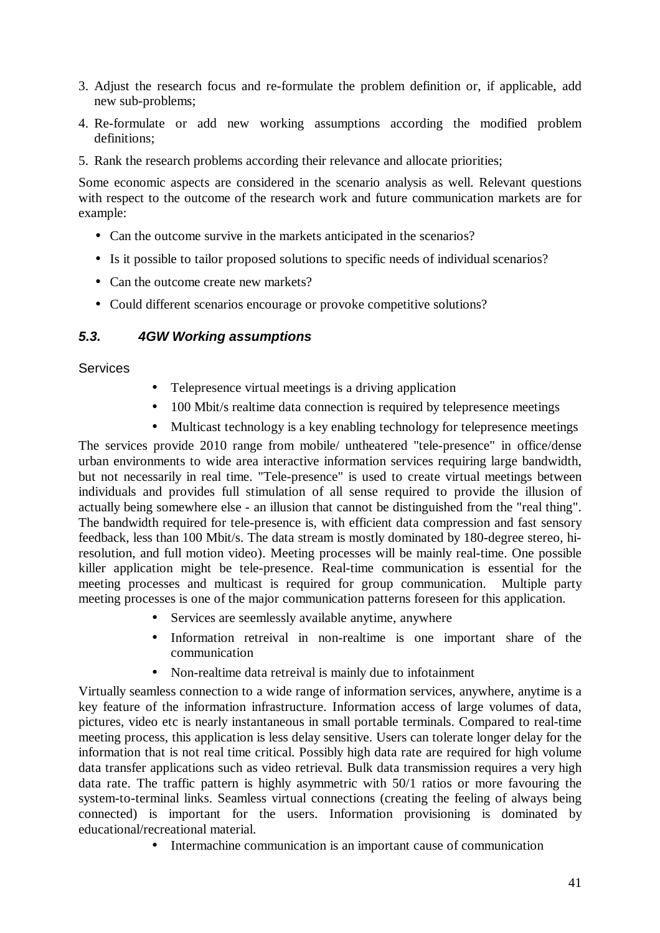- 3. Adjust the research focus and re-formulate the problem definition or, if applicable, add new sub-problems;
- 4. Re-formulate or add new working assumptions according the modified problem definitions;
- 5. Rank the research problems according their relevance and allocate priorities;

Some economic aspects are considered in the scenario analysis as well. Relevant questions with respect to the outcome of the research work and future communication markets are for example:

- Can the outcome survive in the markets anticipated in the scenarios?
- Is it possible to tailor proposed solutions to specific needs of individual scenarios?
- Can the outcome create new markets?
- Could different scenarios encourage or provoke competitive solutions?

#### *5.3. 4GW Working assumptions*

#### **Services**

- Telepresence virtual meetings is a driving application
- 100 Mbit/s realtime data connection is required by telepresence meetings
- Multicast technology is a key enabling technology for telepresence meetings

The services provide 2010 range from mobile/ untheatered "tele-presence" in office/dense urban environments to wide area interactive information services requiring large bandwidth, but not necessarily in real time. "Tele-presence" is used to create virtual meetings between individuals and provides full stimulation of all sense required to provide the illusion of actually being somewhere else - an illusion that cannot be distinguished from the "real thing". The bandwidth required for tele-presence is, with efficient data compression and fast sensory feedback, less than 100 Mbit/s. The data stream is mostly dominated by 180-degree stereo, hiresolution, and full motion video). Meeting processes will be mainly real-time. One possible killer application might be tele-presence. Real-time communication is essential for the meeting processes and multicast is required for group communication. Multiple party meeting processes is one of the major communication patterns foreseen for this application.

- Services are seemlessly available anytime, anywhere
- Information retreival in non-realtime is one important share of the communication
- Non-realtime data retreival is mainly due to infotainment

Virtually seamless connection to a wide range of information services, anywhere, anytime is a key feature of the information infrastructure. Information access of large volumes of data, pictures, video etc is nearly instantaneous in small portable terminals. Compared to real-time meeting process, this application is less delay sensitive. Users can tolerate longer delay for the information that is not real time critical. Possibly high data rate are required for high volume data transfer applications such as video retrieval. Bulk data transmission requires a very high data rate. The traffic pattern is highly asymmetric with 50/1 ratios or more favouring the system-to-terminal links. Seamless virtual connections (creating the feeling of always being connected) is important for the users. Information provisioning is dominated by educational/recreational material.

• Intermachine communication is an important cause of communication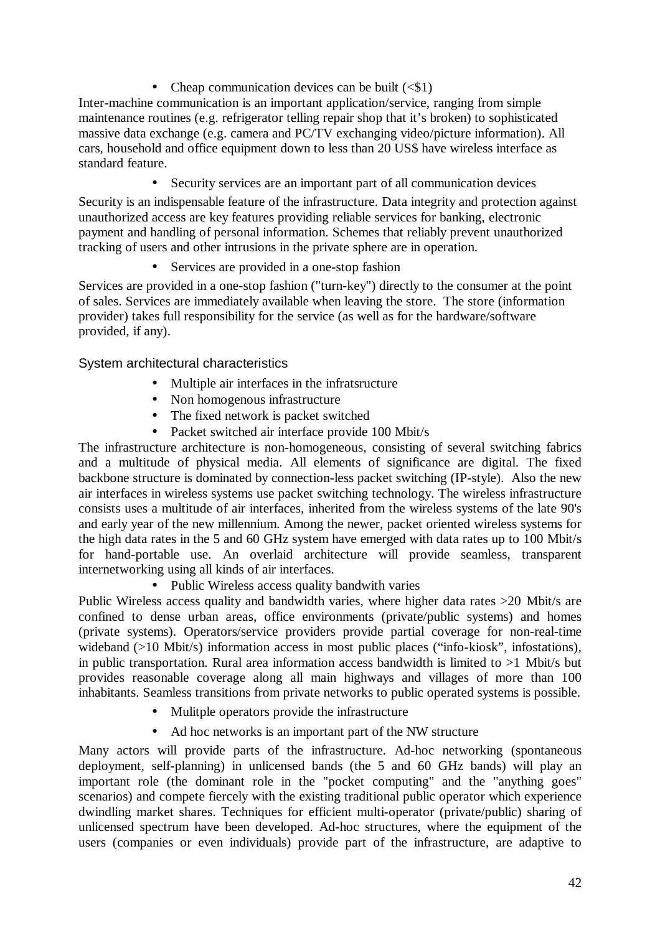• Cheap communication devices can be built  $( $$1$ )$ 

Inter-machine communication is an important application/service, ranging from simple maintenance routines (e.g. refrigerator telling repair shop that it's broken) to sophisticated massive data exchange (e.g. camera and PC/TV exchanging video/picture information). All cars, household and office equipment down to less than 20 US\$ have wireless interface as standard feature.

• Security services are an important part of all communication devices

Security is an indispensable feature of the infrastructure. Data integrity and protection against unauthorized access are key features providing reliable services for banking, electronic payment and handling of personal information. Schemes that reliably prevent unauthorized tracking of users and other intrusions in the private sphere are in operation.

• Services are provided in a one-stop fashion

Services are provided in a one-stop fashion ("turn-key") directly to the consumer at the point of sales. Services are immediately available when leaving the store. The store (information provider) takes full responsibility for the service (as well as for the hardware/software provided, if any).

## System architectural characteristics

- Multiple air interfaces in the infratsructure
- Non homogenous infrastructure
- The fixed network is packet switched
- Packet switched air interface provide 100 Mbit/s

The infrastructure architecture is non-homogeneous, consisting of several switching fabrics and a multitude of physical media. All elements of significance are digital. The fixed backbone structure is dominated by connection-less packet switching (IP-style). Also the new air interfaces in wireless systems use packet switching technology. The wireless infrastructure consists uses a multitude of air interfaces, inherited from the wireless systems of the late 90's and early year of the new millennium. Among the newer, packet oriented wireless systems for the high data rates in the 5 and 60 GHz system have emerged with data rates up to 100 Mbit/s for hand-portable use. An overlaid architecture will provide seamless, transparent internetworking using all kinds of air interfaces.

• Public Wireless access quality bandwith varies

Public Wireless access quality and bandwidth varies, where higher data rates >20 Mbit/s are confined to dense urban areas, office environments (private/public systems) and homes (private systems). Operators/service providers provide partial coverage for non-real-time wideband (>10 Mbit/s) information access in most public places ("info-kiosk", infostations), in public transportation. Rural area information access bandwidth is limited to  $>1$  Mbit/s but provides reasonable coverage along all main highways and villages of more than 100 inhabitants. Seamless transitions from private networks to public operated systems is possible.

- Mulitple operators provide the infrastructure
- Ad hoc networks is an important part of the NW structure

Many actors will provide parts of the infrastructure. Ad-hoc networking (spontaneous deployment, self-planning) in unlicensed bands (the 5 and 60 GHz bands) will play an important role (the dominant role in the "pocket computing" and the "anything goes" scenarios) and compete fiercely with the existing traditional public operator which experience dwindling market shares. Techniques for efficient multi-operator (private/public) sharing of unlicensed spectrum have been developed. Ad-hoc structures, where the equipment of the users (companies or even individuals) provide part of the infrastructure, are adaptive to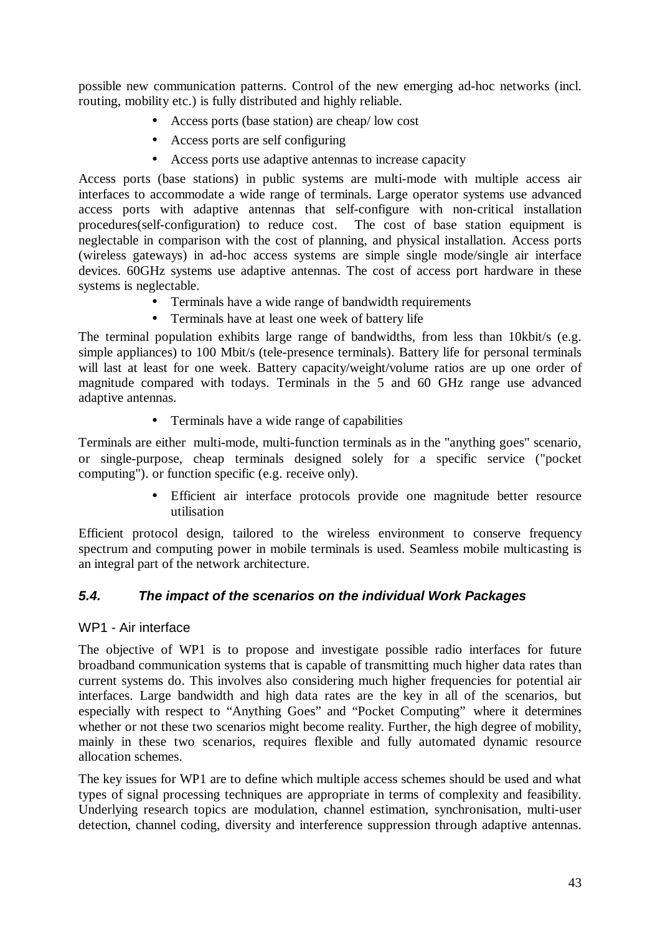possible new communication patterns. Control of the new emerging ad-hoc networks (incl. routing, mobility etc.) is fully distributed and highly reliable.

- Access ports (base station) are cheap/ low cost
- Access ports are self configuring
- Access ports use adaptive antennas to increase capacity

Access ports (base stations) in public systems are multi-mode with multiple access air interfaces to accommodate a wide range of terminals. Large operator systems use advanced access ports with adaptive antennas that self-configure with non-critical installation procedures(self-configuration) to reduce cost. The cost of base station equipment is neglectable in comparison with the cost of planning, and physical installation. Access ports (wireless gateways) in ad-hoc access systems are simple single mode/single air interface devices. 60GHz systems use adaptive antennas. The cost of access port hardware in these systems is neglectable.

- Terminals have a wide range of bandwidth requirements
- Terminals have at least one week of battery life

The terminal population exhibits large range of bandwidths, from less than 10kbit/s (e.g. simple appliances) to 100 Mbit/s (tele-presence terminals). Battery life for personal terminals will last at least for one week. Battery capacity/weight/volume ratios are up one order of magnitude compared with todays. Terminals in the 5 and 60 GHz range use advanced adaptive antennas.

• Terminals have a wide range of capabilities

Terminals are either multi-mode, multi-function terminals as in the "anything goes" scenario, or single-purpose, cheap terminals designed solely for a specific service ("pocket computing"). or function specific (e.g. receive only).

> • Efficient air interface protocols provide one magnitude better resource utilisation

Efficient protocol design, tailored to the wireless environment to conserve frequency spectrum and computing power in mobile terminals is used. Seamless mobile multicasting is an integral part of the network architecture.

## *5.4. The impact of the scenarios on the individual Work Packages*

#### WP1 - Air interface

The objective of WP1 is to propose and investigate possible radio interfaces for future broadband communication systems that is capable of transmitting much higher data rates than current systems do. This involves also considering much higher frequencies for potential air interfaces. Large bandwidth and high data rates are the key in all of the scenarios, but especially with respect to "Anything Goes" and "Pocket Computing" where it determines whether or not these two scenarios might become reality. Further, the high degree of mobility, mainly in these two scenarios, requires flexible and fully automated dynamic resource allocation schemes.

The key issues for WP1 are to define which multiple access schemes should be used and what types of signal processing techniques are appropriate in terms of complexity and feasibility. Underlying research topics are modulation, channel estimation, synchronisation, multi-user detection, channel coding, diversity and interference suppression through adaptive antennas.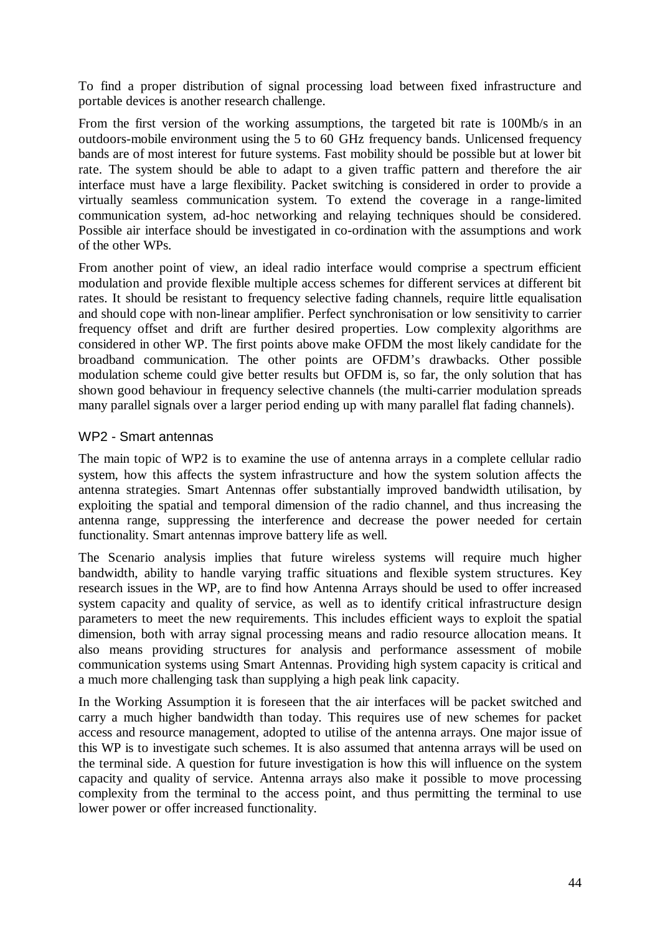To find a proper distribution of signal processing load between fixed infrastructure and portable devices is another research challenge.

From the first version of the working assumptions, the targeted bit rate is 100Mb/s in an outdoors-mobile environment using the 5 to 60 GHz frequency bands. Unlicensed frequency bands are of most interest for future systems. Fast mobility should be possible but at lower bit rate. The system should be able to adapt to a given traffic pattern and therefore the air interface must have a large flexibility. Packet switching is considered in order to provide a virtually seamless communication system. To extend the coverage in a range-limited communication system, ad-hoc networking and relaying techniques should be considered. Possible air interface should be investigated in co-ordination with the assumptions and work of the other WPs.

From another point of view, an ideal radio interface would comprise a spectrum efficient modulation and provide flexible multiple access schemes for different services at different bit rates. It should be resistant to frequency selective fading channels, require little equalisation and should cope with non-linear amplifier. Perfect synchronisation or low sensitivity to carrier frequency offset and drift are further desired properties. Low complexity algorithms are considered in other WP. The first points above make OFDM the most likely candidate for the broadband communication. The other points are OFDM's drawbacks. Other possible modulation scheme could give better results but OFDM is, so far, the only solution that has shown good behaviour in frequency selective channels (the multi-carrier modulation spreads many parallel signals over a larger period ending up with many parallel flat fading channels).

#### WP2 - Smart antennas

The main topic of WP2 is to examine the use of antenna arrays in a complete cellular radio system, how this affects the system infrastructure and how the system solution affects the antenna strategies. Smart Antennas offer substantially improved bandwidth utilisation, by exploiting the spatial and temporal dimension of the radio channel, and thus increasing the antenna range, suppressing the interference and decrease the power needed for certain functionality. Smart antennas improve battery life as well.

The Scenario analysis implies that future wireless systems will require much higher bandwidth, ability to handle varying traffic situations and flexible system structures. Key research issues in the WP, are to find how Antenna Arrays should be used to offer increased system capacity and quality of service, as well as to identify critical infrastructure design parameters to meet the new requirements. This includes efficient ways to exploit the spatial dimension, both with array signal processing means and radio resource allocation means. It also means providing structures for analysis and performance assessment of mobile communication systems using Smart Antennas. Providing high system capacity is critical and a much more challenging task than supplying a high peak link capacity.

In the Working Assumption it is foreseen that the air interfaces will be packet switched and carry a much higher bandwidth than today. This requires use of new schemes for packet access and resource management, adopted to utilise of the antenna arrays. One major issue of this WP is to investigate such schemes. It is also assumed that antenna arrays will be used on the terminal side. A question for future investigation is how this will influence on the system capacity and quality of service. Antenna arrays also make it possible to move processing complexity from the terminal to the access point, and thus permitting the terminal to use lower power or offer increased functionality.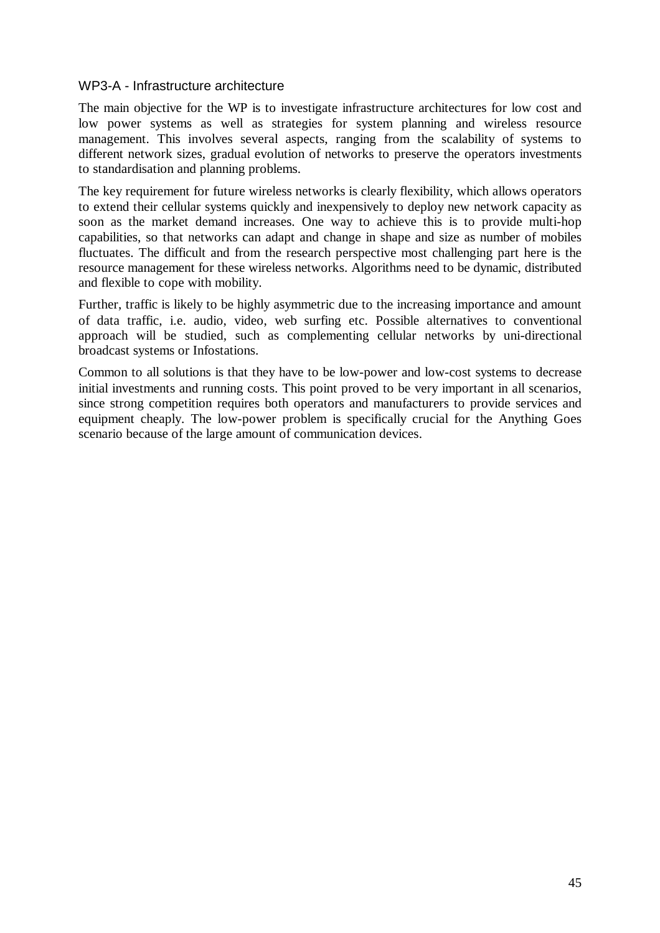#### WP3-A - Infrastructure architecture

The main objective for the WP is to investigate infrastructure architectures for low cost and low power systems as well as strategies for system planning and wireless resource management. This involves several aspects, ranging from the scalability of systems to different network sizes, gradual evolution of networks to preserve the operators investments to standardisation and planning problems.

The key requirement for future wireless networks is clearly flexibility, which allows operators to extend their cellular systems quickly and inexpensively to deploy new network capacity as soon as the market demand increases. One way to achieve this is to provide multi-hop capabilities, so that networks can adapt and change in shape and size as number of mobiles fluctuates. The difficult and from the research perspective most challenging part here is the resource management for these wireless networks. Algorithms need to be dynamic, distributed and flexible to cope with mobility.

Further, traffic is likely to be highly asymmetric due to the increasing importance and amount of data traffic, i.e. audio, video, web surfing etc. Possible alternatives to conventional approach will be studied, such as complementing cellular networks by uni-directional broadcast systems or Infostations.

Common to all solutions is that they have to be low-power and low-cost systems to decrease initial investments and running costs. This point proved to be very important in all scenarios, since strong competition requires both operators and manufacturers to provide services and equipment cheaply. The low-power problem is specifically crucial for the Anything Goes scenario because of the large amount of communication devices.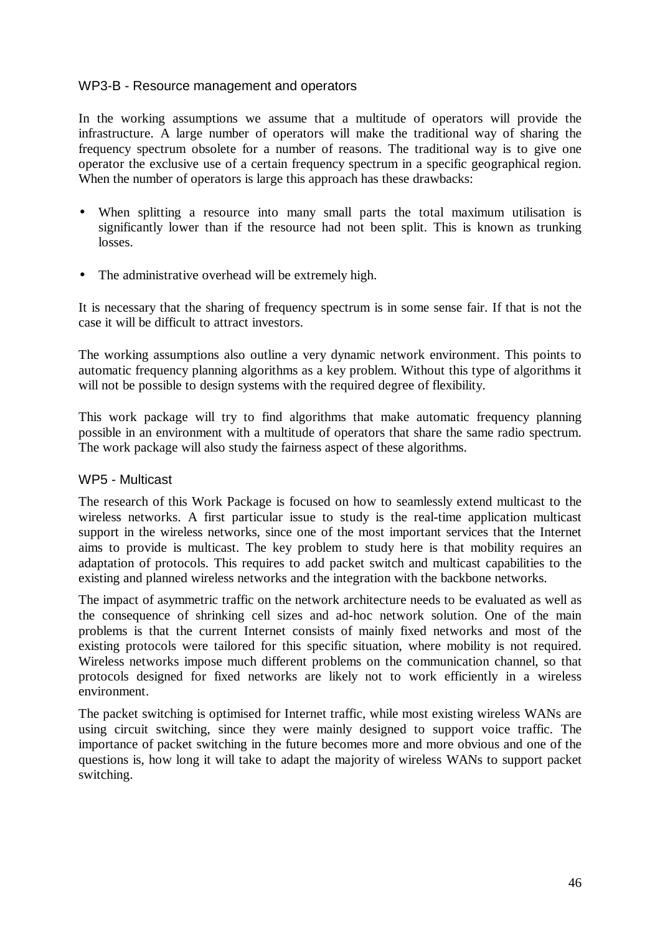#### WP3-B - Resource management and operators

In the working assumptions we assume that a multitude of operators will provide the infrastructure. A large number of operators will make the traditional way of sharing the frequency spectrum obsolete for a number of reasons. The traditional way is to give one operator the exclusive use of a certain frequency spectrum in a specific geographical region. When the number of operators is large this approach has these drawbacks:

- When splitting a resource into many small parts the total maximum utilisation is significantly lower than if the resource had not been split. This is known as trunking losses.
- The administrative overhead will be extremely high.

It is necessary that the sharing of frequency spectrum is in some sense fair. If that is not the case it will be difficult to attract investors.

The working assumptions also outline a very dynamic network environment. This points to automatic frequency planning algorithms as a key problem. Without this type of algorithms it will not be possible to design systems with the required degree of flexibility.

This work package will try to find algorithms that make automatic frequency planning possible in an environment with a multitude of operators that share the same radio spectrum. The work package will also study the fairness aspect of these algorithms.

#### WP5 - Multicast

The research of this Work Package is focused on how to seamlessly extend multicast to the wireless networks. A first particular issue to study is the real-time application multicast support in the wireless networks, since one of the most important services that the Internet aims to provide is multicast. The key problem to study here is that mobility requires an adaptation of protocols. This requires to add packet switch and multicast capabilities to the existing and planned wireless networks and the integration with the backbone networks.

The impact of asymmetric traffic on the network architecture needs to be evaluated as well as the consequence of shrinking cell sizes and ad-hoc network solution. One of the main problems is that the current Internet consists of mainly fixed networks and most of the existing protocols were tailored for this specific situation, where mobility is not required. Wireless networks impose much different problems on the communication channel, so that protocols designed for fixed networks are likely not to work efficiently in a wireless environment.

The packet switching is optimised for Internet traffic, while most existing wireless WANs are using circuit switching, since they were mainly designed to support voice traffic. The importance of packet switching in the future becomes more and more obvious and one of the questions is, how long it will take to adapt the majority of wireless WANs to support packet switching.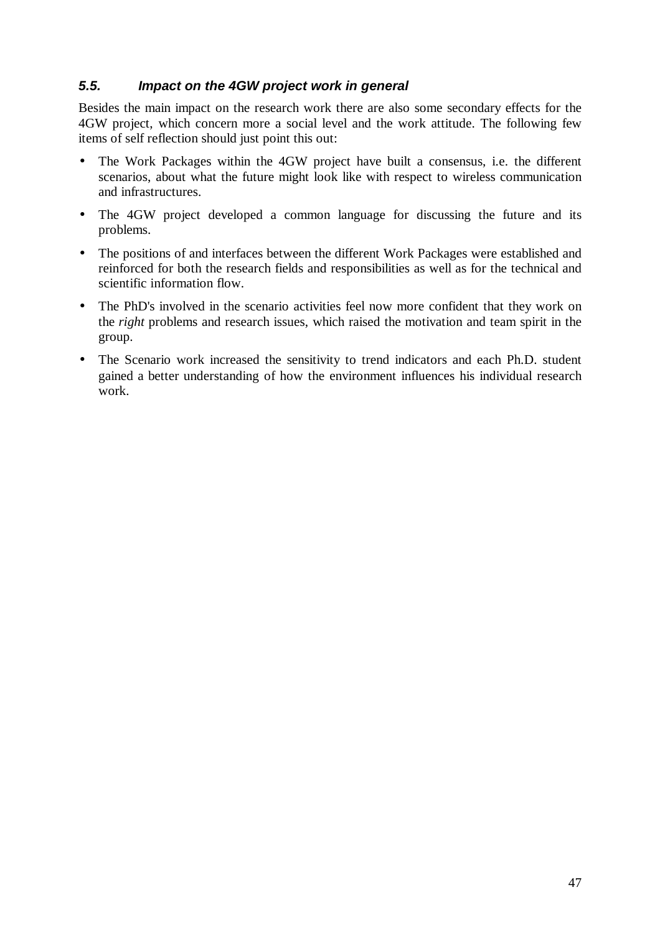## *5.5. Impact on the 4GW project work in general*

Besides the main impact on the research work there are also some secondary effects for the 4GW project, which concern more a social level and the work attitude. The following few items of self reflection should just point this out:

- The Work Packages within the 4GW project have built a consensus, i.e. the different scenarios, about what the future might look like with respect to wireless communication and infrastructures.
- The 4GW project developed a common language for discussing the future and its problems.
- The positions of and interfaces between the different Work Packages were established and reinforced for both the research fields and responsibilities as well as for the technical and scientific information flow.
- The PhD's involved in the scenario activities feel now more confident that they work on the *right* problems and research issues, which raised the motivation and team spirit in the group.
- The Scenario work increased the sensitivity to trend indicators and each Ph.D. student gained a better understanding of how the environment influences his individual research work.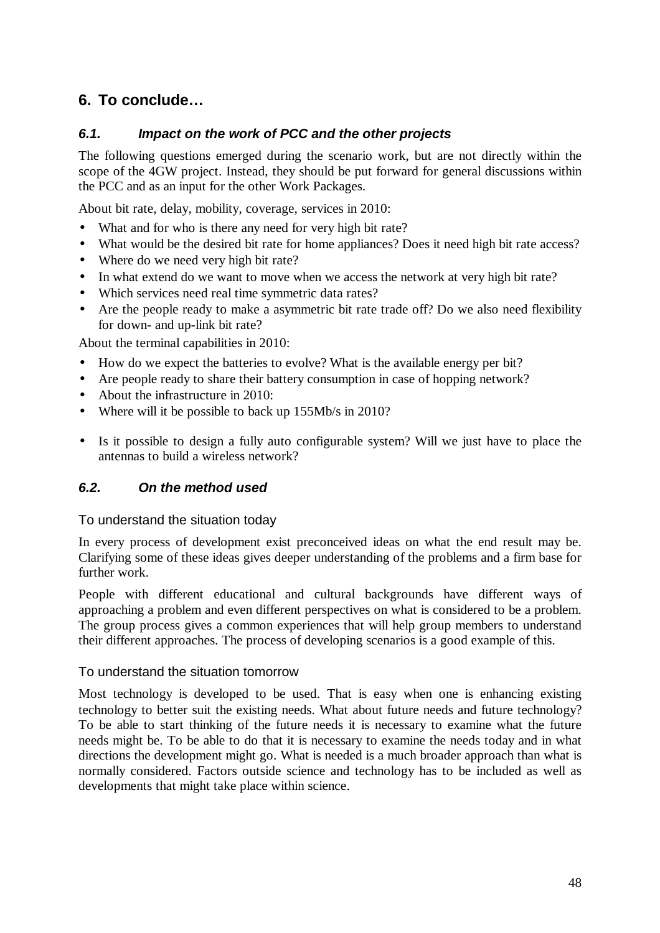# **6. To conclude…**

## *6.1. Impact on the work of PCC and the other projects*

The following questions emerged during the scenario work, but are not directly within the scope of the 4GW project. Instead, they should be put forward for general discussions within the PCC and as an input for the other Work Packages.

About bit rate, delay, mobility, coverage, services in 2010:

- What and for who is there any need for very high bit rate?
- What would be the desired bit rate for home appliances? Does it need high bit rate access?
- Where do we need very high bit rate?
- In what extend do we want to move when we access the network at very high bit rate?
- Which services need real time symmetric data rates?
- Are the people ready to make a asymmetric bit rate trade off? Do we also need flexibility for down- and up-link bit rate?

About the terminal capabilities in 2010:

- How do we expect the batteries to evolve? What is the available energy per bit?
- Are people ready to share their battery consumption in case of hopping network?
- About the infrastructure in 2010:
- Where will it be possible to back up 155Mb/s in 2010?
- Is it possible to design a fully auto configurable system? Will we just have to place the antennas to build a wireless network?

## *6.2. On the method used*

#### To understand the situation today

In every process of development exist preconceived ideas on what the end result may be. Clarifying some of these ideas gives deeper understanding of the problems and a firm base for further work.

People with different educational and cultural backgrounds have different ways of approaching a problem and even different perspectives on what is considered to be a problem. The group process gives a common experiences that will help group members to understand their different approaches. The process of developing scenarios is a good example of this.

#### To understand the situation tomorrow

Most technology is developed to be used. That is easy when one is enhancing existing technology to better suit the existing needs. What about future needs and future technology? To be able to start thinking of the future needs it is necessary to examine what the future needs might be. To be able to do that it is necessary to examine the needs today and in what directions the development might go. What is needed is a much broader approach than what is normally considered. Factors outside science and technology has to be included as well as developments that might take place within science.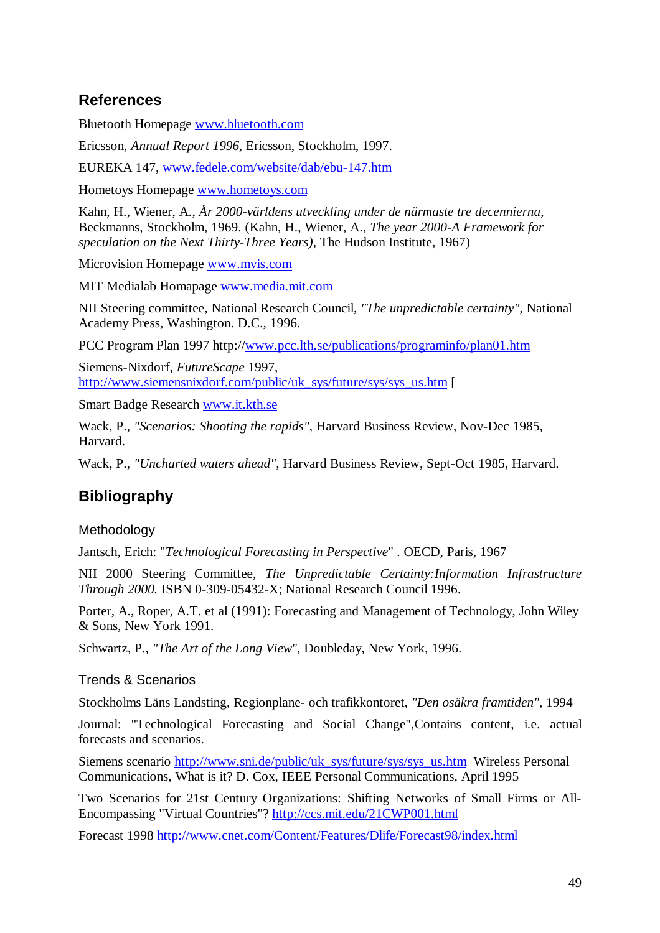## **References**

Bluetooth Homepage www.bluetooth.com

Ericsson, *Annual Report 1996*, Ericsson, Stockholm, 1997.

EUREKA 147, www.fedele.com/website/dab/ebu-147.htm

Hometoys Homepage www.hometoys.com

Kahn, H., Wiener, A., *År 2000-världens utveckling under de närmaste tre decennierna,* Beckmanns, Stockholm, 1969. (Kahn, H., Wiener, A., *The year 2000-A Framework for speculation on the Next Thirty-Three Years),* The Hudson Institute, 1967)

Microvision Homepage www.mvis.com

MIT Medialab Homapage www.media.mit.com

NII Steering committee, National Research Council, *"The unpredictable certainty"*, National Academy Press, Washington. D.C., 1996.

PCC Program Plan 1997 http://www.pcc.lth.se/publications/programinfo/plan01.htm

Siemens-Nixdorf, *FutureScape* 1997, http://www.siemensnixdorf.com/public/uk\_sys/future/sys/sys\_us.htm [

Smart Badge Research www.it.kth.se

Wack, P., *"Scenarios: Shooting the rapids"*, Harvard Business Review, Nov-Dec 1985, Harvard.

Wack, P., *"Uncharted waters ahead",* Harvard Business Review, Sept-Oct 1985, Harvard.

## **Bibliography**

#### **Methodology**

Jantsch, Erich: "*Technological Forecasting in Perspective*" . OECD, Paris, 1967

NII 2000 Steering Committee, *The Unpredictable Certainty:Information Infrastructure Through 2000.* ISBN 0-309-05432-X; National Research Council 1996.

Porter, A., Roper, A.T. et al (1991): Forecasting and Management of Technology, John Wiley & Sons, New York 1991.

Schwartz, P., *"The Art of the Long View"*, Doubleday, New York, 1996.

#### Trends & Scenarios

Stockholms Läns Landsting, Regionplane- och trafikkontoret, *"Den osäkra framtiden"*, 1994

Journal: "Technological Forecasting and Social Change",Contains content, i.e. actual forecasts and scenarios.

Siemens scenario http://www.sni.de/public/uk\_sys/future/sys/sys\_us.htm Wireless Personal Communications, What is it? D. Cox, IEEE Personal Communications, April 1995

Two Scenarios for 21st Century Organizations: Shifting Networks of Small Firms or All-Encompassing "Virtual Countries"? http://ccs.mit.edu/21CWP001.html

Forecast 1998 http://www.cnet.com/Content/Features/Dlife/Forecast98/index.html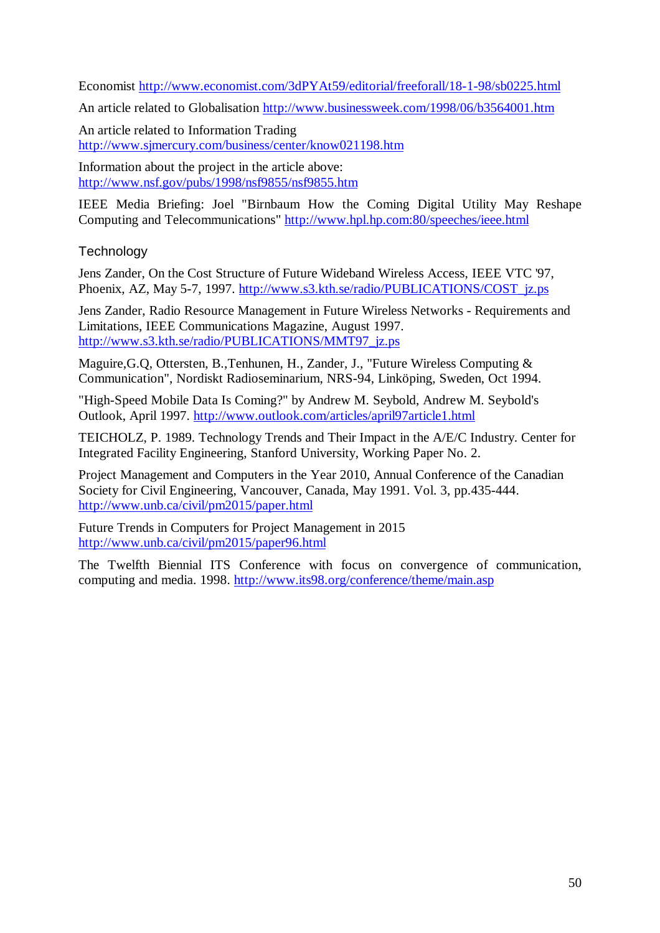Economist http://www.economist.com/3dPYAt59/editorial/freeforall/18-1-98/sb0225.html

An article related to Globalisation http://www.businessweek.com/1998/06/b3564001.htm

An article related to Information Trading http://www.sjmercury.com/business/center/know021198.htm

Information about the project in the article above: http://www.nsf.gov/pubs/1998/nsf9855/nsf9855.htm

IEEE Media Briefing: Joel "Birnbaum How the Coming Digital Utility May Reshape Computing and Telecommunications" http://www.hpl.hp.com:80/speeches/ieee.html

**Technology** 

Jens Zander, On the Cost Structure of Future Wideband Wireless Access, IEEE VTC '97, Phoenix, AZ, May 5-7, 1997. http://www.s3.kth.se/radio/PUBLICATIONS/COST\_jz.ps

Jens Zander, Radio Resource Management in Future Wireless Networks - Requirements and Limitations, IEEE Communications Magazine, August 1997. http://www.s3.kth.se/radio/PUBLICATIONS/MMT97\_jz.ps

Maguire,G.Q, Ottersten, B.,Tenhunen, H., Zander, J., "Future Wireless Computing & Communication", Nordiskt Radioseminarium, NRS-94, Linköping, Sweden, Oct 1994.

"High-Speed Mobile Data Is Coming?" by Andrew M. Seybold, Andrew M. Seybold's Outlook, April 1997. http://www.outlook.com/articles/april97article1.html

TEICHOLZ, P. 1989. Technology Trends and Their Impact in the A/E/C Industry. Center for Integrated Facility Engineering, Stanford University, Working Paper No. 2.

Project Management and Computers in the Year 2010, Annual Conference of the Canadian Society for Civil Engineering, Vancouver, Canada, May 1991. Vol. 3, pp.435-444. http://www.unb.ca/civil/pm2015/paper.html

Future Trends in Computers for Project Management in 2015 http://www.unb.ca/civil/pm2015/paper96.html

The Twelfth Biennial ITS Conference with focus on convergence of communication, computing and media. 1998. http://www.its98.org/conference/theme/main.asp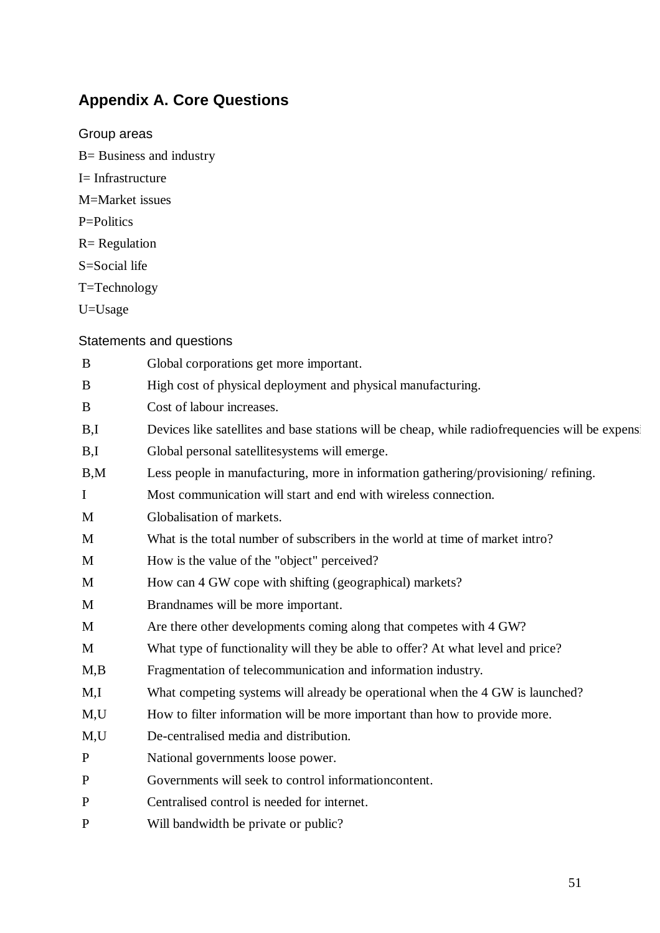# **Appendix A. Core Questions**

Group areas B= Business and industry I= Infrastructure M=Market issues P=Politics  $R =$  Regulation S=Social life T=Technology U=Usage

## Statements and questions

| B            | Global corporations get more important.                                                          |
|--------------|--------------------------------------------------------------------------------------------------|
| B            | High cost of physical deployment and physical manufacturing.                                     |
| B            | Cost of labour increases.                                                                        |
| B,I          | Devices like satellites and base stations will be cheap, while radiofrequencies will be expensed |
| B,I          | Global personal satellitesystems will emerge.                                                    |
| B,M          | Less people in manufacturing, more in information gathering/provisioning/refining.               |
| $\mathbf I$  | Most communication will start and end with wireless connection.                                  |
| M            | Globalisation of markets.                                                                        |
| M            | What is the total number of subscribers in the world at time of market intro?                    |
| M            | How is the value of the "object" perceived?                                                      |
| M            | How can 4 GW cope with shifting (geographical) markets?                                          |
| M            | Brandnames will be more important.                                                               |
| M            | Are there other developments coming along that competes with 4 GW?                               |
| M            | What type of functionality will they be able to offer? At what level and price?                  |
| M,B          | Fragmentation of telecommunication and information industry.                                     |
| M,I          | What competing systems will already be operational when the 4 GW is launched?                    |
| M,U          | How to filter information will be more important than how to provide more.                       |
| M,U          | De-centralised media and distribution.                                                           |
| $\mathbf{P}$ | National governments loose power.                                                                |
| $\mathbf P$  | Governments will seek to control information content.                                            |
| $\mathbf{P}$ | Centralised control is needed for internet.                                                      |
| $\mathbf{P}$ | Will bandwidth be private or public?                                                             |
|              |                                                                                                  |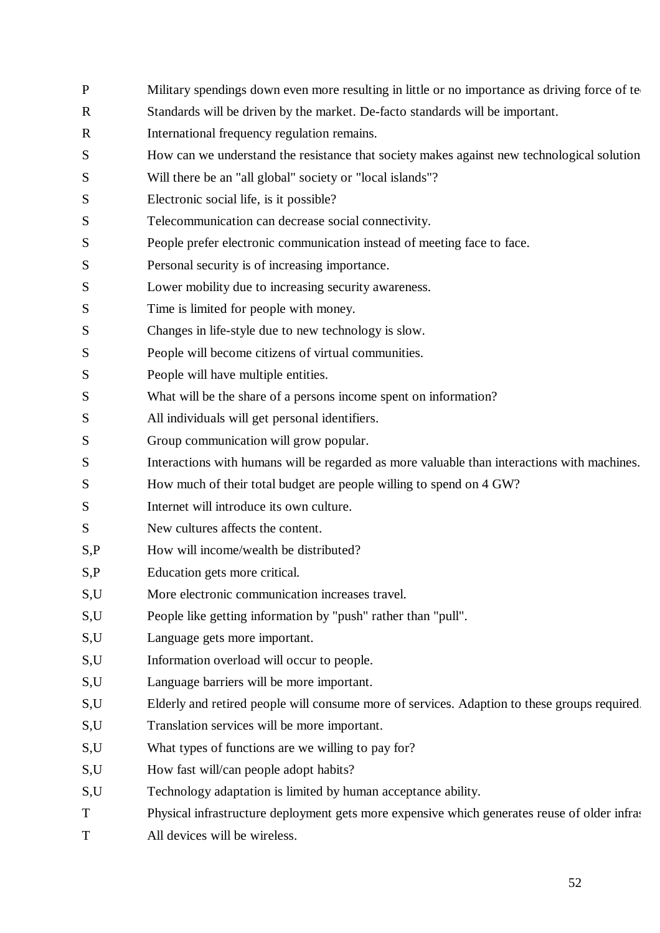- P Military spendings down even more resulting in little or no importance as driving force of te R Standards will be driven by the market. De-facto standards will be important. R International frequency regulation remains. S How can we understand the resistance that society makes against new technological solution S Will there be an "all global" society or "local islands"? S Electronic social life, is it possible? S Telecommunication can decrease social connectivity. S People prefer electronic communication instead of meeting face to face. S Personal security is of increasing importance. S Lower mobility due to increasing security awareness. S Time is limited for people with money. S Changes in life-style due to new technology is slow. S People will become citizens of virtual communities. S People will have multiple entities. S What will be the share of a persons income spent on information? S All individuals will get personal identifiers. S Group communication will grow popular. S Interactions with humans will be regarded as more valuable than interactions with machines. S How much of their total budget are people willing to spend on 4 GW? S Internet will introduce its own culture. S New cultures affects the content. S,P How will income/wealth be distributed? S,P Education gets more critical. S,U More electronic communication increases travel. S,U People like getting information by "push" rather than "pull". S,U Language gets more important. S, U Information overload will occur to people. S,U Language barriers will be more important. S,U Elderly and retired people will consume more of services. Adaption to these groups required. S,U Translation services will be more important. S,U What types of functions are we willing to pay for? S,U How fast will/can people adopt habits? S,U Technology adaptation is limited by human acceptance ability. T Physical infrastructure deployment gets more expensive which generates reuse of older infrastructure
- T All devices will be wireless.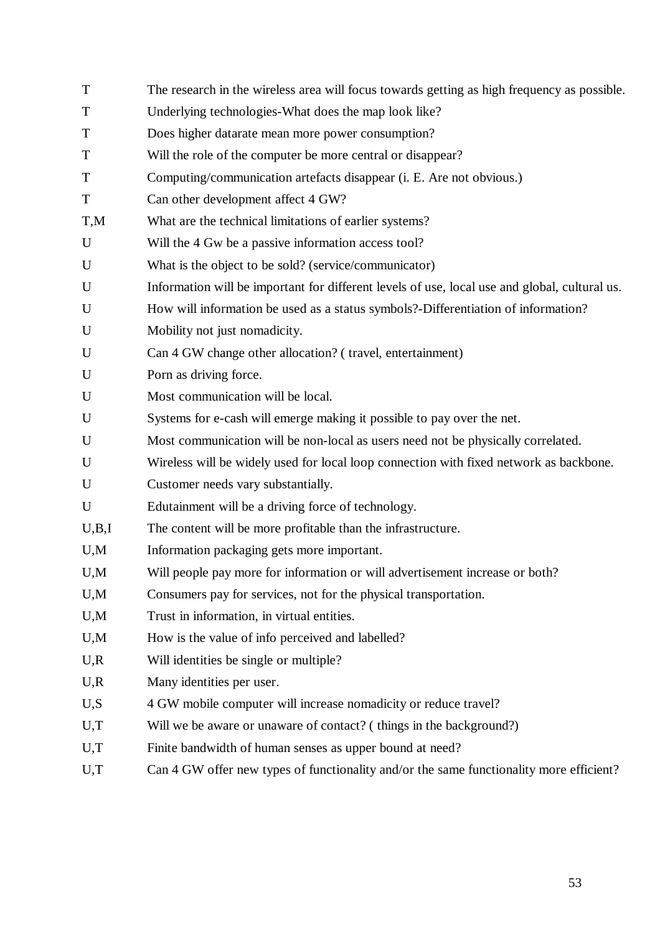| T           | The research in the wireless area will focus towards getting as high frequency as possible.   |
|-------------|-----------------------------------------------------------------------------------------------|
| T           | Underlying technologies-What does the map look like?                                          |
| T           | Does higher datarate mean more power consumption?                                             |
| T           | Will the role of the computer be more central or disappear?                                   |
| T           | Computing/communication artefacts disappear (i. E. Are not obvious.)                          |
| T           | Can other development affect 4 GW?                                                            |
| T,M         | What are the technical limitations of earlier systems?                                        |
| $\mathbf U$ | Will the 4 Gw be a passive information access tool?                                           |
| $\mathbf U$ | What is the object to be sold? (service/communicator)                                         |
| U           | Information will be important for different levels of use, local use and global, cultural us. |
| U           | How will information be used as a status symbols?-Differentiation of information?             |
| U           | Mobility not just nomadicity.                                                                 |
| U           | Can 4 GW change other allocation? (travel, entertainment)                                     |
| U           | Porn as driving force.                                                                        |
| U           | Most communication will be local.                                                             |
| U           | Systems for e-cash will emerge making it possible to pay over the net.                        |
| U           | Most communication will be non-local as users need not be physically correlated.              |
| U           | Wireless will be widely used for local loop connection with fixed network as backbone.        |
| U           | Customer needs vary substantially.                                                            |
| U           | Edutainment will be a driving force of technology.                                            |
| U,B,I       | The content will be more profitable than the infrastructure.                                  |
| U,M         | Information packaging gets more important.                                                    |
| U.M         | Will people pay more for information or will advertisement increase or both?                  |
| U,M         | Consumers pay for services, not for the physical transportation.                              |
| U, M        | Trust in information, in virtual entities.                                                    |
| U, M        | How is the value of info perceived and labelled?                                              |
| U, R        | Will identities be single or multiple?                                                        |
| U, R        | Many identities per user.                                                                     |
| U, S        | 4 GW mobile computer will increase nomadicity or reduce travel?                               |
| U,T         | Will we be aware or unaware of contact? (things in the background?)                           |
| U,T         | Finite bandwidth of human senses as upper bound at need?                                      |
| U,T         | Can 4 GW offer new types of functionality and/or the same functionality more efficient?       |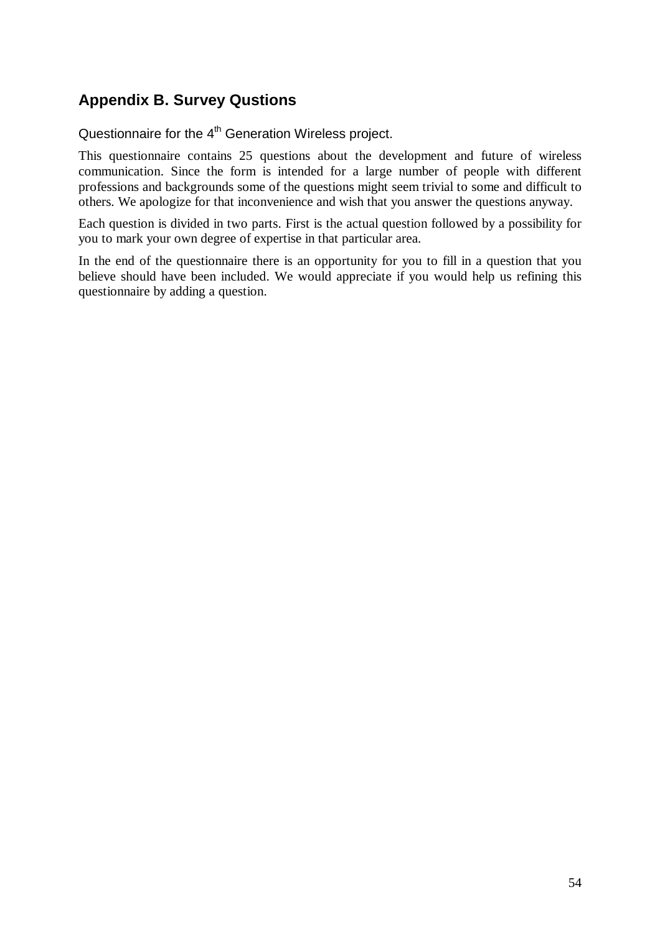# **Appendix B. Survey Qustions**

Questionnaire for the 4<sup>th</sup> Generation Wireless project.

This questionnaire contains 25 questions about the development and future of wireless communication. Since the form is intended for a large number of people with different professions and backgrounds some of the questions might seem trivial to some and difficult to others. We apologize for that inconvenience and wish that you answer the questions anyway.

Each question is divided in two parts. First is the actual question followed by a possibility for you to mark your own degree of expertise in that particular area.

In the end of the questionnaire there is an opportunity for you to fill in a question that you believe should have been included. We would appreciate if you would help us refining this questionnaire by adding a question.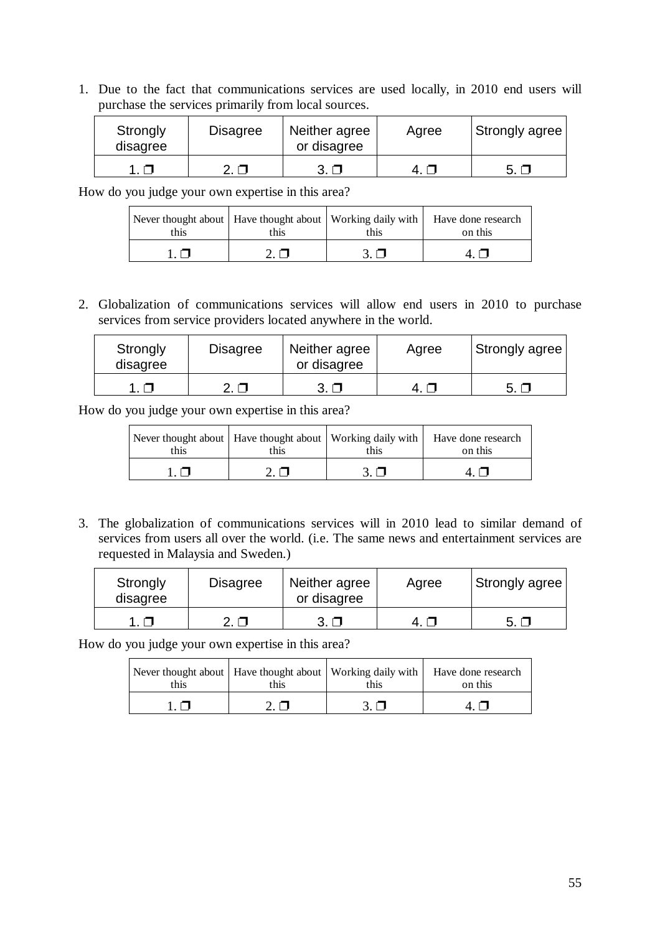1. Due to the fact that communications services are used locally, in 2010 end users will purchase the services primarily from local sources.

| Strongly<br>disagree | <b>Disagree</b> | Neither agree<br>or disagree | Agree | Strongly agree |
|----------------------|-----------------|------------------------------|-------|----------------|
|                      |                 |                              |       | 5 O            |

How do you judge your own expertise in this area?

| Never thought about   Have thought about   Working daily with   Have done research<br>this<br>this. |  | this | on this |
|-----------------------------------------------------------------------------------------------------|--|------|---------|
|                                                                                                     |  |      |         |

2. Globalization of communications services will allow end users in 2010 to purchase services from service providers located anywhere in the world.

| Strongly<br>disagree | <b>Disagree</b> | Neither agree<br>or disagree | Agree | Strongly agree |
|----------------------|-----------------|------------------------------|-------|----------------|
|                      |                 |                              |       | 5.             |

How do you judge your own expertise in this area?

| Never thought about   Have thought about   Working daily with   Have done research<br>this | this | this | on this |
|--------------------------------------------------------------------------------------------|------|------|---------|
|                                                                                            |      |      |         |

3. The globalization of communications services will in 2010 lead to similar demand of services from users all over the world. (i.e. The same news and entertainment services are requested in Malaysia and Sweden.)

| Strongly<br>disagree | Disagree | Neither agree<br>or disagree | Agree | Strongly agree |
|----------------------|----------|------------------------------|-------|----------------|
|                      |          |                              | 4   1 |                |

| Never thought about   Have thought about   Working daily with   Have done research<br>this | this | this | on this |
|--------------------------------------------------------------------------------------------|------|------|---------|
|                                                                                            |      |      |         |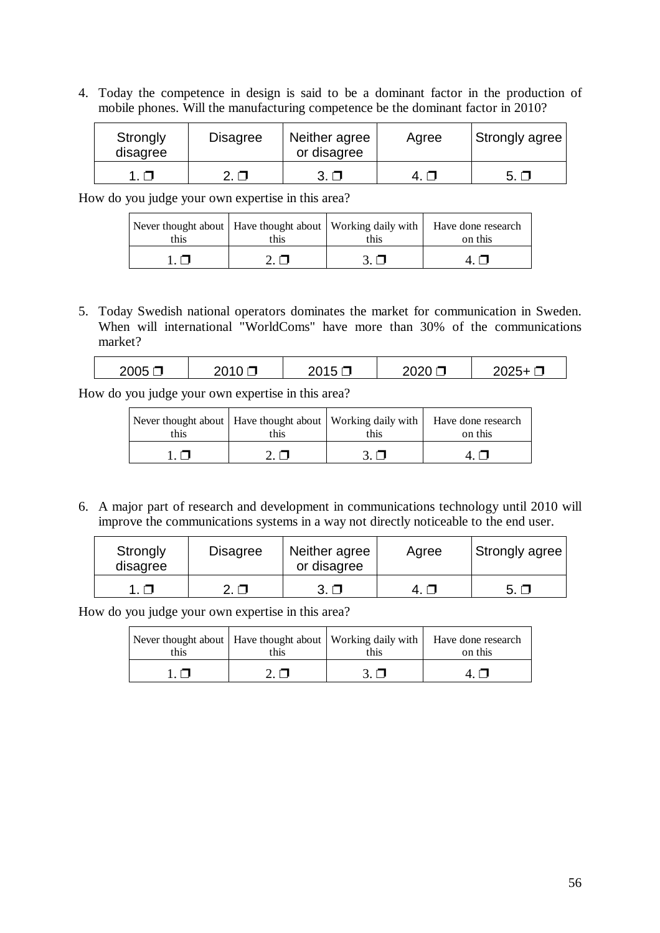4. Today the competence in design is said to be a dominant factor in the production of mobile phones. Will the manufacturing competence be the dominant factor in 2010?

| Strongly<br>disagree | <b>Disagree</b> | Neither agree<br>or disagree | Agree  | <b>Strongly agree</b> |
|----------------------|-----------------|------------------------------|--------|-----------------------|
|                      |                 |                              | $\Box$ | $\sim$                |

How do you judge your own expertise in this area?

| this | this | this      | Never thought about   Have thought about   Working daily with   Have done research<br>on this |
|------|------|-----------|-----------------------------------------------------------------------------------------------|
|      |      | $3. \Box$ |                                                                                               |

5. Today Swedish national operators dominates the market for communication in Sweden. When will international "WorldComs" have more than 30% of the communications market?

| 2005 | .<br>$\sim$ | ,,,<br>╮┻<br>$\sim$ $\sim$ |
|------|-------------|----------------------------|
|      |             |                            |

How do you judge your own expertise in this area?

| this | this | this | Never thought about   Have thought about   Working daily with   Have done research<br>on this |
|------|------|------|-----------------------------------------------------------------------------------------------|
|      |      |      |                                                                                               |

6. A major part of research and development in communications technology until 2010 will improve the communications systems in a way not directly noticeable to the end user.

| Strongly<br>disagree | <b>Disagree</b> | Neither agree<br>or disagree | Agree | Strongly agree |
|----------------------|-----------------|------------------------------|-------|----------------|
|                      |                 |                              |       | -5.            |

| Never thought about   Have thought about   Working daily with   Have done research<br>this | this | this | on this |
|--------------------------------------------------------------------------------------------|------|------|---------|
|                                                                                            |      |      |         |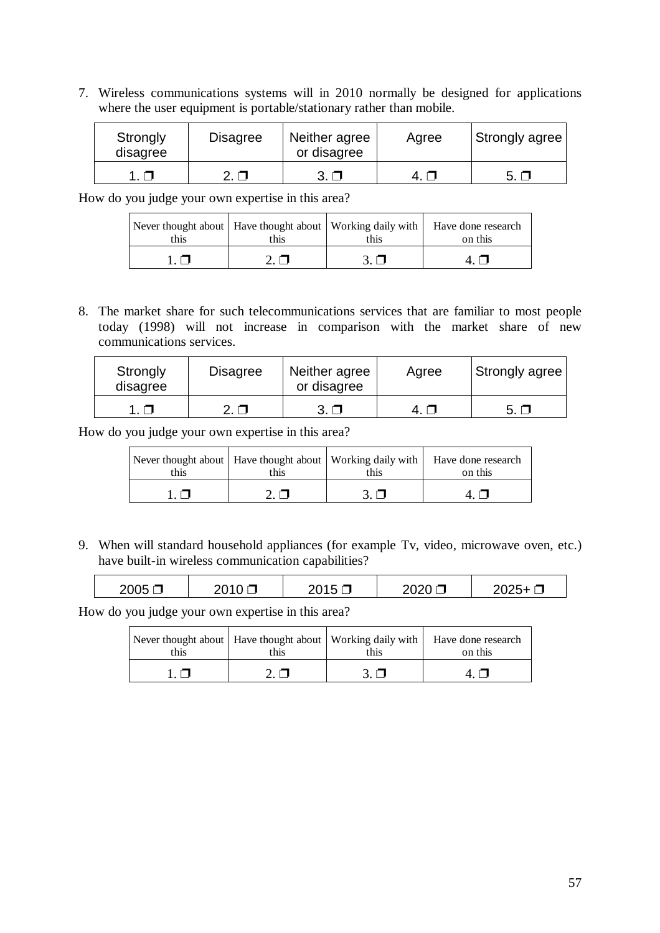7. Wireless communications systems will in 2010 normally be designed for applications where the user equipment is portable/stationary rather than mobile.

| Strongly<br>disagree | Disagree | Neither agree<br>or disagree | Agree | Strongly agree |
|----------------------|----------|------------------------------|-------|----------------|
|                      |          |                              |       | -5.            |

How do you judge your own expertise in this area?

| this | this | this | Never thought about   Have thought about   Working daily with   Have done research<br>on this |
|------|------|------|-----------------------------------------------------------------------------------------------|
|      |      |      |                                                                                               |

8. The market share for such telecommunications services that are familiar to most people today (1998) will not increase in comparison with the market share of new communications services.

| Strongly<br>disagree | <b>Disagree</b> | Neither agree<br>or disagree | Agree | Strongly agree |
|----------------------|-----------------|------------------------------|-------|----------------|
|                      |                 | $3. \Box$                    | 41    | 5. O           |

How do you judge your own expertise in this area?

| this | this | this | Never thought about   Have thought about   Working daily with   Have done research<br>on this |
|------|------|------|-----------------------------------------------------------------------------------------------|
|      |      |      |                                                                                               |

9. When will standard household appliances (for example Tv, video, microwave oven, etc.) have built-in wireless communication capabilities?

| 2005 | วก 1<br>ى<br>، ب∠ | $\overline{\phantom{a}}$ | ப<br>$\sim$ 020 $\sim$ | "<br>∼∽∽ |
|------|-------------------|--------------------------|------------------------|----------|
|      |                   |                          |                        |          |

| this | this | this | Never thought about   Have thought about   Working daily with   Have done research<br>on this |
|------|------|------|-----------------------------------------------------------------------------------------------|
|      |      |      |                                                                                               |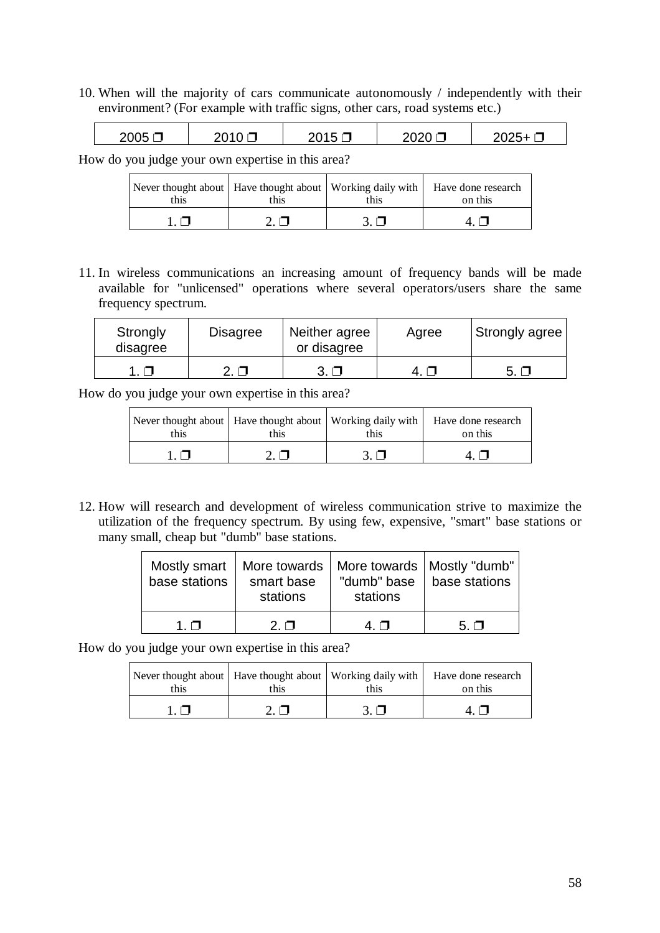10. When will the majority of cars communicate autonomously / independently with their environment? (For example with traffic signs, other cars, road systems etc.)

| 2005 | ∍∩י<br>ᅳ<br>- - | ∽<br>◡ |  |
|------|-----------------|--------|--|
|      |                 |        |  |

How do you judge your own expertise in this area?

| this | this | this | Never thought about   Have thought about   Working daily with   Have done research<br>on this |
|------|------|------|-----------------------------------------------------------------------------------------------|
|      |      |      |                                                                                               |

11. In wireless communications an increasing amount of frequency bands will be made available for "unlicensed" operations where several operators/users share the same frequency spectrum.

| Strongly<br>disagree | <b>Disagree</b> | Neither agree<br>or disagree | Agree | <b>Strongly agree!</b> |
|----------------------|-----------------|------------------------------|-------|------------------------|
|                      |                 |                              | 4 N   | $\sim$                 |

How do you judge your own expertise in this area?

| Never thought about   Have thought about   Working daily with  <br>this | this | this | Have done research<br>on this |
|-------------------------------------------------------------------------|------|------|-------------------------------|
|                                                                         |      |      |                               |

12. How will research and development of wireless communication strive to maximize the utilization of the frequency spectrum. By using few, expensive, "smart" base stations or many small, cheap but "dumb" base stations.

| Mostly smart<br>base stations | More towards<br>smart base<br>stations | "dumb" base<br>stations | More towards   Mostly "dumb"<br>base stations |
|-------------------------------|----------------------------------------|-------------------------|-----------------------------------------------|
| 1 O                           | $2\Box$                                | 4 N                     | $5. \square$                                  |

| this | this | this | Never thought about   Have thought about   Working daily with   Have done research<br>on this |
|------|------|------|-----------------------------------------------------------------------------------------------|
|      |      |      |                                                                                               |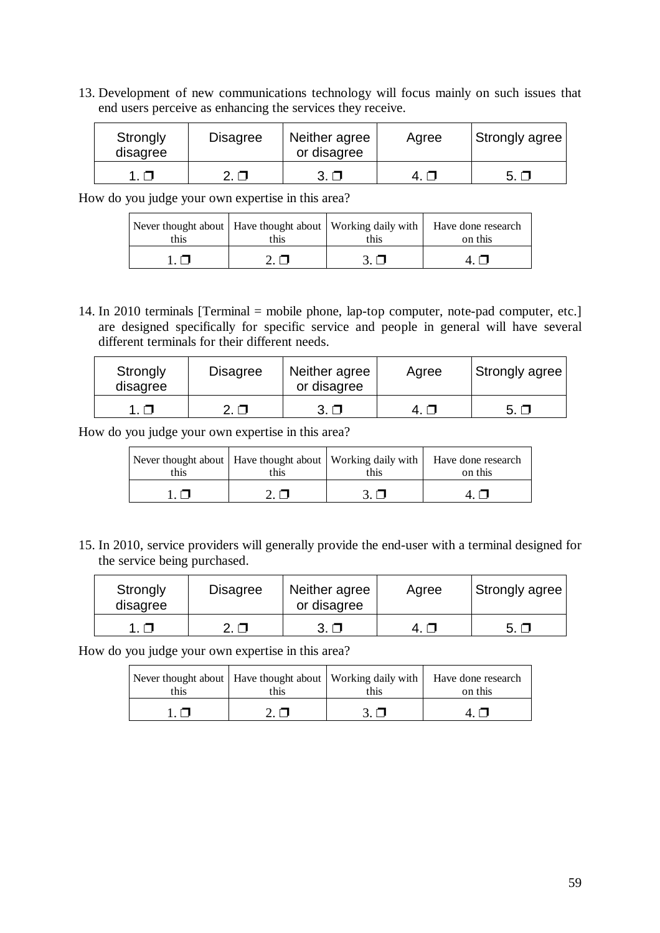13. Development of new communications technology will focus mainly on such issues that end users perceive as enhancing the services they receive.

| Strongly<br>disagree | Disagree | Neither agree<br>or disagree | Agree | Strongly agree |
|----------------------|----------|------------------------------|-------|----------------|
|                      |          |                              |       | - 5 - 5        |

How do you judge your own expertise in this area?

| this | this | this | Never thought about   Have thought about   Working daily with   Have done research<br>on this |
|------|------|------|-----------------------------------------------------------------------------------------------|
|      |      |      |                                                                                               |

14. In 2010 terminals [Terminal = mobile phone, lap-top computer, note-pad computer, etc.] are designed specifically for specific service and people in general will have several different terminals for their different needs.

| Strongly<br>disagree | <b>Disagree</b> | Neither agree<br>or disagree | Agree | Strongly agree |
|----------------------|-----------------|------------------------------|-------|----------------|
|                      |                 |                              |       | 5. $\Box$      |

How do you judge your own expertise in this area?

| Never thought about   Have thought about   Working daily with   Have done research<br>this | this | this | on this |
|--------------------------------------------------------------------------------------------|------|------|---------|
|                                                                                            |      |      |         |

15. In 2010, service providers will generally provide the end-user with a terminal designed for the service being purchased.

| Strongly<br>disagree | <b>Disagree</b> | Neither agree<br>or disagree | Agree | Strongly agree |
|----------------------|-----------------|------------------------------|-------|----------------|
|                      |                 | $3. \Box$                    | 4 N   |                |

| this | this | this | Never thought about   Have thought about   Working daily with   Have done research<br>on this |
|------|------|------|-----------------------------------------------------------------------------------------------|
|      |      |      |                                                                                               |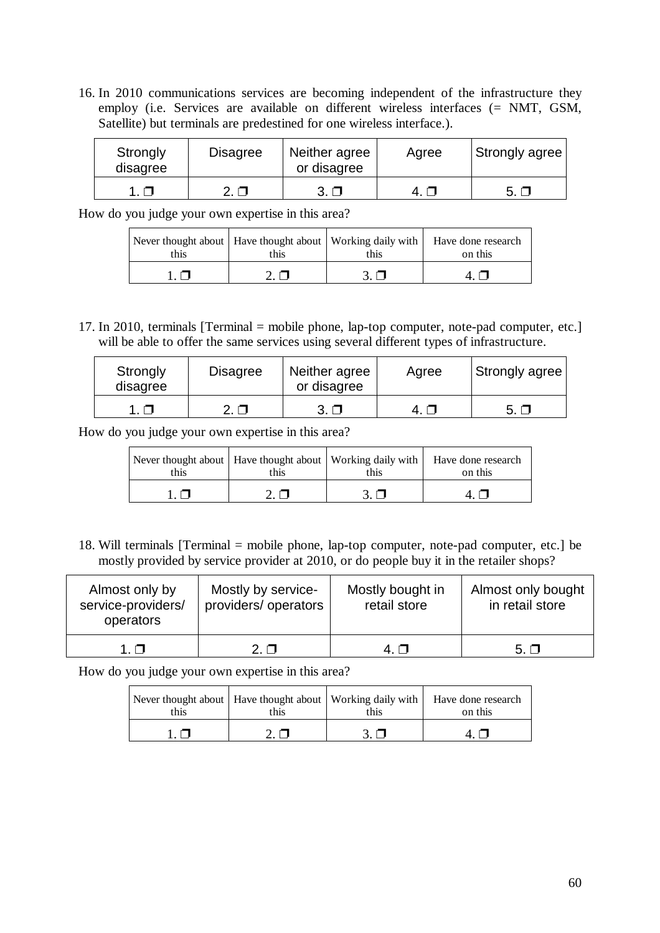16. In 2010 communications services are becoming independent of the infrastructure they employ (i.e. Services are available on different wireless interfaces (= NMT, GSM, Satellite) but terminals are predestined for one wireless interface.).

| Strongly<br>disagree | Disagree | Neither agree<br>or disagree | Agree | Strongly agree |
|----------------------|----------|------------------------------|-------|----------------|
|                      |          |                              |       |                |

How do you judge your own expertise in this area?

| Never thought about   Have thought about   Working daily with   Have done research<br>this. | this | this | on this |
|---------------------------------------------------------------------------------------------|------|------|---------|
|                                                                                             |      |      |         |

17. In 2010, terminals [Terminal = mobile phone, lap-top computer, note-pad computer, etc.] will be able to offer the same services using several different types of infrastructure.

| Strongly<br>disagree | <b>Disagree</b> | Neither agree<br>or disagree | Agree | Strongly agree |
|----------------------|-----------------|------------------------------|-------|----------------|
|                      |                 |                              |       | 5. $\Box$      |

How do you judge your own expertise in this area?

| this | this | this | Never thought about   Have thought about   Working daily with   Have done research<br>on this |
|------|------|------|-----------------------------------------------------------------------------------------------|
|      |      |      |                                                                                               |

18. Will terminals [Terminal = mobile phone, lap-top computer, note-pad computer, etc.] be mostly provided by service provider at 2010, or do people buy it in the retailer shops?

| Almost only by<br>service-providers/<br>operators | Mostly by service-<br>providers/ operators | Mostly bought in<br>retail store | Almost only bought<br>in retail store |
|---------------------------------------------------|--------------------------------------------|----------------------------------|---------------------------------------|
| 1 N                                               | 2 N                                        | 4 N                              | $5. \Box$                             |

| this | this | this | Never thought about   Have thought about   Working daily with   Have done research<br>on this |
|------|------|------|-----------------------------------------------------------------------------------------------|
|      |      |      |                                                                                               |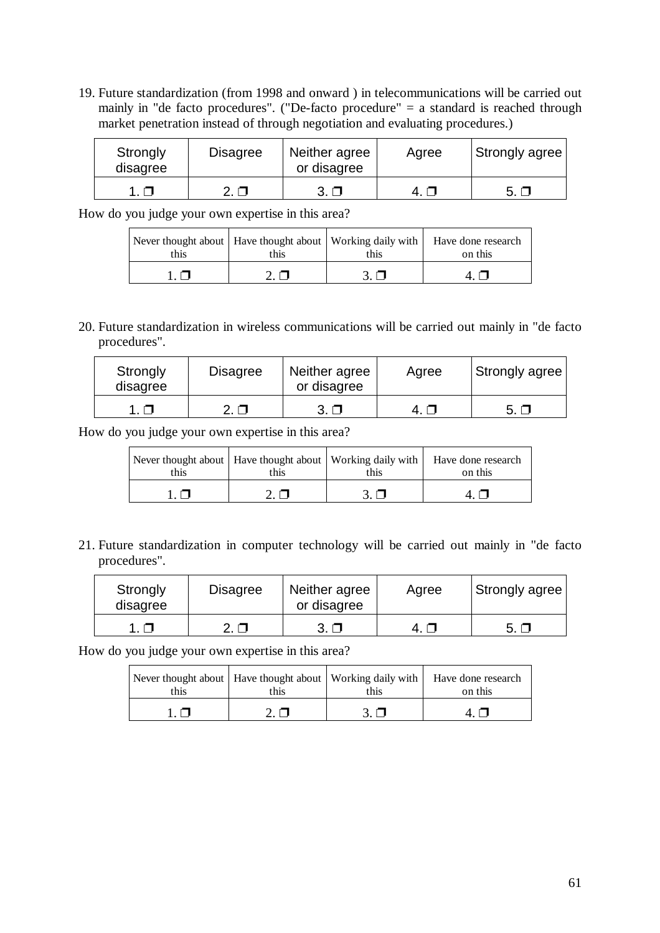19. Future standardization (from 1998 and onward ) in telecommunications will be carried out mainly in "de facto procedures". ("De-facto procedure" = a standard is reached through market penetration instead of through negotiation and evaluating procedures.)

| Strongly<br>disagree | <b>Disagree</b> | Neither agree<br>or disagree | Agree | Strongly agree |
|----------------------|-----------------|------------------------------|-------|----------------|
|                      |                 |                              |       |                |

How do you judge your own expertise in this area?

| this. | this | this | Never thought about   Have thought about   Working daily with   Have done research<br>on this |
|-------|------|------|-----------------------------------------------------------------------------------------------|
|       |      |      |                                                                                               |

20. Future standardization in wireless communications will be carried out mainly in "de facto procedures".

| Strongly<br>disagree | <b>Disagree</b> | Neither agree<br>or disagree | Agree | Strongly agree |
|----------------------|-----------------|------------------------------|-------|----------------|
|                      |                 | $3. \Box$                    |       | $\sim$ $\sim$  |

How do you judge your own expertise in this area?

| Never thought about   Have thought about   Working daily with   Have done research<br>this | this | this | on this |
|--------------------------------------------------------------------------------------------|------|------|---------|
|                                                                                            |      |      |         |

21. Future standardization in computer technology will be carried out mainly in "de facto procedures".

| Strongly<br>disagree | <b>Disagree</b> | Neither agree<br>or disagree | Agree | Strongly agree |
|----------------------|-----------------|------------------------------|-------|----------------|
|                      |                 |                              |       | $\sim$         |

| Never thought about   Have thought about   Working daily with   Have done research<br>this. | this | this | on this |
|---------------------------------------------------------------------------------------------|------|------|---------|
|                                                                                             |      |      |         |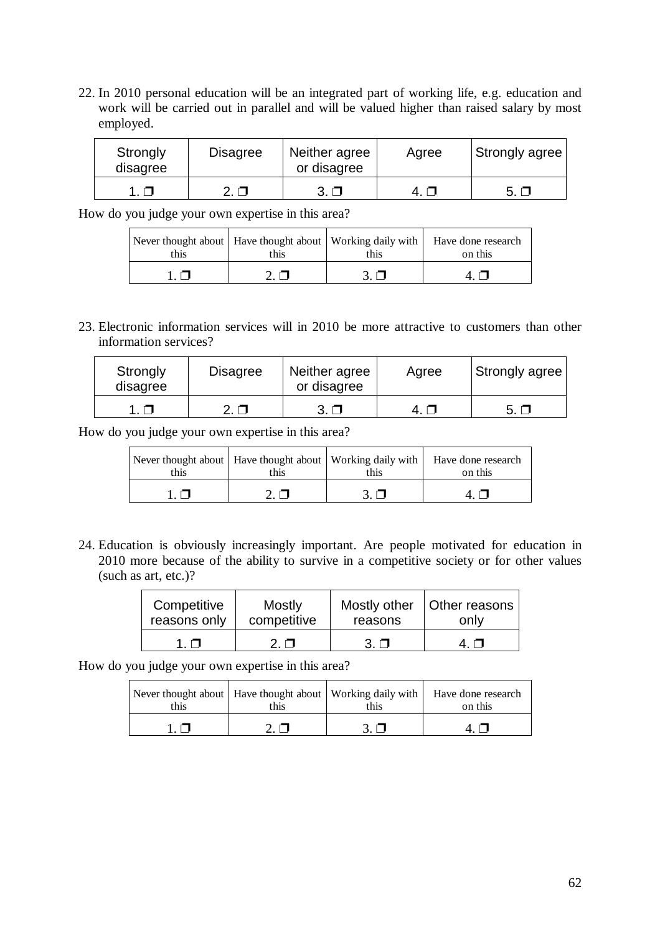22. In 2010 personal education will be an integrated part of working life, e.g. education and work will be carried out in parallel and will be valued higher than raised salary by most employed.

| Strongly<br>disagree | <b>Disagree</b> | Neither agree<br>or disagree | Agree  | Strongly agree |
|----------------------|-----------------|------------------------------|--------|----------------|
|                      | $\Box$          |                              | $-4.1$ |                |

How do you judge your own expertise in this area?

| Never thought about   Have thought about   Working daily with  <br>this | this | this | Have done research<br>on this |
|-------------------------------------------------------------------------|------|------|-------------------------------|
|                                                                         |      |      |                               |

23. Electronic information services will in 2010 be more attractive to customers than other information services?

| Strongly<br>disagree | <b>Disagree</b> | Neither agree<br>or disagree | Agree | Strongly agree |
|----------------------|-----------------|------------------------------|-------|----------------|
|                      |                 | 3. □                         |       | 5. □           |

How do you judge your own expertise in this area?

| Never thought about   Have thought about   Working daily with   Have done research<br>this | this | this | on this |
|--------------------------------------------------------------------------------------------|------|------|---------|
|                                                                                            |      |      |         |

24. Education is obviously increasingly important. Are people motivated for education in 2010 more because of the ability to survive in a competitive society or for other values (such as art, etc.)?

| Competitive  | <b>Mostly</b> | reasons | Mostly other   Other reasons |
|--------------|---------------|---------|------------------------------|
| reasons only | competitive   |         | only                         |
|              | ר ?           | 3 O     |                              |

| Never thought about   Have thought about   Working daily with   Have done research<br>this | this | this | on this |
|--------------------------------------------------------------------------------------------|------|------|---------|
|                                                                                            |      |      |         |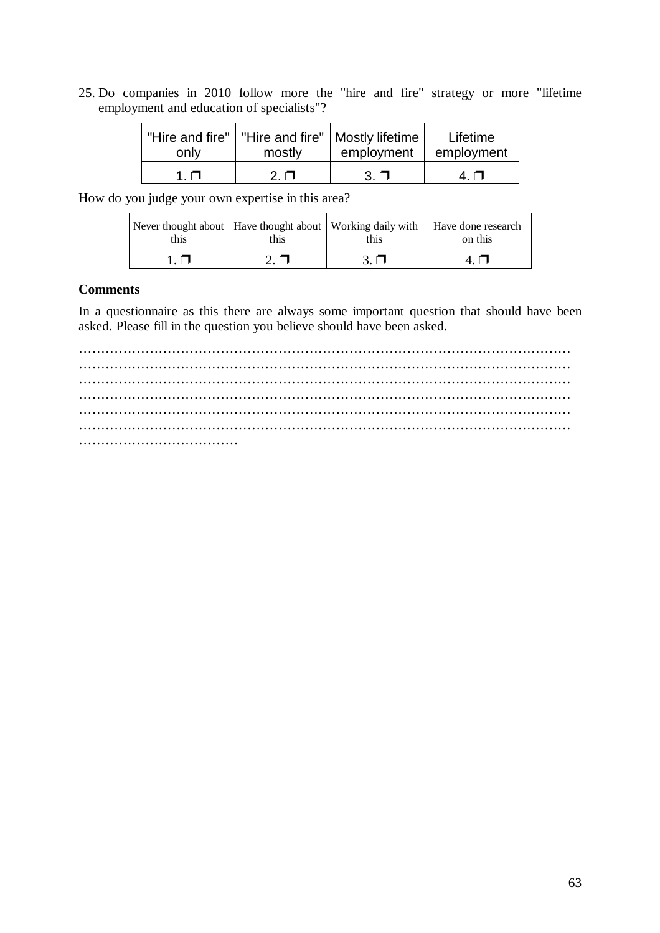25. Do companies in 2010 follow more the "hire and fire" strategy or more "lifetime employment and education of specialists"?

| only | mostly | "Hire and fire"   "Hire and fire"   Mostly lifetime  <br>employment | Lifetime<br>employment |
|------|--------|---------------------------------------------------------------------|------------------------|
|      | ר י    | $3\Box$                                                             | 4 N                    |

How do you judge your own expertise in this area?

| Never thought about Have thought about Working daily with Have done research<br>this | this | this | on this |
|--------------------------------------------------------------------------------------|------|------|---------|
|                                                                                      |      |      |         |

#### **Comments**

In a questionnaire as this there are always some important question that should have been asked. Please fill in the question you believe should have been asked.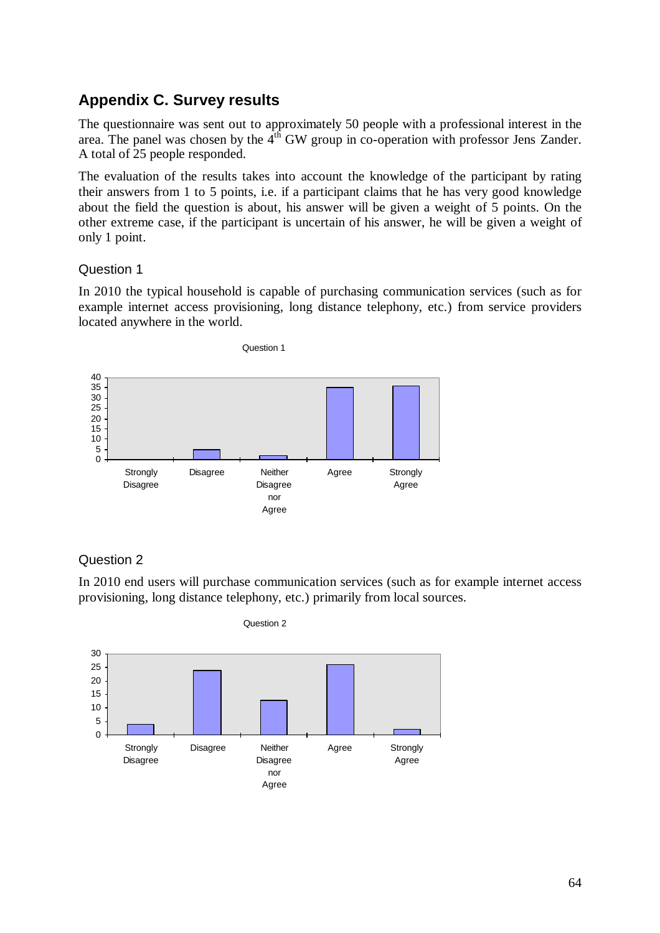## **Appendix C. Survey results**

The questionnaire was sent out to approximately 50 people with a professional interest in the area. The panel was chosen by the  $4<sup>th</sup>$  GW group in co-operation with professor Jens Zander. A total of 25 people responded.

The evaluation of the results takes into account the knowledge of the participant by rating their answers from 1 to 5 points, i.e. if a participant claims that he has very good knowledge about the field the question is about, his answer will be given a weight of 5 points. On the other extreme case, if the participant is uncertain of his answer, he will be given a weight of only 1 point.

## Question 1

In 2010 the typical household is capable of purchasing communication services (such as for example internet access provisioning, long distance telephony, etc.) from service providers located anywhere in the world.



## Question 2

In 2010 end users will purchase communication services (such as for example internet access provisioning, long distance telephony, etc.) primarily from local sources.

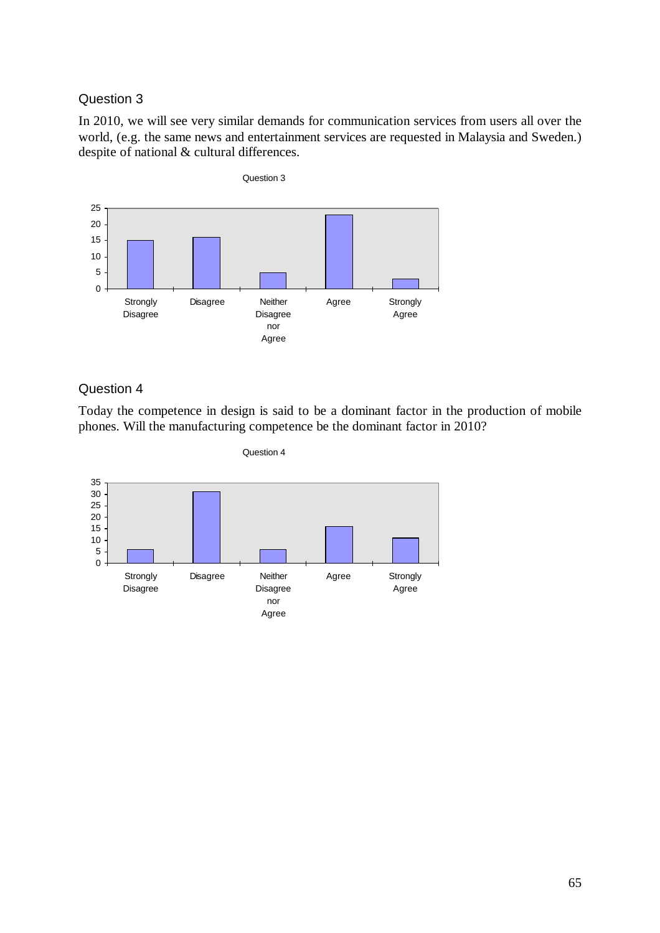In 2010, we will see very similar demands for communication services from users all over the world, (e.g. the same news and entertainment services are requested in Malaysia and Sweden.) despite of national & cultural differences.



## Question 4

Today the competence in design is said to be a dominant factor in the production of mobile phones. Will the manufacturing competence be the dominant factor in 2010?

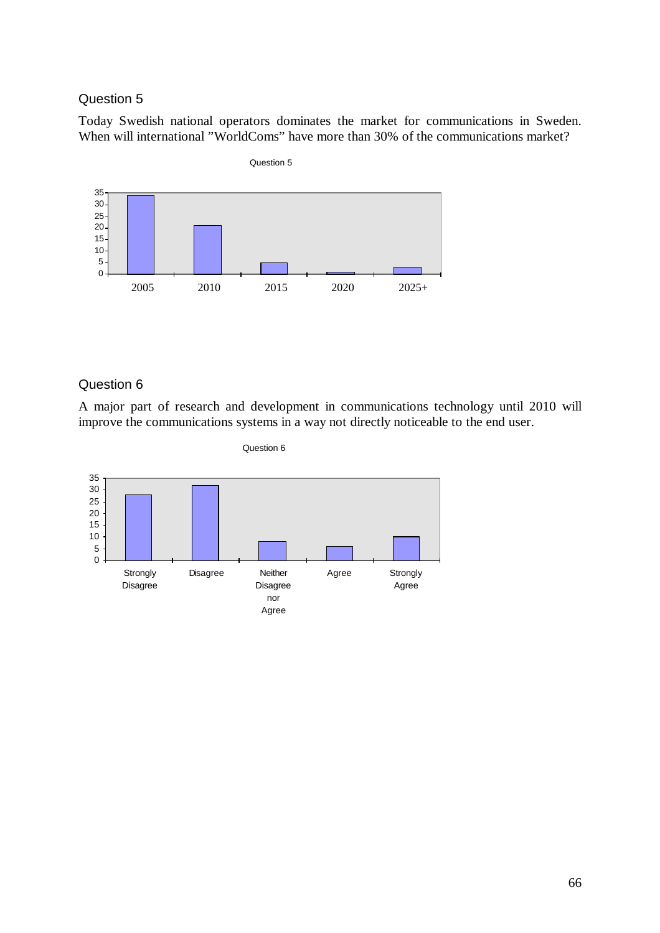Today Swedish national operators dominates the market for communications in Sweden. When will international "WorldComs" have more than 30% of the communications market?



#### Question 6

A major part of research and development in communications technology until 2010 will improve the communications systems in a way not directly noticeable to the end user.



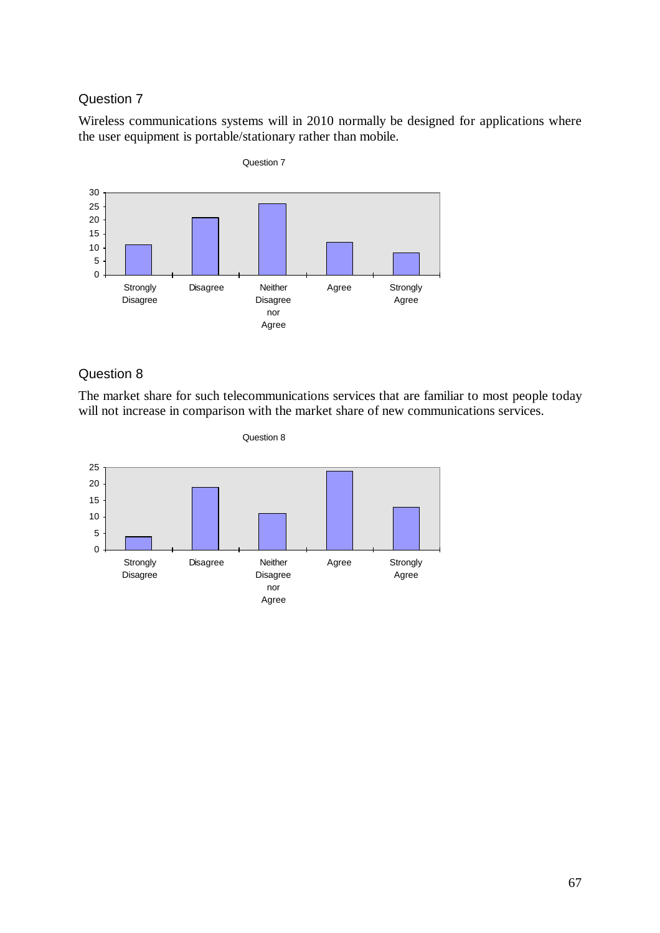Wireless communications systems will in 2010 normally be designed for applications where the user equipment is portable/stationary rather than mobile.



## Question 8

The market share for such telecommunications services that are familiar to most people today will not increase in comparison with the market share of new communications services.

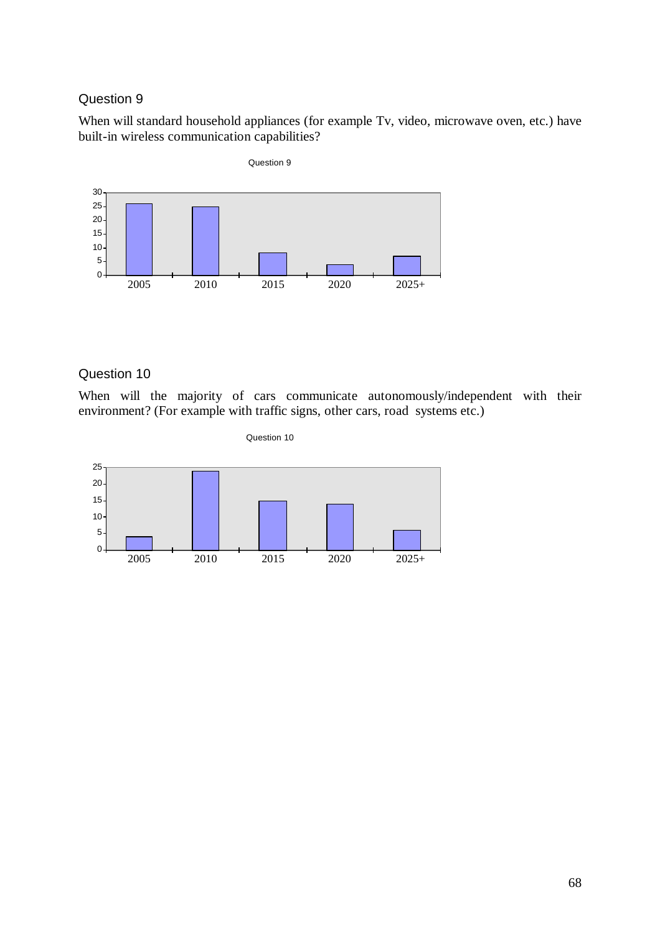When will standard household appliances (for example Tv, video, microwave oven, etc.) have built-in wireless communication capabilities?



### Question 10

When will the majority of cars communicate autonomously/independent with their environment? (For example with traffic signs, other cars, road systems etc.)

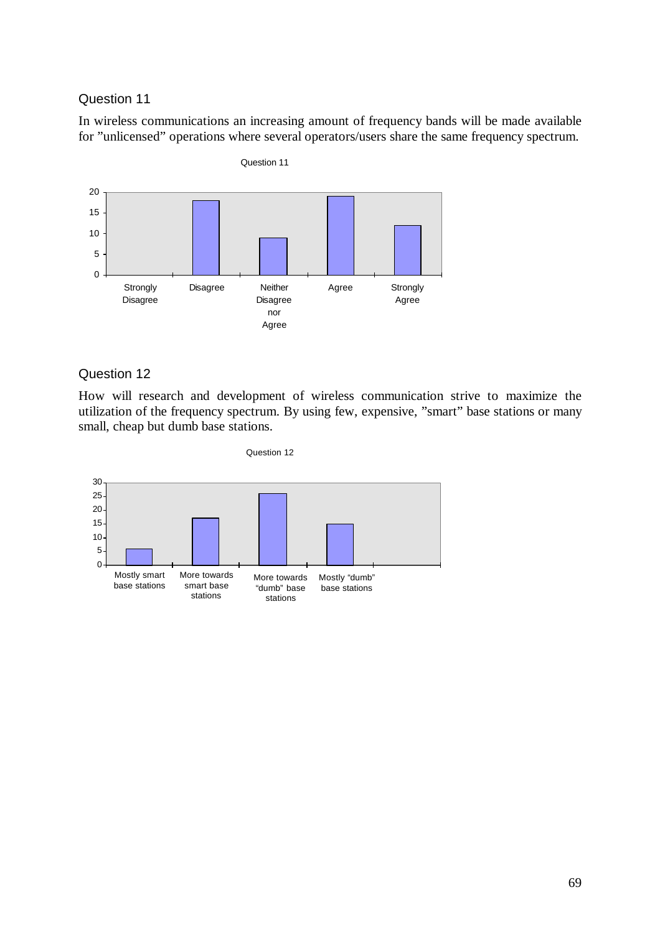In wireless communications an increasing amount of frequency bands will be made available for "unlicensed" operations where several operators/users share the same frequency spectrum.



#### Question 12

How will research and development of wireless communication strive to maximize the utilization of the frequency spectrum. By using few, expensive, "smart" base stations or many small, cheap but dumb base stations.

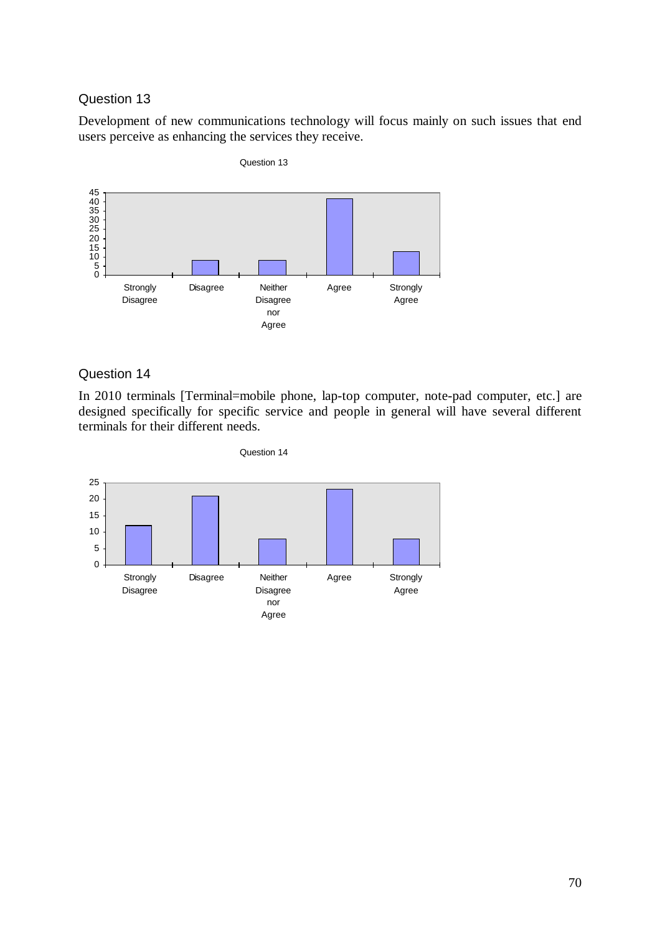Development of new communications technology will focus mainly on such issues that end users perceive as enhancing the services they receive.



#### Question 14

In 2010 terminals [Terminal=mobile phone, lap-top computer, note-pad computer, etc.] are designed specifically for specific service and people in general will have several different terminals for their different needs.

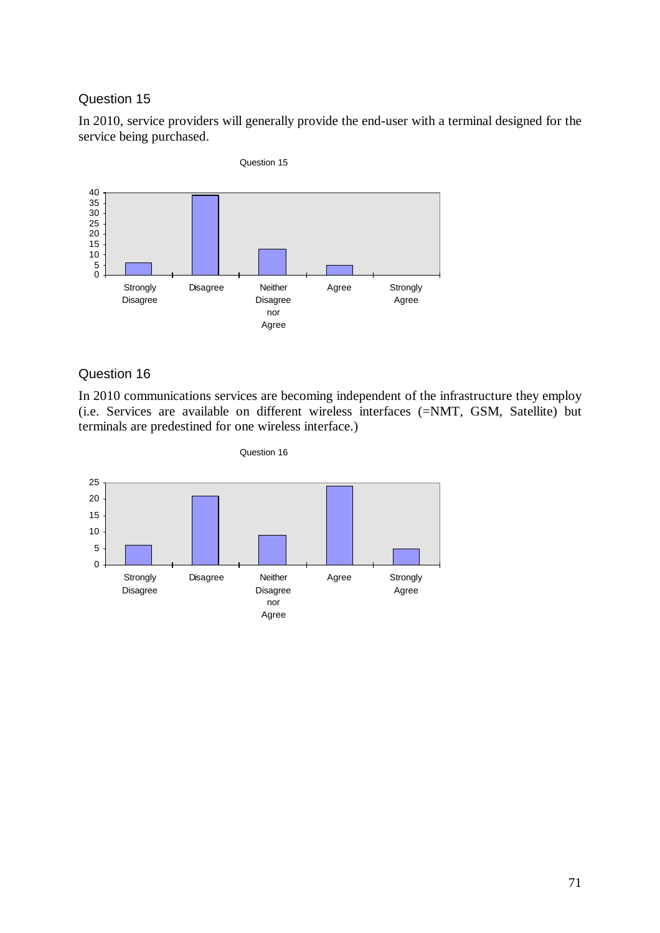In 2010, service providers will generally provide the end-user with a terminal designed for the service being purchased.



## Question 16

In 2010 communications services are becoming independent of the infrastructure they employ (i.e. Services are available on different wireless interfaces (=NMT, GSM, Satellite) but terminals are predestined for one wireless interface.)

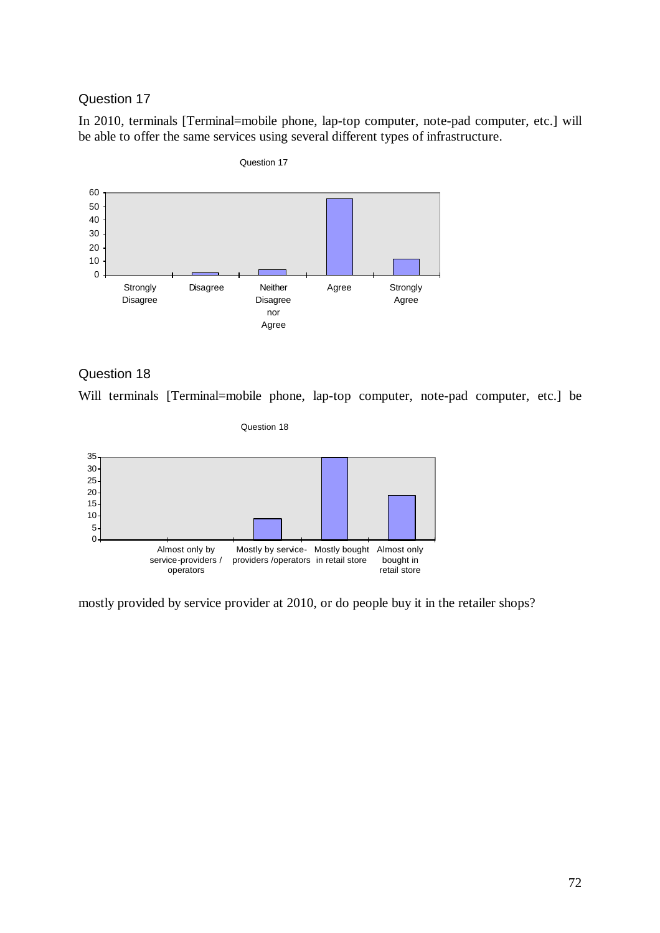In 2010, terminals [Terminal=mobile phone, lap-top computer, note-pad computer, etc.] will be able to offer the same services using several different types of infrastructure.



Question 17

Question 18





mostly provided by service provider at 2010, or do people buy it in the retailer shops?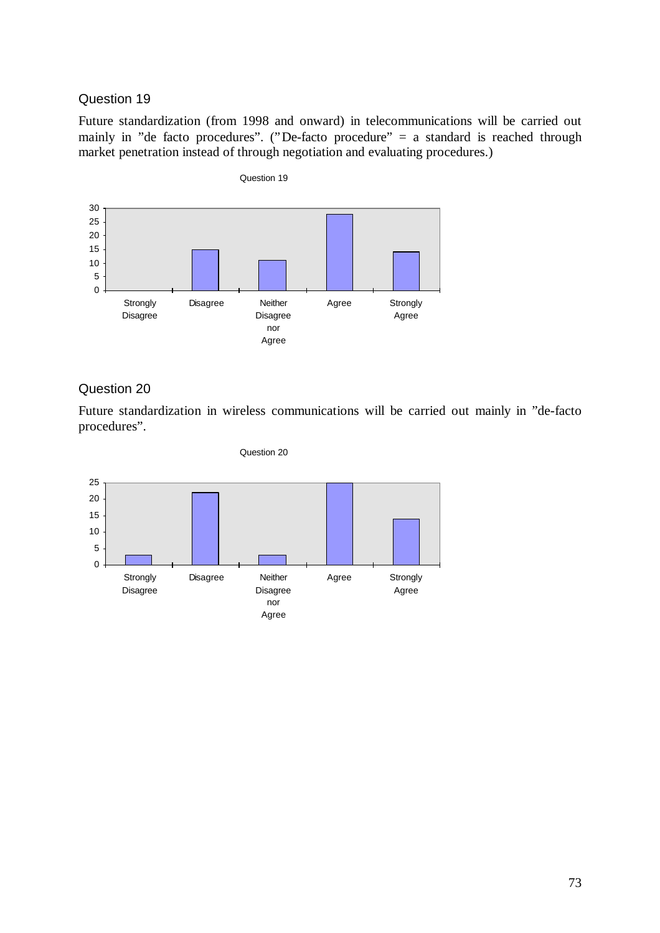Future standardization (from 1998 and onward) in telecommunications will be carried out mainly in "de facto procedures". ("De-facto procedure" = a standard is reached through market penetration instead of through negotiation and evaluating procedures.)



# Question 20

Future standardization in wireless communications will be carried out mainly in "de-facto procedures".



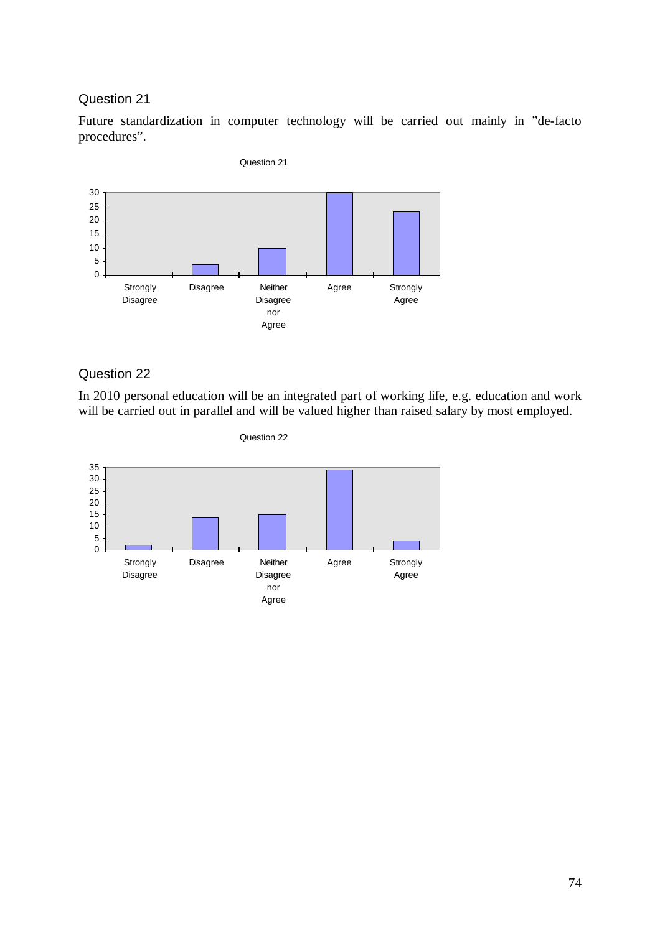Future standardization in computer technology will be carried out mainly in "de-facto procedures".



# Question 22

In 2010 personal education will be an integrated part of working life, e.g. education and work will be carried out in parallel and will be valued higher than raised salary by most employed.

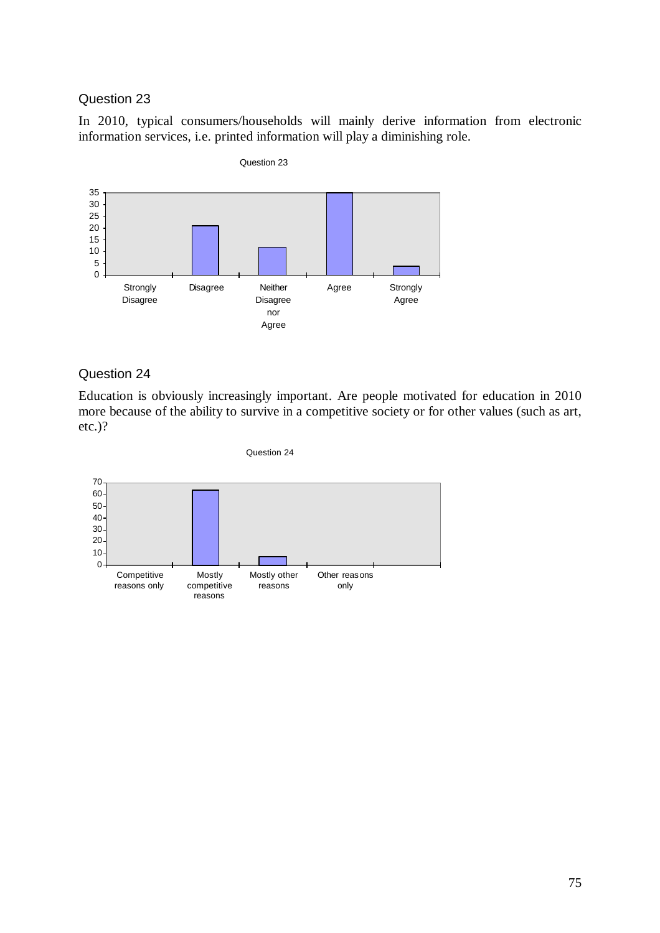In 2010, typical consumers/households will mainly derive information from electronic information services, i.e. printed information will play a diminishing role.



#### Question 24

Education is obviously increasingly important. Are people motivated for education in 2010 more because of the ability to survive in a competitive society or for other values (such as art, etc.)?



Question 24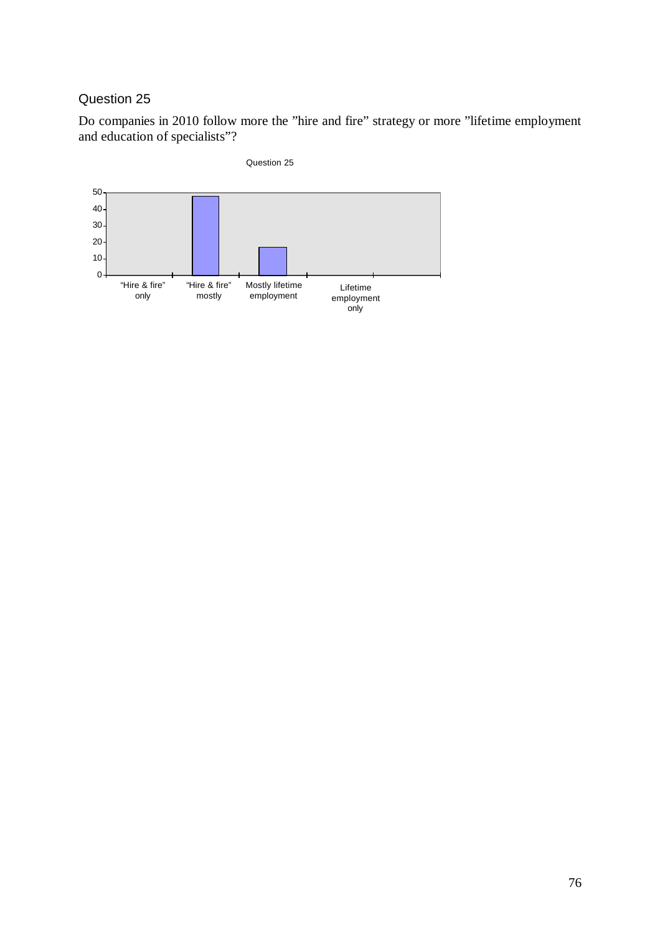Do companies in 2010 follow more the "hire and fire" strategy or more "lifetime employment and education of specialists"?



#### 76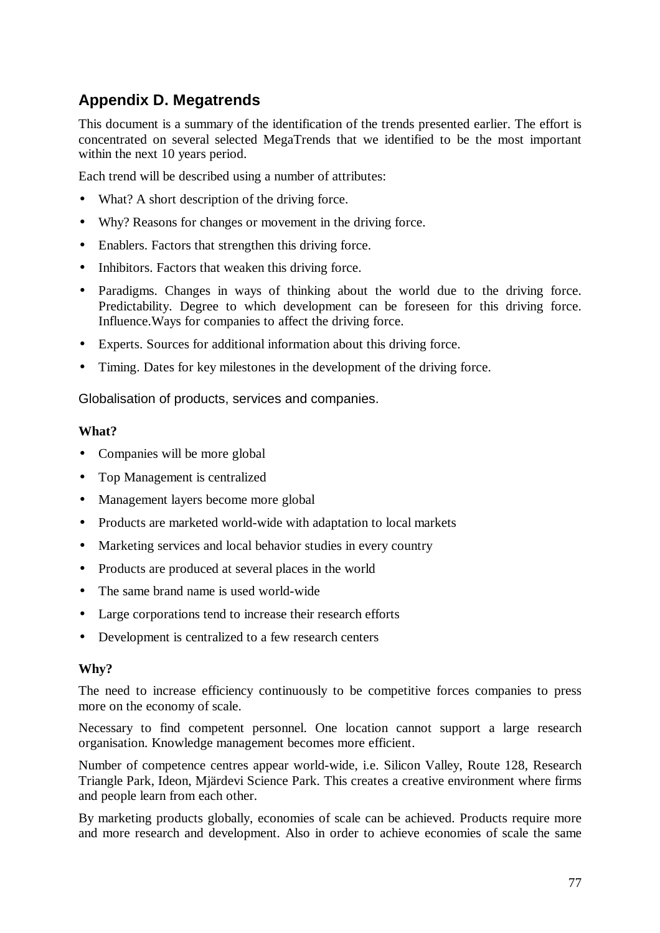# **Appendix D. Megatrends**

This document is a summary of the identification of the trends presented earlier. The effort is concentrated on several selected MegaTrends that we identified to be the most important within the next 10 years period.

Each trend will be described using a number of attributes:

- What? A short description of the driving force.
- Why? Reasons for changes or movement in the driving force.
- Enablers. Factors that strengthen this driving force.
- Inhibitors. Factors that weaken this driving force.
- Paradigms. Changes in ways of thinking about the world due to the driving force. Predictability. Degree to which development can be foreseen for this driving force. Influence.Ways for companies to affect the driving force.
- Experts. Sources for additional information about this driving force.
- Timing. Dates for key milestones in the development of the driving force.

Globalisation of products, services and companies.

#### **What?**

- Companies will be more global
- Top Management is centralized
- Management layers become more global
- Products are marketed world-wide with adaptation to local markets
- Marketing services and local behavior studies in every country
- Products are produced at several places in the world
- The same brand name is used world-wide
- Large corporations tend to increase their research efforts
- Development is centralized to a few research centers

# **Why?**

The need to increase efficiency continuously to be competitive forces companies to press more on the economy of scale.

Necessary to find competent personnel. One location cannot support a large research organisation. Knowledge management becomes more efficient.

Number of competence centres appear world-wide, i.e. Silicon Valley, Route 128, Research Triangle Park, Ideon, Mjärdevi Science Park. This creates a creative environment where firms and people learn from each other.

By marketing products globally, economies of scale can be achieved. Products require more and more research and development. Also in order to achieve economies of scale the same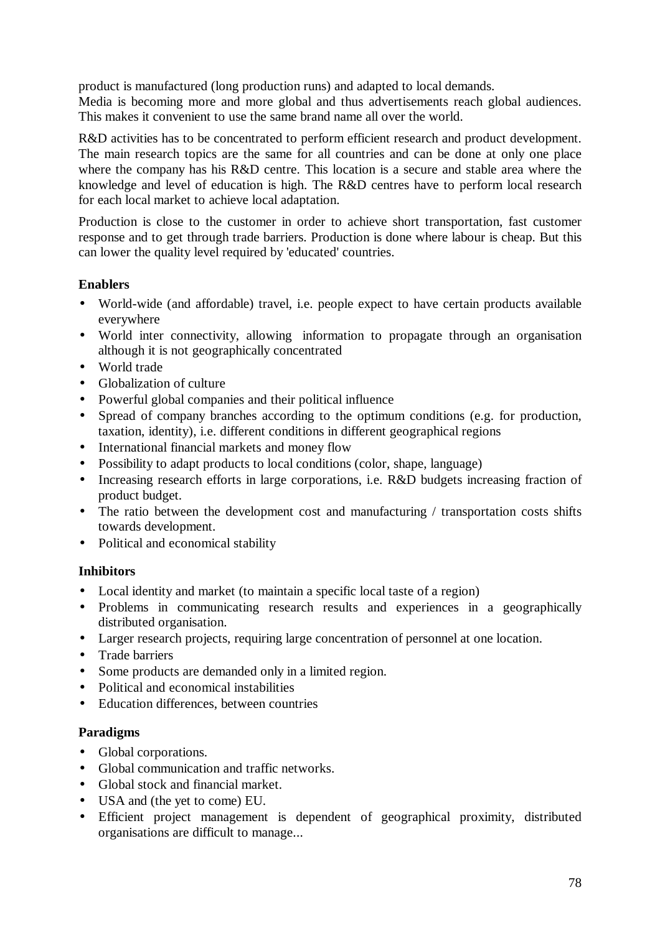product is manufactured (long production runs) and adapted to local demands.

Media is becoming more and more global and thus advertisements reach global audiences. This makes it convenient to use the same brand name all over the world.

R&D activities has to be concentrated to perform efficient research and product development. The main research topics are the same for all countries and can be done at only one place where the company has his R&D centre. This location is a secure and stable area where the knowledge and level of education is high. The R&D centres have to perform local research for each local market to achieve local adaptation.

Production is close to the customer in order to achieve short transportation, fast customer response and to get through trade barriers. Production is done where labour is cheap. But this can lower the quality level required by 'educated' countries.

# **Enablers**

- World-wide (and affordable) travel, i.e. people expect to have certain products available everywhere
- World inter connectivity, allowing information to propagate through an organisation although it is not geographically concentrated
- World trade
- Globalization of culture
- Powerful global companies and their political influence
- Spread of company branches according to the optimum conditions (e.g. for production, taxation, identity), i.e. different conditions in different geographical regions
- International financial markets and money flow
- Possibility to adapt products to local conditions (color, shape, language)
- Increasing research efforts in large corporations, i.e. R&D budgets increasing fraction of product budget.
- The ratio between the development cost and manufacturing / transportation costs shifts towards development.
- Political and economical stability

# **Inhibitors**

- Local identity and market (to maintain a specific local taste of a region)
- Problems in communicating research results and experiences in a geographically distributed organisation.
- Larger research projects, requiring large concentration of personnel at one location.
- Trade barriers
- Some products are demanded only in a limited region.
- Political and economical instabilities
- Education differences, between countries

#### **Paradigms**

- Global corporations.
- Global communication and traffic networks.
- Global stock and financial market.
- USA and (the yet to come) EU.
- Efficient project management is dependent of geographical proximity, distributed organisations are difficult to manage...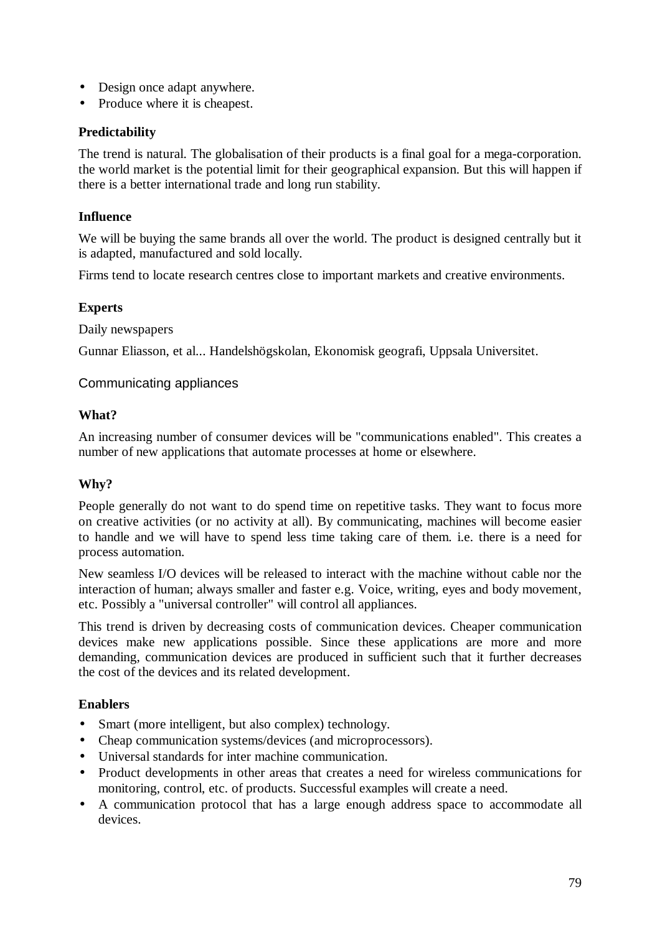- Design once adapt anywhere.
- Produce where it is cheapest.

### **Predictability**

The trend is natural. The globalisation of their products is a final goal for a mega-corporation. the world market is the potential limit for their geographical expansion. But this will happen if there is a better international trade and long run stability.

# **Influence**

We will be buying the same brands all over the world. The product is designed centrally but it is adapted, manufactured and sold locally.

Firms tend to locate research centres close to important markets and creative environments.

# **Experts**

Daily newspapers

Gunnar Eliasson, et al... Handelshögskolan, Ekonomisk geografi, Uppsala Universitet.

#### Communicating appliances

#### **What?**

An increasing number of consumer devices will be "communications enabled". This creates a number of new applications that automate processes at home or elsewhere.

# **Why?**

People generally do not want to do spend time on repetitive tasks. They want to focus more on creative activities (or no activity at all). By communicating, machines will become easier to handle and we will have to spend less time taking care of them. i.e. there is a need for process automation.

New seamless I/O devices will be released to interact with the machine without cable nor the interaction of human; always smaller and faster e.g. Voice, writing, eyes and body movement, etc. Possibly a "universal controller" will control all appliances.

This trend is driven by decreasing costs of communication devices. Cheaper communication devices make new applications possible. Since these applications are more and more demanding, communication devices are produced in sufficient such that it further decreases the cost of the devices and its related development.

#### **Enablers**

- Smart (more intelligent, but also complex) technology.
- Cheap communication systems/devices (and microprocessors).
- Universal standards for inter machine communication.
- Product developments in other areas that creates a need for wireless communications for monitoring, control, etc. of products. Successful examples will create a need.
- A communication protocol that has a large enough address space to accommodate all devices.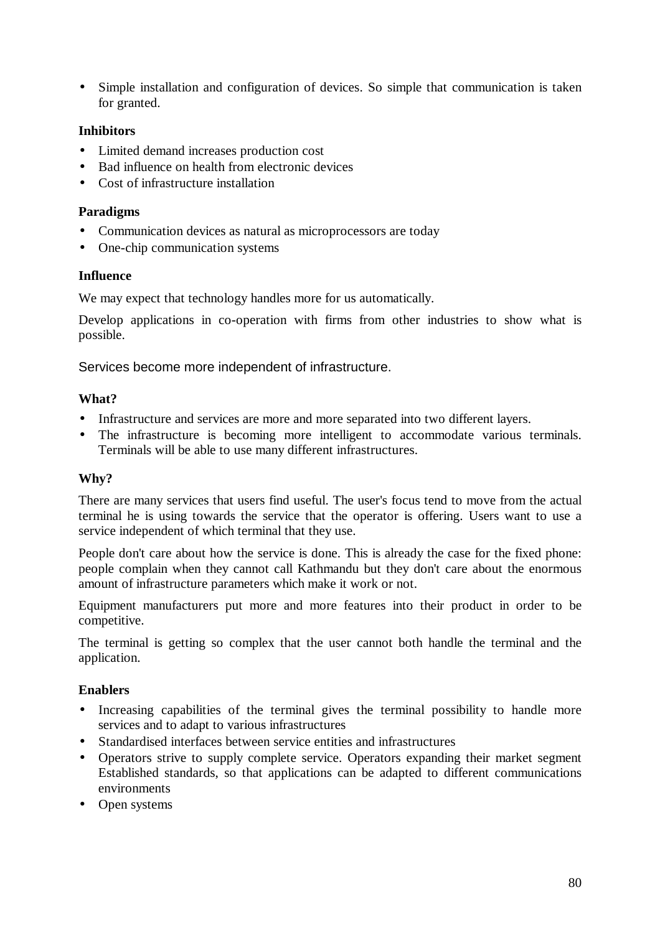• Simple installation and configuration of devices. So simple that communication is taken for granted.

### **Inhibitors**

- Limited demand increases production cost
- Bad influence on health from electronic devices
- Cost of infrastructure installation

#### **Paradigms**

- Communication devices as natural as microprocessors are today
- One-chip communication systems

#### **Influence**

We may expect that technology handles more for us automatically.

Develop applications in co-operation with firms from other industries to show what is possible.

Services become more independent of infrastructure.

#### **What?**

- Infrastructure and services are more and more separated into two different layers.
- The infrastructure is becoming more intelligent to accommodate various terminals. Terminals will be able to use many different infrastructures.

#### **Why?**

There are many services that users find useful. The user's focus tend to move from the actual terminal he is using towards the service that the operator is offering. Users want to use a service independent of which terminal that they use.

People don't care about how the service is done. This is already the case for the fixed phone: people complain when they cannot call Kathmandu but they don't care about the enormous amount of infrastructure parameters which make it work or not.

Equipment manufacturers put more and more features into their product in order to be competitive.

The terminal is getting so complex that the user cannot both handle the terminal and the application.

# **Enablers**

- Increasing capabilities of the terminal gives the terminal possibility to handle more services and to adapt to various infrastructures
- Standardised interfaces between service entities and infrastructures
- Operators strive to supply complete service. Operators expanding their market segment Established standards, so that applications can be adapted to different communications environments
- Open systems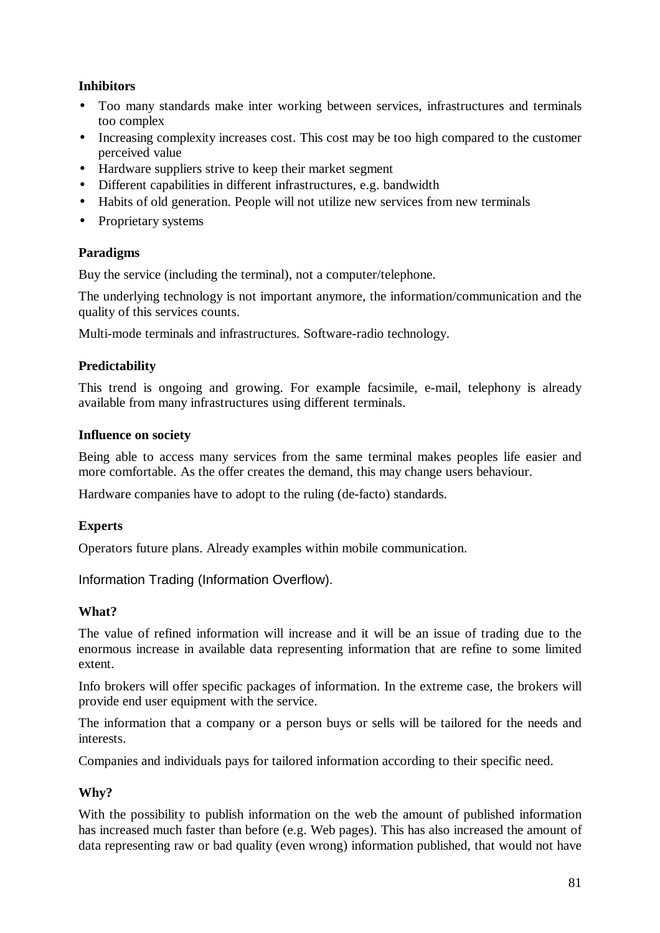# **Inhibitors**

- Too many standards make inter working between services, infrastructures and terminals too complex
- Increasing complexity increases cost. This cost may be too high compared to the customer perceived value
- Hardware suppliers strive to keep their market segment
- Different capabilities in different infrastructures, e.g. bandwidth
- Habits of old generation. People will not utilize new services from new terminals
- Proprietary systems

# **Paradigms**

Buy the service (including the terminal), not a computer/telephone.

The underlying technology is not important anymore, the information/communication and the quality of this services counts.

Multi-mode terminals and infrastructures. Software-radio technology.

# **Predictability**

This trend is ongoing and growing. For example facsimile, e-mail, telephony is already available from many infrastructures using different terminals.

# **Influence on society**

Being able to access many services from the same terminal makes peoples life easier and more comfortable. As the offer creates the demand, this may change users behaviour.

Hardware companies have to adopt to the ruling (de-facto) standards.

# **Experts**

Operators future plans. Already examples within mobile communication.

Information Trading (Information Overflow).

# **What?**

The value of refined information will increase and it will be an issue of trading due to the enormous increase in available data representing information that are refine to some limited extent.

Info brokers will offer specific packages of information. In the extreme case, the brokers will provide end user equipment with the service.

The information that a company or a person buys or sells will be tailored for the needs and interests.

Companies and individuals pays for tailored information according to their specific need.

# **Why?**

With the possibility to publish information on the web the amount of published information has increased much faster than before (e.g. Web pages). This has also increased the amount of data representing raw or bad quality (even wrong) information published, that would not have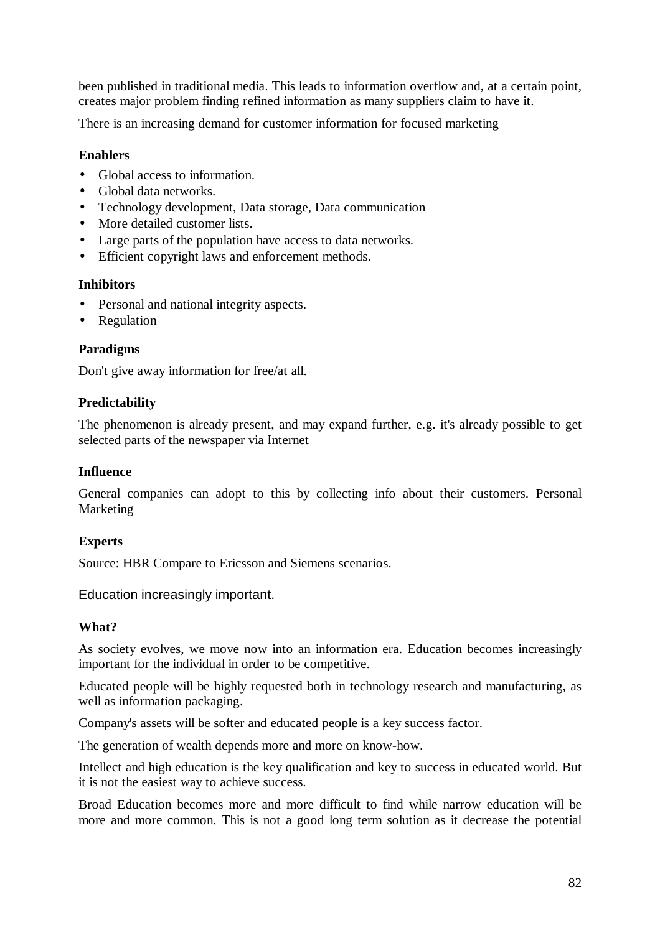been published in traditional media. This leads to information overflow and, at a certain point, creates major problem finding refined information as many suppliers claim to have it.

There is an increasing demand for customer information for focused marketing

### **Enablers**

- Global access to information.
- Global data networks.
- Technology development, Data storage, Data communication
- More detailed customer lists.
- Large parts of the population have access to data networks.
- Efficient copyright laws and enforcement methods.

#### **Inhibitors**

- Personal and national integrity aspects.
- **Regulation**

#### **Paradigms**

Don't give away information for free/at all.

#### **Predictability**

The phenomenon is already present, and may expand further, e.g. it's already possible to get selected parts of the newspaper via Internet

#### **Influence**

General companies can adopt to this by collecting info about their customers. Personal Marketing

#### **Experts**

Source: HBR Compare to Ericsson and Siemens scenarios.

Education increasingly important.

# **What?**

As society evolves, we move now into an information era. Education becomes increasingly important for the individual in order to be competitive.

Educated people will be highly requested both in technology research and manufacturing, as well as information packaging.

Company's assets will be softer and educated people is a key success factor.

The generation of wealth depends more and more on know-how.

Intellect and high education is the key qualification and key to success in educated world. But it is not the easiest way to achieve success.

Broad Education becomes more and more difficult to find while narrow education will be more and more common. This is not a good long term solution as it decrease the potential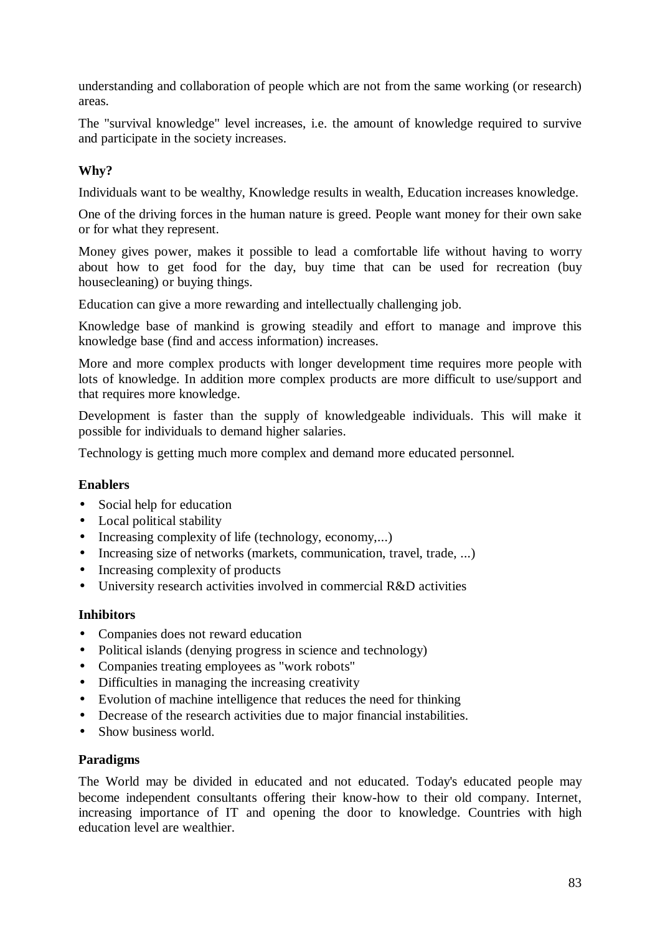understanding and collaboration of people which are not from the same working (or research) areas.

The "survival knowledge" level increases, i.e. the amount of knowledge required to survive and participate in the society increases.

# **Why?**

Individuals want to be wealthy, Knowledge results in wealth, Education increases knowledge.

One of the driving forces in the human nature is greed. People want money for their own sake or for what they represent.

Money gives power, makes it possible to lead a comfortable life without having to worry about how to get food for the day, buy time that can be used for recreation (buy housecleaning) or buying things.

Education can give a more rewarding and intellectually challenging job.

Knowledge base of mankind is growing steadily and effort to manage and improve this knowledge base (find and access information) increases.

More and more complex products with longer development time requires more people with lots of knowledge. In addition more complex products are more difficult to use/support and that requires more knowledge.

Development is faster than the supply of knowledgeable individuals. This will make it possible for individuals to demand higher salaries.

Technology is getting much more complex and demand more educated personnel.

# **Enablers**

- Social help for education
- Local political stability
- Increasing complexity of life (technology, economy,...)
- Increasing size of networks (markets, communication, travel, trade, ...)
- Increasing complexity of products
- University research activities involved in commercial R&D activities

# **Inhibitors**

- Companies does not reward education
- Political islands (denying progress in science and technology)
- Companies treating employees as "work robots"
- Difficulties in managing the increasing creativity
- Evolution of machine intelligence that reduces the need for thinking
- Decrease of the research activities due to major financial instabilities.
- Show business world.

#### **Paradigms**

The World may be divided in educated and not educated. Today's educated people may become independent consultants offering their know-how to their old company. Internet, increasing importance of IT and opening the door to knowledge. Countries with high education level are wealthier.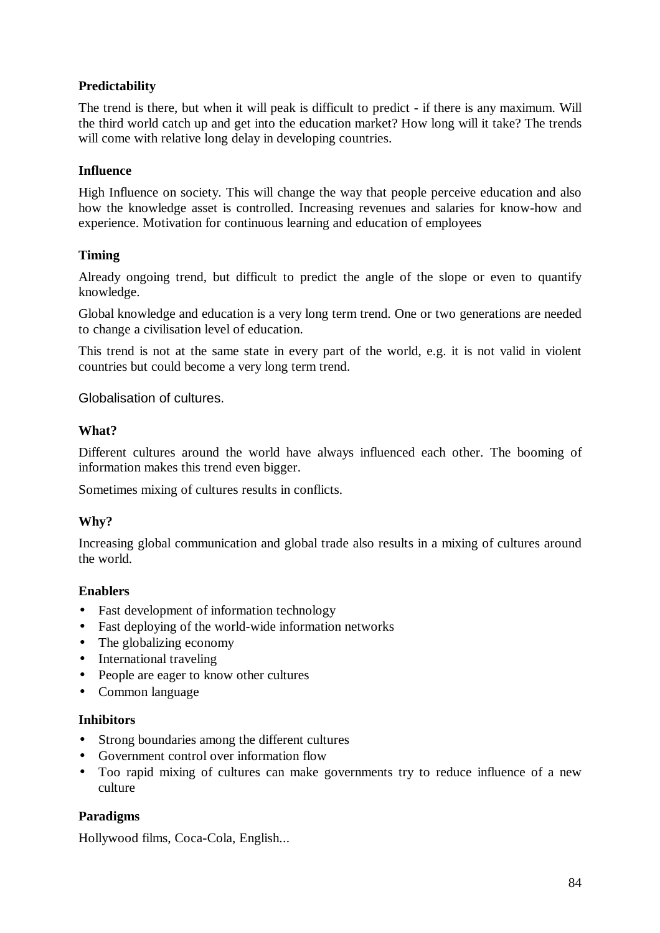# **Predictability**

The trend is there, but when it will peak is difficult to predict - if there is any maximum. Will the third world catch up and get into the education market? How long will it take? The trends will come with relative long delay in developing countries.

### **Influence**

High Influence on society. This will change the way that people perceive education and also how the knowledge asset is controlled. Increasing revenues and salaries for know-how and experience. Motivation for continuous learning and education of employees

#### **Timing**

Already ongoing trend, but difficult to predict the angle of the slope or even to quantify knowledge.

Global knowledge and education is a very long term trend. One or two generations are needed to change a civilisation level of education.

This trend is not at the same state in every part of the world, e.g. it is not valid in violent countries but could become a very long term trend.

Globalisation of cultures.

#### **What?**

Different cultures around the world have always influenced each other. The booming of information makes this trend even bigger.

Sometimes mixing of cultures results in conflicts.

# **Why?**

Increasing global communication and global trade also results in a mixing of cultures around the world.

# **Enablers**

- Fast development of information technology
- Fast deploying of the world-wide information networks
- The globalizing economy
- International traveling
- People are eager to know other cultures
- Common language

#### **Inhibitors**

- Strong boundaries among the different cultures
- Government control over information flow
- Too rapid mixing of cultures can make governments try to reduce influence of a new culture

# **Paradigms**

Hollywood films, Coca-Cola, English...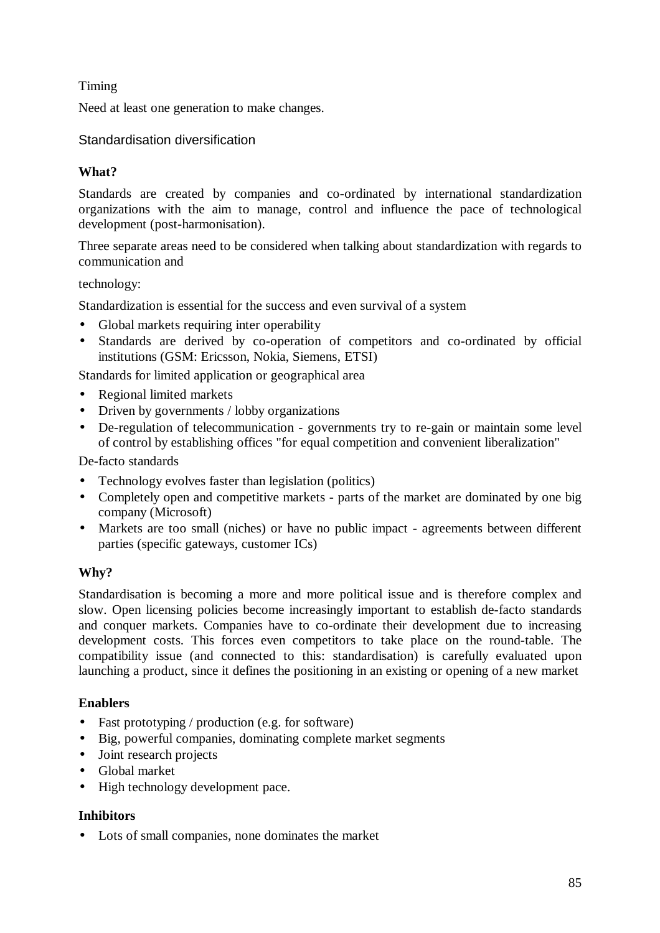# Timing

Need at least one generation to make changes.

### Standardisation diversification

# **What?**

Standards are created by companies and co-ordinated by international standardization organizations with the aim to manage, control and influence the pace of technological development (post-harmonisation).

Three separate areas need to be considered when talking about standardization with regards to communication and

#### technology:

Standardization is essential for the success and even survival of a system

- Global markets requiring inter operability
- Standards are derived by co-operation of competitors and co-ordinated by official institutions (GSM: Ericsson, Nokia, Siemens, ETSI)

Standards for limited application or geographical area

- Regional limited markets
- Driven by governments / lobby organizations
- De-regulation of telecommunication governments try to re-gain or maintain some level of control by establishing offices "for equal competition and convenient liberalization"

De-facto standards

- Technology evolves faster than legislation (politics)
- Completely open and competitive markets parts of the market are dominated by one big company (Microsoft)
- Markets are too small (niches) or have no public impact agreements between different parties (specific gateways, customer ICs)

# **Why?**

Standardisation is becoming a more and more political issue and is therefore complex and slow. Open licensing policies become increasingly important to establish de-facto standards and conquer markets. Companies have to co-ordinate their development due to increasing development costs. This forces even competitors to take place on the round-table. The compatibility issue (and connected to this: standardisation) is carefully evaluated upon launching a product, since it defines the positioning in an existing or opening of a new market

# **Enablers**

- Fast prototyping / production (e.g. for software)
- Big, powerful companies, dominating complete market segments
- Joint research projects
- Global market
- High technology development pace.

#### **Inhibitors**

• Lots of small companies, none dominates the market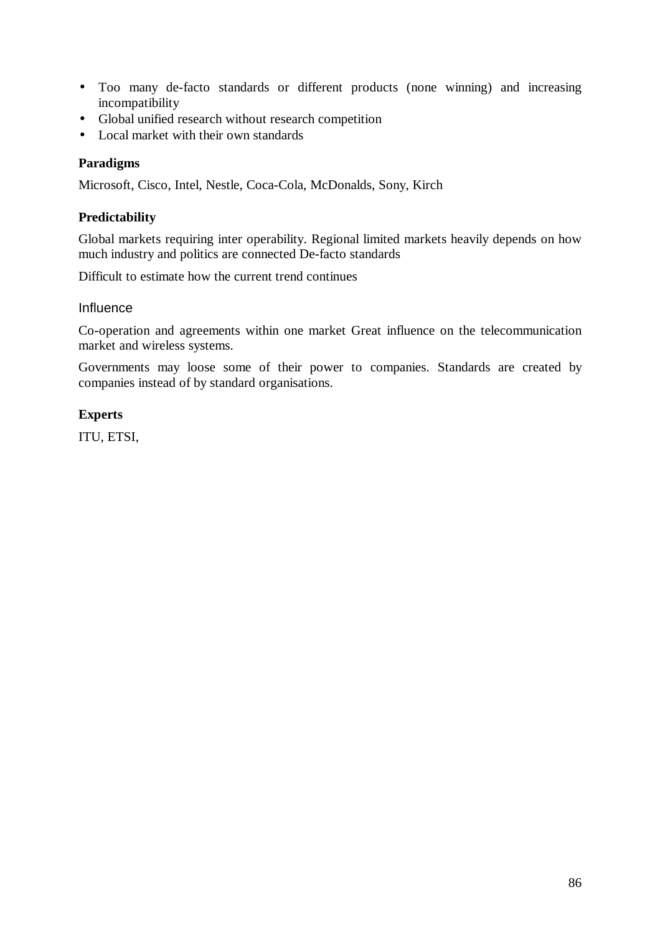- Too many de-facto standards or different products (none winning) and increasing incompatibility
- Global unified research without research competition
- Local market with their own standards

#### **Paradigms**

Microsoft, Cisco, Intel, Nestle, Coca-Cola, McDonalds, Sony, Kirch

### **Predictability**

Global markets requiring inter operability. Regional limited markets heavily depends on how much industry and politics are connected De-facto standards

Difficult to estimate how the current trend continues

#### Influence

Co-operation and agreements within one market Great influence on the telecommunication market and wireless systems.

Governments may loose some of their power to companies. Standards are created by companies instead of by standard organisations.

#### **Experts**

ITU, ETSI,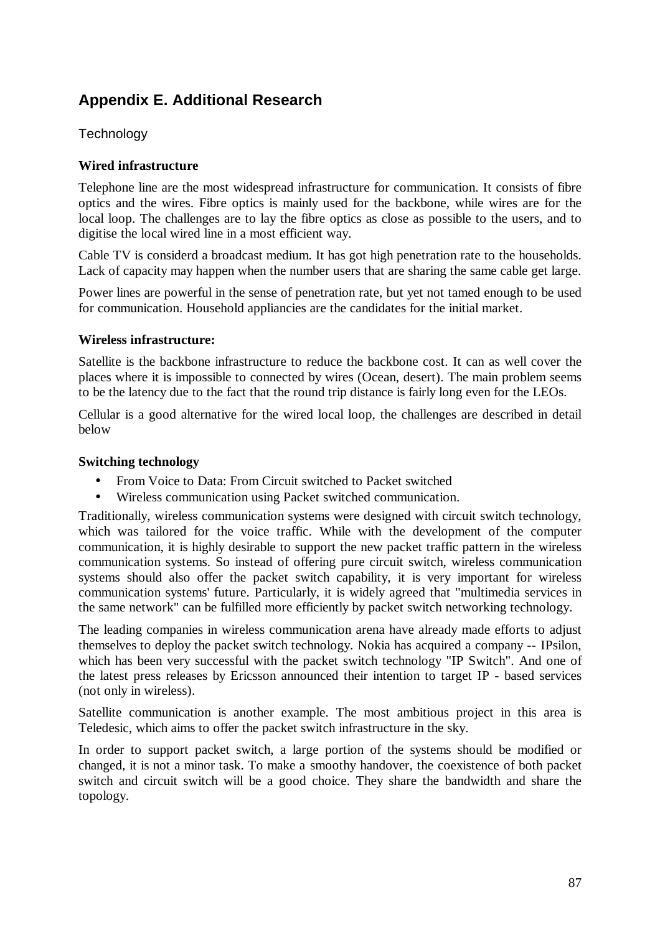# **Appendix E. Additional Research**

# **Technology**

# **Wired infrastructure**

Telephone line are the most widespread infrastructure for communication. It consists of fibre optics and the wires. Fibre optics is mainly used for the backbone, while wires are for the local loop. The challenges are to lay the fibre optics as close as possible to the users, and to digitise the local wired line in a most efficient way.

Cable TV is considerd a broadcast medium. It has got high penetration rate to the households. Lack of capacity may happen when the number users that are sharing the same cable get large.

Power lines are powerful in the sense of penetration rate, but yet not tamed enough to be used for communication. Household appliancies are the candidates for the initial market.

#### **Wireless infrastructure:**

Satellite is the backbone infrastructure to reduce the backbone cost. It can as well cover the places where it is impossible to connected by wires (Ocean, desert). The main problem seems to be the latency due to the fact that the round trip distance is fairly long even for the LEOs.

Cellular is a good alternative for the wired local loop, the challenges are described in detail below

#### **Switching technology**

- From Voice to Data: From Circuit switched to Packet switched
- Wireless communication using Packet switched communication.

Traditionally, wireless communication systems were designed with circuit switch technology, which was tailored for the voice traffic. While with the development of the computer communication, it is highly desirable to support the new packet traffic pattern in the wireless communication systems. So instead of offering pure circuit switch, wireless communication systems should also offer the packet switch capability, it is very important for wireless communication systems' future. Particularly, it is widely agreed that "multimedia services in the same network" can be fulfilled more efficiently by packet switch networking technology.

The leading companies in wireless communication arena have already made efforts to adjust themselves to deploy the packet switch technology. Nokia has acquired a company -- IPsilon, which has been very successful with the packet switch technology "IP Switch". And one of the latest press releases by Ericsson announced their intention to target IP - based services (not only in wireless).

Satellite communication is another example. The most ambitious project in this area is Teledesic, which aims to offer the packet switch infrastructure in the sky.

In order to support packet switch, a large portion of the systems should be modified or changed, it is not a minor task. To make a smoothy handover, the coexistence of both packet switch and circuit switch will be a good choice. They share the bandwidth and share the topology.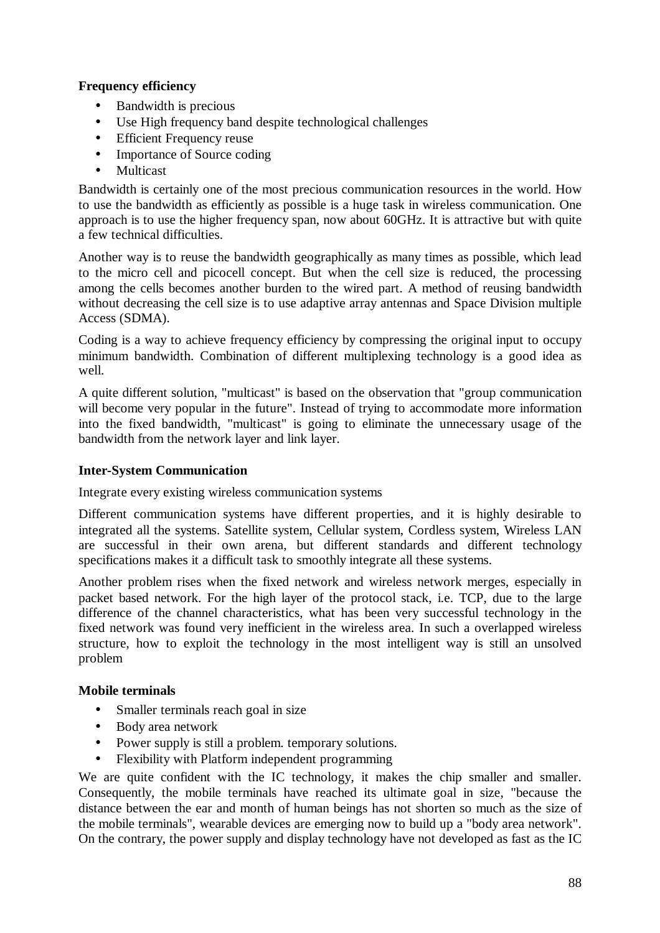# **Frequency efficiency**

- Bandwidth is precious
- Use High frequency band despite technological challenges
- Efficient Frequency reuse
- Importance of Source coding
- **Multicast**

Bandwidth is certainly one of the most precious communication resources in the world. How to use the bandwidth as efficiently as possible is a huge task in wireless communication. One approach is to use the higher frequency span, now about 60GHz. It is attractive but with quite a few technical difficulties.

Another way is to reuse the bandwidth geographically as many times as possible, which lead to the micro cell and picocell concept. But when the cell size is reduced, the processing among the cells becomes another burden to the wired part. A method of reusing bandwidth without decreasing the cell size is to use adaptive array antennas and Space Division multiple Access (SDMA).

Coding is a way to achieve frequency efficiency by compressing the original input to occupy minimum bandwidth. Combination of different multiplexing technology is a good idea as well.

A quite different solution, "multicast" is based on the observation that "group communication will become very popular in the future". Instead of trying to accommodate more information into the fixed bandwidth, "multicast" is going to eliminate the unnecessary usage of the bandwidth from the network layer and link layer.

# **Inter-System Communication**

Integrate every existing wireless communication systems

Different communication systems have different properties, and it is highly desirable to integrated all the systems. Satellite system, Cellular system, Cordless system, Wireless LAN are successful in their own arena, but different standards and different technology specifications makes it a difficult task to smoothly integrate all these systems.

Another problem rises when the fixed network and wireless network merges, especially in packet based network. For the high layer of the protocol stack, i.e. TCP, due to the large difference of the channel characteristics, what has been very successful technology in the fixed network was found very inefficient in the wireless area. In such a overlapped wireless structure, how to exploit the technology in the most intelligent way is still an unsolved problem

# **Mobile terminals**

- Smaller terminals reach goal in size
- Body area network
- Power supply is still a problem. temporary solutions.
- Flexibility with Platform independent programming

We are quite confident with the IC technology, it makes the chip smaller and smaller. Consequently, the mobile terminals have reached its ultimate goal in size, "because the distance between the ear and month of human beings has not shorten so much as the size of the mobile terminals", wearable devices are emerging now to build up a "body area network". On the contrary, the power supply and display technology have not developed as fast as the IC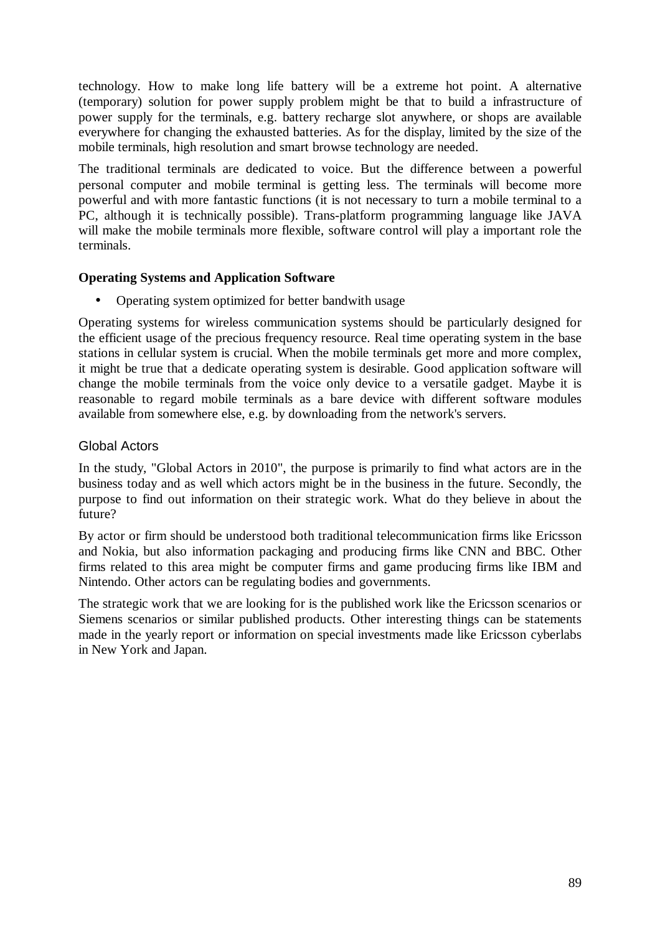technology. How to make long life battery will be a extreme hot point. A alternative (temporary) solution for power supply problem might be that to build a infrastructure of power supply for the terminals, e.g. battery recharge slot anywhere, or shops are available everywhere for changing the exhausted batteries. As for the display, limited by the size of the mobile terminals, high resolution and smart browse technology are needed.

The traditional terminals are dedicated to voice. But the difference between a powerful personal computer and mobile terminal is getting less. The terminals will become more powerful and with more fantastic functions (it is not necessary to turn a mobile terminal to a PC, although it is technically possible). Trans-platform programming language like JAVA will make the mobile terminals more flexible, software control will play a important role the terminals.

# **Operating Systems and Application Software**

• Operating system optimized for better bandwith usage

Operating systems for wireless communication systems should be particularly designed for the efficient usage of the precious frequency resource. Real time operating system in the base stations in cellular system is crucial. When the mobile terminals get more and more complex, it might be true that a dedicate operating system is desirable. Good application software will change the mobile terminals from the voice only device to a versatile gadget. Maybe it is reasonable to regard mobile terminals as a bare device with different software modules available from somewhere else, e.g. by downloading from the network's servers.

# Global Actors

In the study, "Global Actors in 2010", the purpose is primarily to find what actors are in the business today and as well which actors might be in the business in the future. Secondly, the purpose to find out information on their strategic work. What do they believe in about the future?

By actor or firm should be understood both traditional telecommunication firms like Ericsson and Nokia, but also information packaging and producing firms like CNN and BBC. Other firms related to this area might be computer firms and game producing firms like IBM and Nintendo. Other actors can be regulating bodies and governments.

The strategic work that we are looking for is the published work like the Ericsson scenarios or Siemens scenarios or similar published products. Other interesting things can be statements made in the yearly report or information on special investments made like Ericsson cyberlabs in New York and Japan.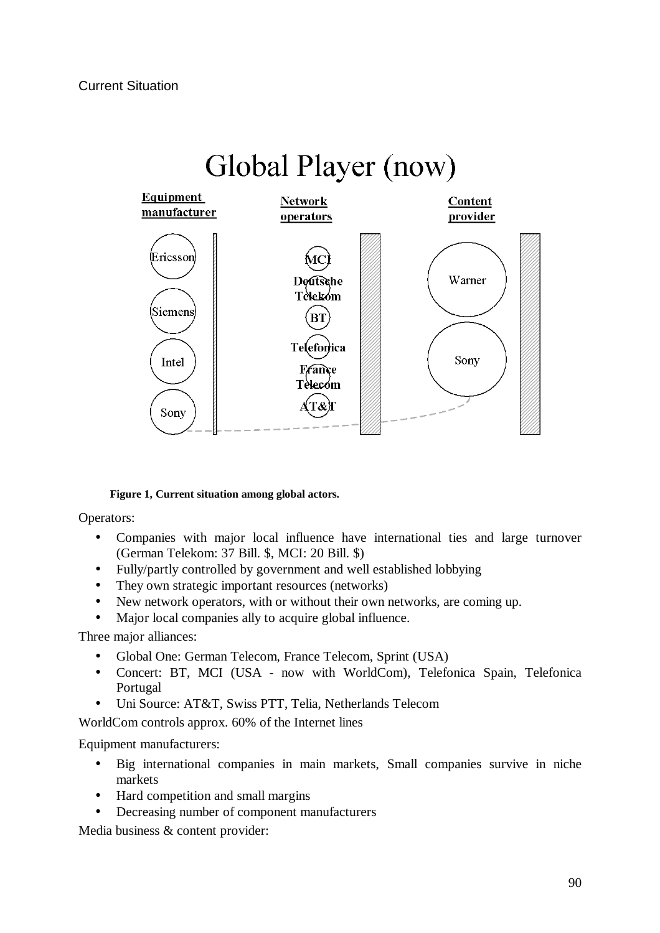

#### **Figure 1, Current situation among global actors.**

Operators:

- Companies with major local influence have international ties and large turnover (German Telekom: 37 Bill. \$, MCI: 20 Bill. \$)
- Fully/partly controlled by government and well established lobbying
- They own strategic important resources (networks)
- New network operators, with or without their own networks, are coming up.
- Major local companies ally to acquire global influence.

Three major alliances:

- Global One: German Telecom, France Telecom, Sprint (USA)
- Concert: BT, MCI (USA now with WorldCom), Telefonica Spain, Telefonica Portugal
- Uni Source: AT&T, Swiss PTT, Telia, Netherlands Telecom

WorldCom controls approx. 60% of the Internet lines

Equipment manufacturers:

- Big international companies in main markets, Small companies survive in niche markets
- Hard competition and small margins
- Decreasing number of component manufacturers

Media business & content provider: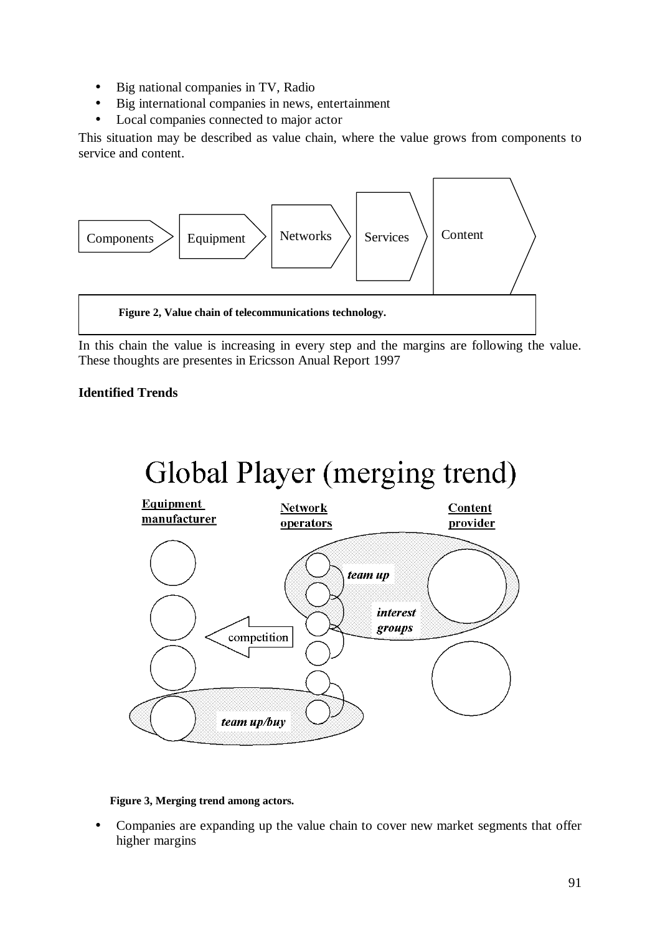- Big national companies in TV, Radio
- Big international companies in news, entertainment
- Local companies connected to major actor

This situation may be described as value chain, where the value grows from components to service and content.



In this chain the value is increasing in every step and the margins are following the value. These thoughts are presentes in Ericsson Anual Report 1997

# **Identified Trends**



#### **Figure 3, Merging trend among actors.**

• Companies are expanding up the value chain to cover new market segments that offer higher margins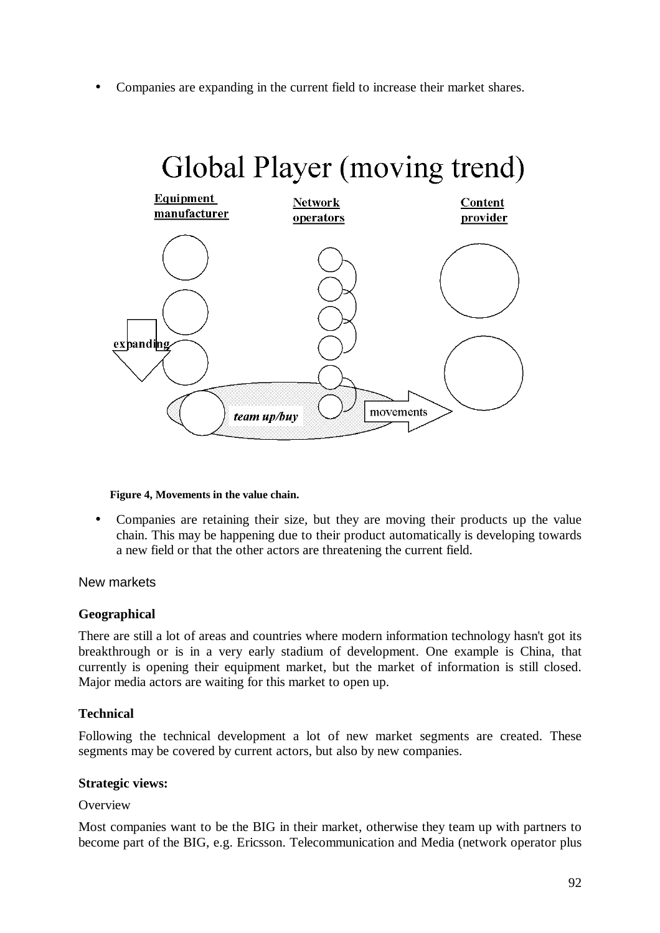• Companies are expanding in the current field to increase their market shares.



#### **Figure 4, Movements in the value chain.**

• Companies are retaining their size, but they are moving their products up the value chain. This may be happening due to their product automatically is developing towards a new field or that the other actors are threatening the current field.

New markets

#### **Geographical**

There are still a lot of areas and countries where modern information technology hasn't got its breakthrough or is in a very early stadium of development. One example is China, that currently is opening their equipment market, but the market of information is still closed. Major media actors are waiting for this market to open up.

#### **Technical**

Following the technical development a lot of new market segments are created. These segments may be covered by current actors, but also by new companies.

#### **Strategic views:**

#### **Overview**

Most companies want to be the BIG in their market, otherwise they team up with partners to become part of the BIG, e.g. Ericsson. Telecommunication and Media (network operator plus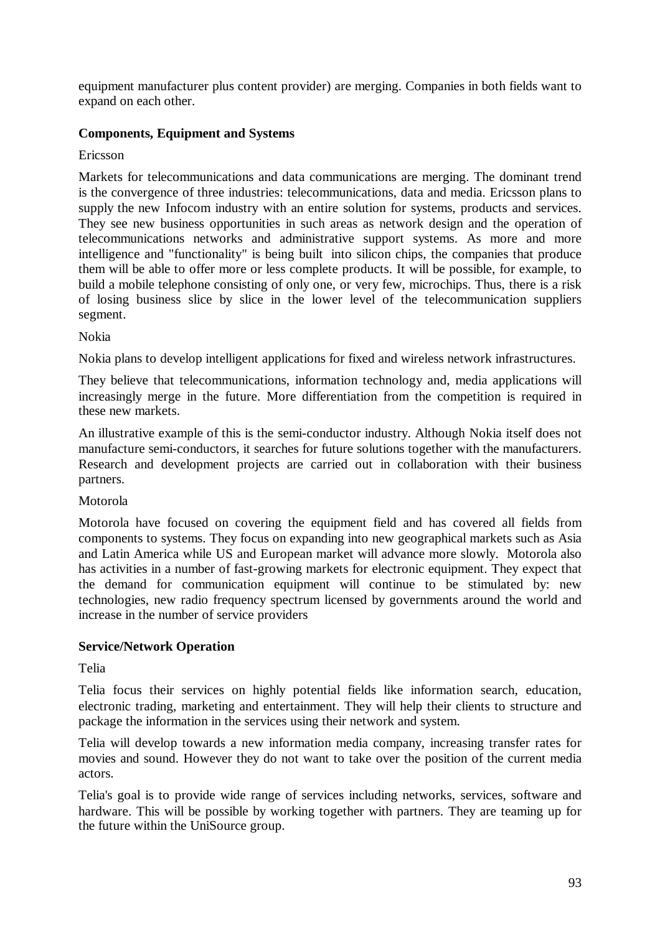equipment manufacturer plus content provider) are merging. Companies in both fields want to expand on each other.

# **Components, Equipment and Systems**

### Ericsson

Markets for telecommunications and data communications are merging. The dominant trend is the convergence of three industries: telecommunications, data and media. Ericsson plans to supply the new Infocom industry with an entire solution for systems, products and services. They see new business opportunities in such areas as network design and the operation of telecommunications networks and administrative support systems. As more and more intelligence and "functionality" is being built into silicon chips, the companies that produce them will be able to offer more or less complete products. It will be possible, for example, to build a mobile telephone consisting of only one, or very few, microchips. Thus, there is a risk of losing business slice by slice in the lower level of the telecommunication suppliers segment.

#### Nokia

Nokia plans to develop intelligent applications for fixed and wireless network infrastructures.

They believe that telecommunications, information technology and, media applications will increasingly merge in the future. More differentiation from the competition is required in these new markets.

An illustrative example of this is the semi-conductor industry. Although Nokia itself does not manufacture semi-conductors, it searches for future solutions together with the manufacturers. Research and development projects are carried out in collaboration with their business partners.

# Motorola

Motorola have focused on covering the equipment field and has covered all fields from components to systems. They focus on expanding into new geographical markets such as Asia and Latin America while US and European market will advance more slowly. Motorola also has activities in a number of fast-growing markets for electronic equipment. They expect that the demand for communication equipment will continue to be stimulated by: new technologies, new radio frequency spectrum licensed by governments around the world and increase in the number of service providers

# **Service/Network Operation**

#### Telia

Telia focus their services on highly potential fields like information search, education, electronic trading, marketing and entertainment. They will help their clients to structure and package the information in the services using their network and system.

Telia will develop towards a new information media company, increasing transfer rates for movies and sound. However they do not want to take over the position of the current media actors.

Telia's goal is to provide wide range of services including networks, services, software and hardware. This will be possible by working together with partners. They are teaming up for the future within the UniSource group.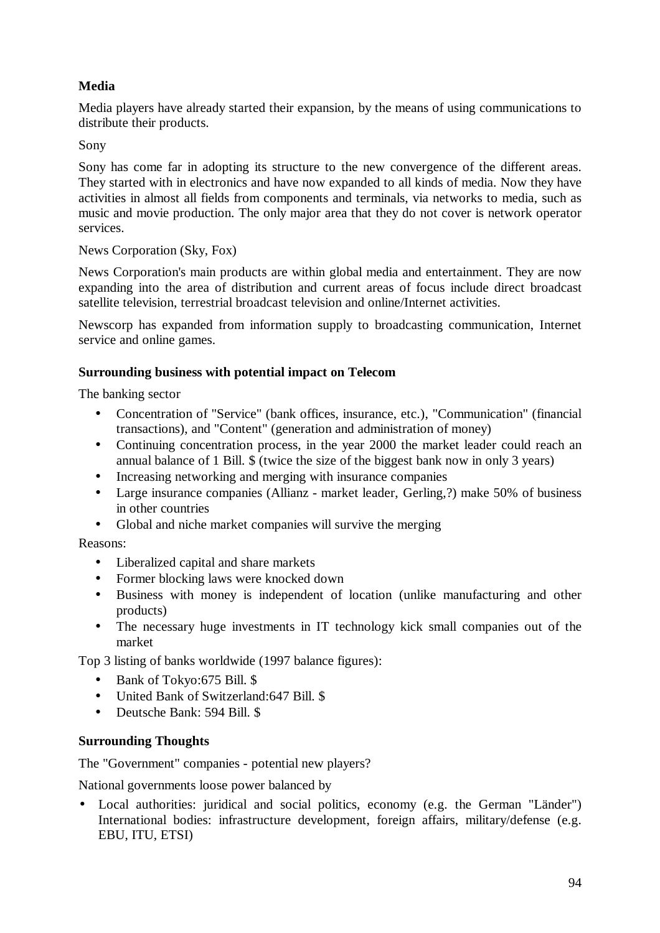# **Media**

Media players have already started their expansion, by the means of using communications to distribute their products.

Sony

Sony has come far in adopting its structure to the new convergence of the different areas. They started with in electronics and have now expanded to all kinds of media. Now they have activities in almost all fields from components and terminals, via networks to media, such as music and movie production. The only major area that they do not cover is network operator services.

# News Corporation (Sky, Fox)

News Corporation's main products are within global media and entertainment. They are now expanding into the area of distribution and current areas of focus include direct broadcast satellite television, terrestrial broadcast television and online/Internet activities.

Newscorp has expanded from information supply to broadcasting communication, Internet service and online games.

# **Surrounding business with potential impact on Telecom**

The banking sector

- Concentration of "Service" (bank offices, insurance, etc.), "Communication" (financial transactions), and "Content" (generation and administration of money)
- Continuing concentration process, in the year 2000 the market leader could reach an annual balance of 1 Bill. \$ (twice the size of the biggest bank now in only 3 years)
- Increasing networking and merging with insurance companies
- Large insurance companies (Allianz market leader, Gerling,?) make 50% of business in other countries
- Global and niche market companies will survive the merging

Reasons:

- Liberalized capital and share markets
- Former blocking laws were knocked down
- Business with money is independent of location (unlike manufacturing and other products)
- The necessary huge investments in IT technology kick small companies out of the market

Top 3 listing of banks worldwide (1997 balance figures):

- Bank of Tokyo: 675 Bill. \$
- United Bank of Switzerland:647 Bill. \$
- Deutsche Bank: 594 Bill. \$

# **Surrounding Thoughts**

The "Government" companies - potential new players?

National governments loose power balanced by

• Local authorities: juridical and social politics, economy (e.g. the German "Länder") International bodies: infrastructure development, foreign affairs, military/defense (e.g. EBU, ITU, ETSI)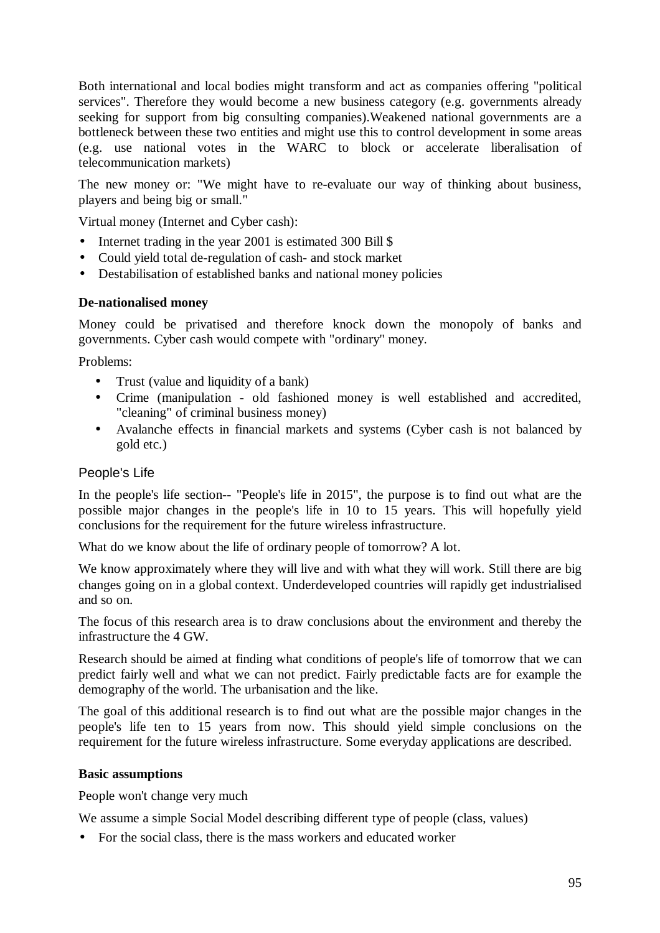Both international and local bodies might transform and act as companies offering "political services". Therefore they would become a new business category (e.g. governments already seeking for support from big consulting companies).Weakened national governments are a bottleneck between these two entities and might use this to control development in some areas (e.g. use national votes in the WARC to block or accelerate liberalisation of telecommunication markets)

The new money or: "We might have to re-evaluate our way of thinking about business, players and being big or small."

Virtual money (Internet and Cyber cash):

- Internet trading in the year 2001 is estimated 300 Bill \$
- Could yield total de-regulation of cash- and stock market
- Destabilisation of established banks and national money policies

# **De-nationalised money**

Money could be privatised and therefore knock down the monopoly of banks and governments. Cyber cash would compete with "ordinary" money.

Problems:

- Trust (value and liquidity of a bank)
- Crime (manipulation old fashioned money is well established and accredited, "cleaning" of criminal business money)
- Avalanche effects in financial markets and systems (Cyber cash is not balanced by gold etc.)

# People's Life

In the people's life section-- "People's life in 2015", the purpose is to find out what are the possible major changes in the people's life in 10 to 15 years. This will hopefully yield conclusions for the requirement for the future wireless infrastructure.

What do we know about the life of ordinary people of tomorrow? A lot.

We know approximately where they will live and with what they will work. Still there are big changes going on in a global context. Underdeveloped countries will rapidly get industrialised and so on.

The focus of this research area is to draw conclusions about the environment and thereby the infrastructure the 4 GW.

Research should be aimed at finding what conditions of people's life of tomorrow that we can predict fairly well and what we can not predict. Fairly predictable facts are for example the demography of the world. The urbanisation and the like.

The goal of this additional research is to find out what are the possible major changes in the people's life ten to 15 years from now. This should yield simple conclusions on the requirement for the future wireless infrastructure. Some everyday applications are described.

# **Basic assumptions**

People won't change very much

We assume a simple Social Model describing different type of people (class, values)

• For the social class, there is the mass workers and educated worker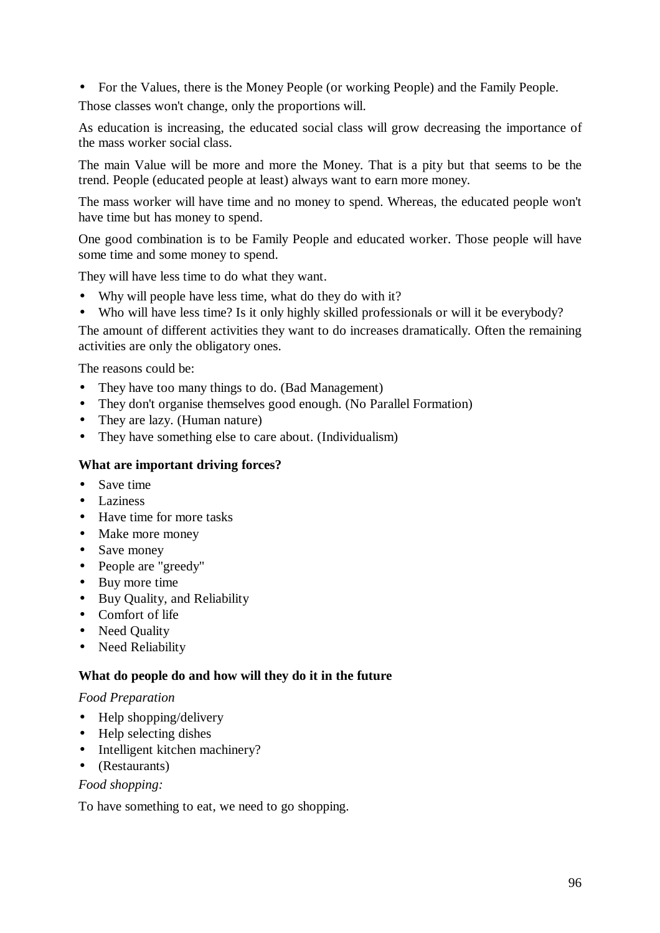• For the Values, there is the Money People (or working People) and the Family People.

Those classes won't change, only the proportions will.

As education is increasing, the educated social class will grow decreasing the importance of the mass worker social class.

The main Value will be more and more the Money. That is a pity but that seems to be the trend. People (educated people at least) always want to earn more money.

The mass worker will have time and no money to spend. Whereas, the educated people won't have time but has money to spend.

One good combination is to be Family People and educated worker. Those people will have some time and some money to spend.

They will have less time to do what they want.

- Why will people have less time, what do they do with it?
- Who will have less time? Is it only highly skilled professionals or will it be everybody?

The amount of different activities they want to do increases dramatically. Often the remaining activities are only the obligatory ones.

The reasons could be:

- They have too many things to do. (Bad Management)
- They don't organise themselves good enough. (No Parallel Formation)
- They are lazy. (Human nature)
- They have something else to care about. (Individualism)

### **What are important driving forces?**

- Save time
- Laziness
- Have time for more tasks
- Make more money
- Save money
- People are "greedy"
- Buy more time
- Buy Quality, and Reliability
- Comfort of life
- Need Ouality
- Need Reliability

#### **What do people do and how will they do it in the future**

#### *Food Preparation*

- Help shopping/delivery
- Help selecting dishes
- Intelligent kitchen machinery?
- (Restaurants)

#### *Food shopping:*

To have something to eat, we need to go shopping.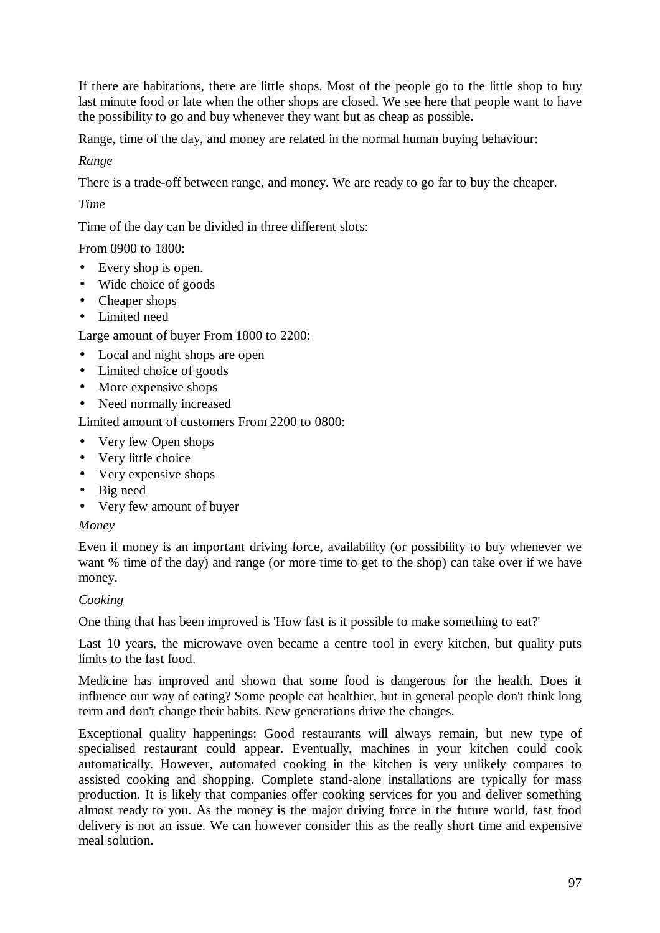If there are habitations, there are little shops. Most of the people go to the little shop to buy last minute food or late when the other shops are closed. We see here that people want to have the possibility to go and buy whenever they want but as cheap as possible.

Range, time of the day, and money are related in the normal human buying behaviour:

# *Range*

There is a trade-off between range, and money. We are ready to go far to buy the cheaper.

# *Time*

Time of the day can be divided in three different slots:

# From 0900 to 1800:

- Every shop is open.
- Wide choice of goods
- Cheaper shops
- Limited need

Large amount of buyer From 1800 to 2200:

- Local and night shops are open
- Limited choice of goods
- More expensive shops
- Need normally increased

Limited amount of customers From 2200 to 0800:

- Very few Open shops
- Very little choice
- Very expensive shops
- Big need
- Very few amount of buyer

# *Money*

Even if money is an important driving force, availability (or possibility to buy whenever we want % time of the day) and range (or more time to get to the shop) can take over if we have money.

# *Cooking*

One thing that has been improved is 'How fast is it possible to make something to eat?'

Last 10 years, the microwave oven became a centre tool in every kitchen, but quality puts limits to the fast food.

Medicine has improved and shown that some food is dangerous for the health. Does it influence our way of eating? Some people eat healthier, but in general people don't think long term and don't change their habits. New generations drive the changes.

Exceptional quality happenings: Good restaurants will always remain, but new type of specialised restaurant could appear. Eventually, machines in your kitchen could cook automatically. However, automated cooking in the kitchen is very unlikely compares to assisted cooking and shopping. Complete stand-alone installations are typically for mass production. It is likely that companies offer cooking services for you and deliver something almost ready to you. As the money is the major driving force in the future world, fast food delivery is not an issue. We can however consider this as the really short time and expensive meal solution.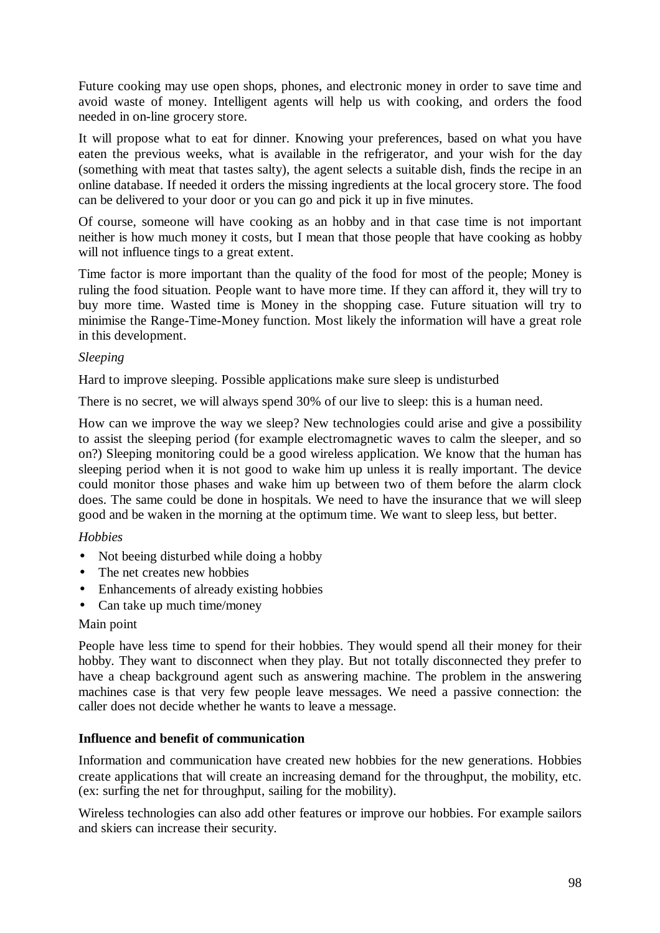Future cooking may use open shops, phones, and electronic money in order to save time and avoid waste of money. Intelligent agents will help us with cooking, and orders the food needed in on-line grocery store.

It will propose what to eat for dinner. Knowing your preferences, based on what you have eaten the previous weeks, what is available in the refrigerator, and your wish for the day (something with meat that tastes salty), the agent selects a suitable dish, finds the recipe in an online database. If needed it orders the missing ingredients at the local grocery store. The food can be delivered to your door or you can go and pick it up in five minutes.

Of course, someone will have cooking as an hobby and in that case time is not important neither is how much money it costs, but I mean that those people that have cooking as hobby will not influence tings to a great extent.

Time factor is more important than the quality of the food for most of the people; Money is ruling the food situation. People want to have more time. If they can afford it, they will try to buy more time. Wasted time is Money in the shopping case. Future situation will try to minimise the Range-Time-Money function. Most likely the information will have a great role in this development.

#### *Sleeping*

Hard to improve sleeping. Possible applications make sure sleep is undisturbed

There is no secret, we will always spend 30% of our live to sleep: this is a human need.

How can we improve the way we sleep? New technologies could arise and give a possibility to assist the sleeping period (for example electromagnetic waves to calm the sleeper, and so on?) Sleeping monitoring could be a good wireless application. We know that the human has sleeping period when it is not good to wake him up unless it is really important. The device could monitor those phases and wake him up between two of them before the alarm clock does. The same could be done in hospitals. We need to have the insurance that we will sleep good and be waken in the morning at the optimum time. We want to sleep less, but better.

# *Hobbies*

- Not beeing disturbed while doing a hobby
- The net creates new hobbies
- Enhancements of already existing hobbies
- Can take up much time/money

#### Main point

People have less time to spend for their hobbies. They would spend all their money for their hobby. They want to disconnect when they play. But not totally disconnected they prefer to have a cheap background agent such as answering machine. The problem in the answering machines case is that very few people leave messages. We need a passive connection: the caller does not decide whether he wants to leave a message.

# **Influence and benefit of communication**

Information and communication have created new hobbies for the new generations. Hobbies create applications that will create an increasing demand for the throughput, the mobility, etc. (ex: surfing the net for throughput, sailing for the mobility).

Wireless technologies can also add other features or improve our hobbies. For example sailors and skiers can increase their security.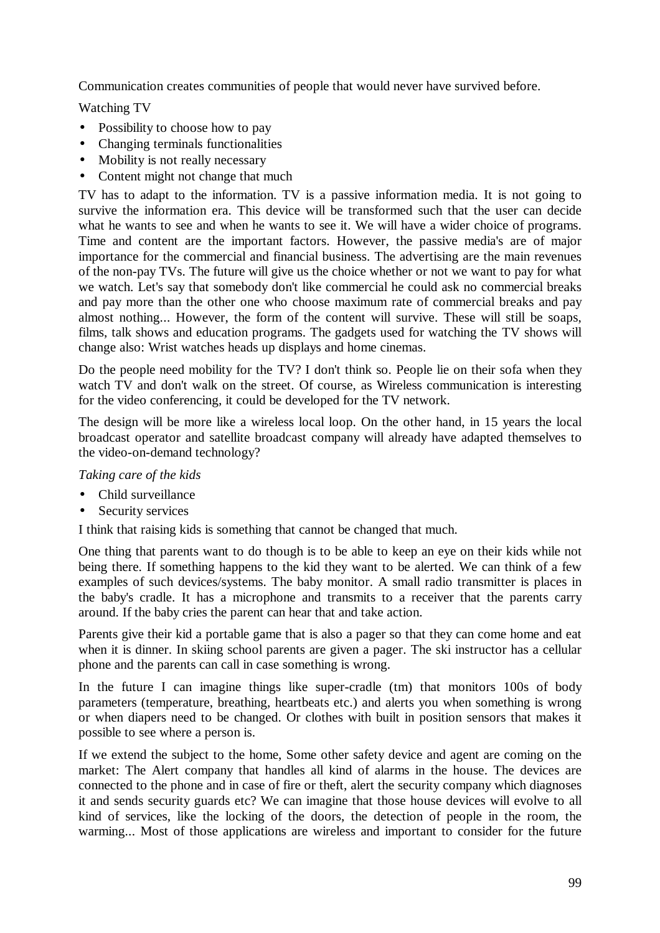Communication creates communities of people that would never have survived before.

Watching TV

- Possibility to choose how to pay
- Changing terminals functionalities
- Mobility is not really necessary
- Content might not change that much

TV has to adapt to the information. TV is a passive information media. It is not going to survive the information era. This device will be transformed such that the user can decide what he wants to see and when he wants to see it. We will have a wider choice of programs. Time and content are the important factors. However, the passive media's are of major importance for the commercial and financial business. The advertising are the main revenues of the non-pay TVs. The future will give us the choice whether or not we want to pay for what we watch. Let's say that somebody don't like commercial he could ask no commercial breaks and pay more than the other one who choose maximum rate of commercial breaks and pay almost nothing... However, the form of the content will survive. These will still be soaps, films, talk shows and education programs. The gadgets used for watching the TV shows will change also: Wrist watches heads up displays and home cinemas.

Do the people need mobility for the TV? I don't think so. People lie on their sofa when they watch TV and don't walk on the street. Of course, as Wireless communication is interesting for the video conferencing, it could be developed for the TV network.

The design will be more like a wireless local loop. On the other hand, in 15 years the local broadcast operator and satellite broadcast company will already have adapted themselves to the video-on-demand technology?

*Taking care of the kids*

- Child surveillance
- Security services

I think that raising kids is something that cannot be changed that much.

One thing that parents want to do though is to be able to keep an eye on their kids while not being there. If something happens to the kid they want to be alerted. We can think of a few examples of such devices/systems. The baby monitor. A small radio transmitter is places in the baby's cradle. It has a microphone and transmits to a receiver that the parents carry around. If the baby cries the parent can hear that and take action.

Parents give their kid a portable game that is also a pager so that they can come home and eat when it is dinner. In skiing school parents are given a pager. The ski instructor has a cellular phone and the parents can call in case something is wrong.

In the future I can imagine things like super-cradle (tm) that monitors 100s of body parameters (temperature, breathing, heartbeats etc.) and alerts you when something is wrong or when diapers need to be changed. Or clothes with built in position sensors that makes it possible to see where a person is.

If we extend the subject to the home, Some other safety device and agent are coming on the market: The Alert company that handles all kind of alarms in the house. The devices are connected to the phone and in case of fire or theft, alert the security company which diagnoses it and sends security guards etc? We can imagine that those house devices will evolve to all kind of services, like the locking of the doors, the detection of people in the room, the warming... Most of those applications are wireless and important to consider for the future